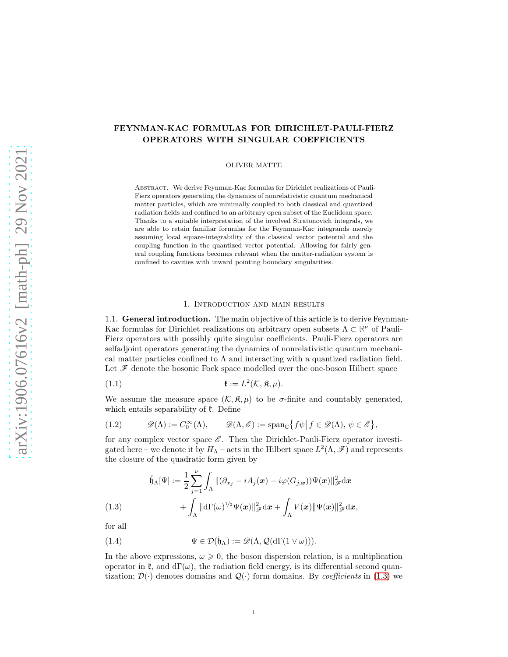# FEYNMAN-KAC FORMULAS FOR DIRICHLET-PAULI-FIERZ OPERATORS WITH SINGULAR COEFFICIENTS

OLIVER MATTE

Abstract. We derive Feynman-Kac formulas for Dirichlet realizations of Pauli-Fierz operators generating the dynamics of nonrelativistic quantum mechanical matter particles, which are minimally coupled to both classical and quantized radiation fields and confined to an arbitrary open subset of the Euclidean space. Thanks to a suitable interpretation of the involved Stratonovich integrals, we are able to retain familiar formulas for the Feynman-Kac integrands merely assuming local square-integrability of the classical vector potential and the coupling function in the quantized vector potential. Allowing for fairly general coupling functions becomes relevant when the matter-radiation system is confined to cavities with inward pointing boundary singularities.

#### 1. Introduction and main results

1.1. General introduction. The main objective of this article is to derive Feynman-Kac formulas for Dirichlet realizations on arbitrary open subsets Λ ⊂ **R** <sup>ν</sup> of Pauli-Fierz operators with possibly quite singular coefficients. Pauli-Fierz operators are selfadjoint operators generating the dynamics of nonrelativistic quantum mechanical matter particles confined to  $\Lambda$  and interacting with a quantized radiation field. Let  $\mathscr F$  denote the bosonic Fock space modelled over the one-boson Hilbert space

<span id="page-0-2"></span>(1.1) 
$$
\mathfrak{k} := L^2(\mathcal{K}, \mathfrak{K}, \mu).
$$

We assume the measure space  $(\mathcal{K}, \mathfrak{K}, \mu)$  to be  $\sigma$ -finite and countably generated, which entails separability of  $\ell$ . Define

(1.2) 
$$
\mathscr{D}(\Lambda) := C_0^{\infty}(\Lambda), \qquad \mathscr{D}(\Lambda, \mathscr{E}) := \mathrm{span}_{\mathbb{C}}\big\{f\psi \big| \, f \in \mathscr{D}(\Lambda), \, \psi \in \mathscr{E}\big\},
$$

for any complex vector space  $\mathscr E$ . Then the Dirichlet-Pauli-Fierz operator investigated here – we denote it by  $H_{\Lambda}$  – acts in the Hilbert space  $L^2(\Lambda, \mathscr{F})$  and represents the closure of the quadratic form given by

$$
\hat{\mathfrak{h}}_{\Lambda}[\Psi] := \frac{1}{2} \sum_{j=1}^{\nu} \int_{\Lambda} \| (\partial_{x_j} - iA_j(\boldsymbol{x}) - i\varphi(G_{j,\boldsymbol{x}})) \Psi(\boldsymbol{x}) \|_{\mathscr{F}}^2 d\boldsymbol{x} + \int_{\Lambda} \| d\Gamma(\omega)^{1/2} \Psi(\boldsymbol{x}) \|_{\mathscr{F}}^2 d\boldsymbol{x} + \int_{\Lambda} V(\boldsymbol{x}) \| \Psi(\boldsymbol{x}) \|_{\mathscr{F}}^2 d\boldsymbol{x},
$$

<span id="page-0-0"></span>for all

<span id="page-0-1"></span>(1.4) 
$$
\Psi \in \mathcal{D}(\mathring{\mathfrak{h}}_{\Lambda}) := \mathscr{D}(\Lambda, \mathcal{Q}(d\Gamma(1 \vee \omega))).
$$

In the above expressions,  $\omega \geq 0$ , the boson dispersion relation, is a multiplication operator in  $\mathfrak{k}$ , and  $d\Gamma(\omega)$ , the radiation field energy, is its differential second quantization;  $\mathcal{D}(\cdot)$  denotes domains and  $\mathcal{Q}(\cdot)$  form domains. By *coefficients* in [\(1.3\)](#page-0-0) we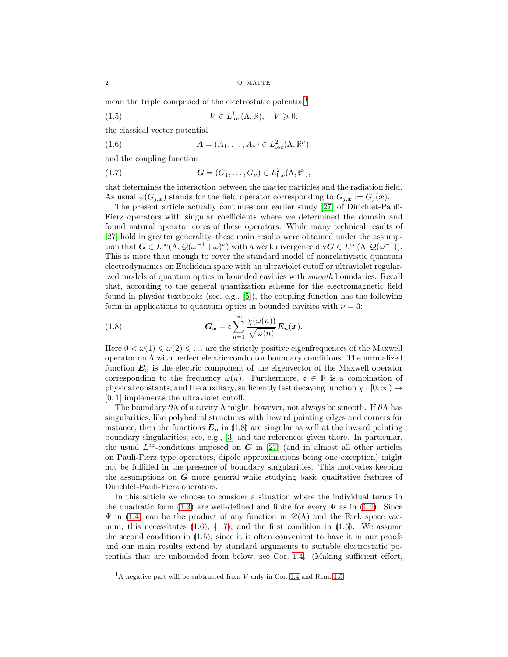mean the triple comprised of the electrostatic potential<sup>[1](#page-1-0)</sup>

<span id="page-1-4"></span>(1.5) 
$$
V \in L^1_{loc}(\Lambda, \mathbb{R}), \quad V \geq 0,
$$

the classical vector potential

<span id="page-1-2"></span>(1.6) 
$$
\mathbf{A} = (A_1, \dots, A_\nu) \in L^2_{\text{loc}}(\Lambda, \mathbb{R}^\nu),
$$

and the coupling function

<span id="page-1-3"></span>(1.7) 
$$
\mathbf{G} = (G_1, \dots, G_\nu) \in L^2_{\text{loc}}(\Lambda, \mathfrak{k}^\nu),
$$

that determines the interaction between the matter particles and the radiation field. As usual  $\varphi(G_{j,\boldsymbol{x}})$  stands for the field operator corresponding to  $G_{j,\boldsymbol{x}} := G_j(\boldsymbol{x})$ .

The present article actually continues our earlier study [\[27\]](#page-46-0) of Dirichlet-Pauli-Fierz operators with singular coefficients where we determined the domain and found natural operator cores of these operators. While many technical results of [\[27\]](#page-46-0) hold in greater generality, these main results were obtained under the assumption that  $G \in L^{\infty}(\Lambda, \mathcal{Q}(\omega^{-1}+\omega)^{\nu})$  with a weak divergence div $G \in L^{\infty}(\Lambda, \mathcal{Q}(\omega^{-1}))$ . This is more than enough to cover the standard model of nonrelativistic quantum electrodynamics on Euclidean space with an ultraviolet cutoff or ultraviolet regularized models of quantum optics in bounded cavities with smooth boundaries. Recall that, according to the general quantization scheme for the electromagnetic field found in physics textbooks (see, e.g., [\[5\]](#page-45-0)), the coupling function has the following form in applications to quantum optics in bounded cavities with  $\nu = 3$ :

<span id="page-1-1"></span>(1.8) 
$$
G_{\boldsymbol{x}} = \mathfrak{e} \sum_{n=1}^{\infty} \frac{\chi(\omega(n))}{\sqrt{\omega(n)}} E_n(\boldsymbol{x}).
$$

Here  $0 < \omega(1) \leq \omega(2) \leq \ldots$  are the strictly positive eigenfrequences of the Maxwell operator on  $\Lambda$  with perfect electric conductor boundary conditions. The normalized function  $E_n$  is the electric component of the eigenvector of the Maxwell operator corresponding to the frequency  $\omega(n)$ . Furthermore,  $\mathfrak{e} \in \mathbb{R}$  is a combination of physical constants, and the auxiliary, sufficiently fast decaying function  $\chi : [0, \infty) \to$ [0, 1] implements the ultraviolet cutoff.

The boundary  $\partial\Lambda$  of a cavity  $\Lambda$  might, however, not always be smooth. If  $\partial\Lambda$  has singularities, like polyhedral structures with inward pointing edges and corners for instance, then the functions  $E_n$  in [\(1.8\)](#page-1-1) are singular as well at the inward pointing boundary singularities; see, e.g., [\[3\]](#page-45-1) and the references given there. In particular, the usual  $L^{\infty}$ -conditions imposed on G in [\[27\]](#page-46-0) (and in almost all other articles on Pauli-Fierz type operators, dipole approximations being one exception) might not be fulfilled in the presence of boundary singularities. This motivates keeping the assumptions on  $G$  more general while studying basic qualitative features of Dirichlet-Pauli-Fierz operators.

In this article we choose to consider a situation where the individual terms in the quadratic form [\(1.3\)](#page-0-0) are well-defined and finite for every  $\Psi$  as in [\(1.4\)](#page-0-1). Since  $\Psi$  in [\(1.4\)](#page-0-1) can be the product of any function in  $\mathscr{D}(\Lambda)$  and the Fock space vacuum, this necessitates  $(1.6)$ ,  $(1.7)$ , and the first condition in  $(1.5)$ . We assume the second condition in [\(1.5\)](#page-1-4), since it is often convenient to have it in our proofs and our main results extend by standard arguments to suitable electrostatic potentials that are unbounded from below; see Cor. [1.4.](#page-4-0) (Making sufficient effort,

<span id="page-1-0"></span> ${}^{1}$ A negative part will be subtracted from V only in Cor. [1.4](#page-4-0) and Rem. [1.5.](#page-5-0)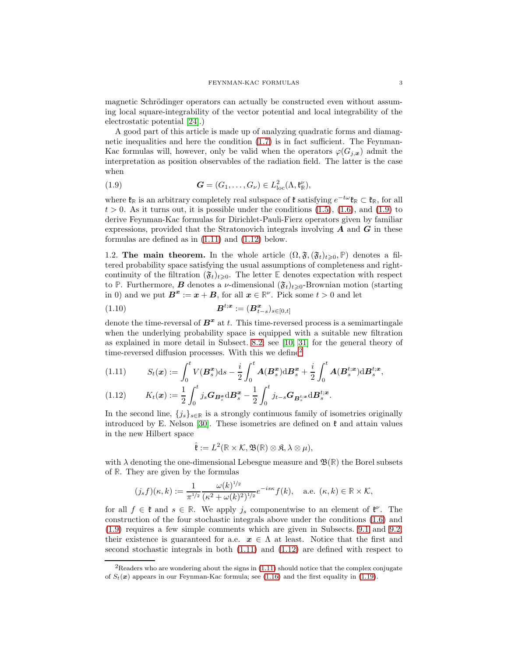magnetic Schrödinger operators can actually be constructed even without assuming local square-integrability of the vector potential and local integrability of the electrostatic potential [\[24\]](#page-46-1).)

A good part of this article is made up of analyzing quadratic forms and diamagnetic inequalities and here the condition  $(1.7)$  is in fact sufficient. The Feynman-Kac formulas will, however, only be valid when the operators  $\varphi(G_{i,x})$  admit the interpretation as position observables of the radiation field. The latter is the case when

<span id="page-2-0"></span>(1.9) 
$$
\mathbf{G} = (G_1, \ldots, G_\nu) \in L^2_{\text{loc}}(\Lambda, \mathfrak{k}_\mathbb{R}^\nu),
$$

where  $\mathfrak{k}_{\mathbb{R}}$  is an arbitrary completely real subspace of  $\mathfrak{k}$  satisfying  $e^{-t\omega}\mathfrak{k}_{\mathbb{R}} \subset \mathfrak{k}_{\mathbb{R}}$ , for all  $t > 0$ . As it turns out, it is possible under the conditions  $(1.5)$ ,  $(1.6)$ , and  $(1.9)$  to derive Feynman-Kac formulas for Dirichlet-Pauli-Fierz operators given by familiar expressions, provided that the Stratonovich integrals involving  $\boldsymbol{A}$  and  $\boldsymbol{G}$  in these formulas are defined as in [\(1.11\)](#page-2-1) and [\(1.12\)](#page-2-2) below.

<span id="page-2-4"></span>1.2. The main theorem. In the whole article  $(\Omega, \mathfrak{F}, (\mathfrak{F}_t)_{t\geq0}, \mathbb{P})$  denotes a filtered probability space satisfying the usual assumptions of completeness and rightcontinuity of the filtration  $(\mathfrak{F}_t)_{t\geq0}$ . The letter **E** denotes expectation with respect to **P**. Furthermore, **B** denotes a *ν*-dimensional  $(\mathfrak{F}_t)_{t\geq0}$ -Brownian motion (starting in 0) and we put  $\mathbf{B}^{\mathbf{x}} := \mathbf{x} + \mathbf{B}$ , for all  $\mathbf{x} \in \mathbb{R}^{\nu}$ . Pick some  $t > 0$  and let

<span id="page-2-5"></span>(1.10) 
$$
\mathbf{B}^{t; \mathbf{x}} := (\mathbf{B}_{t-s}^{\mathbf{x}})_{s \in [0,t]}
$$

denote the time-reversal of  $\boldsymbol{B}^{\boldsymbol{x}}$  at t. This time-reversed process is a semimartingale when the underlying probability space is equipped with a suitable new filtration as explained in more detail in Subsect. [8.2;](#page-29-0) see [\[10,](#page-46-2) [31\]](#page-46-3) for the general theory of time-reversed diffusion processes. With this we define[2](#page-2-3)

<span id="page-2-1"></span>(1.11) 
$$
S_t(\mathbf{x}) := \int_0^t V(\mathbf{B}_s^{\mathbf{x}}) ds - \frac{i}{2} \int_0^t \mathbf{A}(\mathbf{B}_s^{\mathbf{x}}) d\mathbf{B}_s^{\mathbf{x}} + \frac{i}{2} \int_0^t \mathbf{A}(\mathbf{B}_s^{t; \mathbf{x}}) d\mathbf{B}_s^{t; \mathbf{x}},
$$

<span id="page-2-2"></span>(1.12) 
$$
K_t(\mathbf{x}) := \frac{1}{2} \int_0^t j_s \mathbf{G}_{\mathbf{B}_s^{\mathbf{x}}} d\mathbf{B}_s^{\mathbf{x}} - \frac{1}{2} \int_0^t j_{t-s} \mathbf{G}_{\mathbf{B}_s^{t;\mathbf{x}}} d\mathbf{B}_s^{t;\mathbf{x}}.
$$

In the second line,  $\{j_s\}_{s\in\mathbb{R}}$  is a strongly continuous family of isometries originally introduced by E. Nelson [\[30\]](#page-46-4). These isometries are defined on  $\mathfrak k$  and attain values in the new Hilbert space

$$
\hat{\mathfrak{k}} := L^2(\mathbb{R} \times \mathcal{K}, \mathfrak{B}(\mathbb{R}) \otimes \mathfrak{K}, \lambda \otimes \mu),
$$

with  $\lambda$  denoting the one-dimensional Lebesgue measure and  $\mathfrak{B}(\mathbb{R})$  the Borel subsets of **R**. They are given by the formulas

$$
(j_s f)(\kappa, k) := \frac{1}{\pi^{1/2}} \frac{\omega(k)^{1/2}}{(\kappa^2 + \omega(k)^2)^{1/2}} e^{-i s \kappa} f(k), \quad \text{a.e. } (\kappa, k) \in \mathbb{R} \times \mathcal{K},
$$

for all  $f \in \mathfrak{k}$  and  $s \in \mathbb{R}$ . We apply  $j_s$  componentwise to an element of  $\mathfrak{k}^{\nu}$ . The construction of the four stochastic integrals above under the conditions [\(1.6\)](#page-1-2) and [\(1.9\)](#page-2-0) requires a few simple comments which are given in Subsects. [9.1](#page-36-0) and [9.2;](#page-39-0) their existence is guaranteed for a.e.  $x \in \Lambda$  at least. Notice that the first and second stochastic integrals in both [\(1.11\)](#page-2-1) and [\(1.12\)](#page-2-2) are defined with respect to

<span id="page-2-3"></span> ${}^{2}$ Readers who are wondering about the signs in [\(1.11\)](#page-2-1) should notice that the complex conjugate of  $S_t(\boldsymbol{x})$  appears in our Feynman-Kac formula; see [\(1.16\)](#page-3-0) and the first equality in [\(1.19\)](#page-3-1).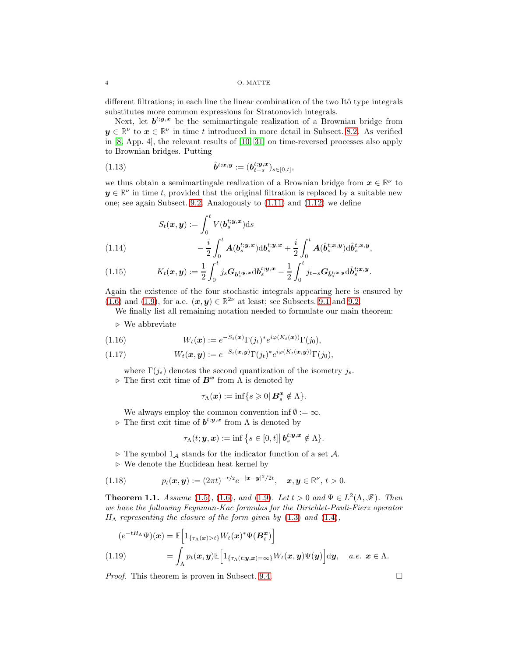### 4 O. MATTE

different filtrations; in each line the linear combination of the two Itô type integrals substitutes more common expressions for Stratonovich integrals.

Next, let  $b^{t,y,x}$  be the semimartingale realization of a Brownian bridge from  $y \in \mathbb{R}^{\nu}$  to  $x \in \mathbb{R}^{\nu}$  in time t introduced in more detail in Subsect. [8.2.](#page-29-0) As verified in [\[8,](#page-45-2) App. 4], the relevant results of [\[10,](#page-46-2) [31\]](#page-46-3) on time-reversed processes also apply to Brownian bridges. Putting

<span id="page-3-5"></span>(1.13) 
$$
\hat{\bm{b}}^{t;\bm{x},\bm{y}} := (\bm{b}_{t-s}^{t;\bm{y},\bm{x}})_{s \in [0,t]},
$$

we thus obtain a semimartingale realization of a Brownian bridge from  $x \in \mathbb{R}^{\nu}$  to  $y \in \mathbb{R}^{\nu}$  in time t, provided that the original filtration is replaced by a suitable new one; see again Subsect. [9.2.](#page-39-0) Analogously to [\(1.11\)](#page-2-1) and [\(1.12\)](#page-2-2) we define

$$
S_t(\boldsymbol{x}, \boldsymbol{y}) := \int_0^t V(\boldsymbol{b}_s^{t; \boldsymbol{y}, \boldsymbol{x}}) \mathrm{d}s
$$
  
(1.14) 
$$
- \frac{i}{2} \int_0^t \boldsymbol{A}(\boldsymbol{b}_s^{t; \boldsymbol{y}, \boldsymbol{x}}) \mathrm{d}\boldsymbol{b}_s^{t; \boldsymbol{y}, \boldsymbol{x}} + \frac{i}{2} \int_0^t \boldsymbol{A}(\hat{\boldsymbol{b}}_s^{t; \boldsymbol{x}, \boldsymbol{y}}) \mathrm{d}\hat{\boldsymbol{b}}_s^{t; \boldsymbol{x}, \boldsymbol{y}},
$$

<span id="page-3-3"></span><span id="page-3-2"></span>
$$
(1.15) \t K_t(\boldsymbol{x}, \boldsymbol{y}) := \frac{1}{2} \int_0^t j_s \boldsymbol{G}_{\boldsymbol{b}_s^{t; \boldsymbol{y}, \boldsymbol{x}}} \mathrm{d} \boldsymbol{b}_s^{t; \boldsymbol{y}, \boldsymbol{x}} - \frac{1}{2} \int_0^t j_{t-s} \boldsymbol{G}_{\hat{\boldsymbol{b}}_s^{t; \boldsymbol{x}, \boldsymbol{y}}} \mathrm{d} \hat{\boldsymbol{b}}_s^{t; \boldsymbol{x}, \boldsymbol{y}}.
$$

Again the existence of the four stochastic integrals appearing here is ensured by  $(1.6)$  and  $(1.9)$ , for a.e.  $(x, y) \in \mathbb{R}^{2\nu}$  at least; see Subsects. [9.1](#page-36-0) and [9.2.](#page-39-0)

We finally list all remaining notation needed to formulate our main theorem:

⊲ We abbreviate

<span id="page-3-0"></span>(1.16) 
$$
W_t(\boldsymbol{x}) := e^{-S_t(\boldsymbol{x})} \Gamma(j_t)^* e^{i\varphi(K_t(\boldsymbol{x}))} \Gamma(j_0),
$$

<span id="page-3-6"></span>(1.17) 
$$
W_t(\boldsymbol{x}, \boldsymbol{y}) := e^{-S_t(\boldsymbol{x}, \boldsymbol{y})} \Gamma(j_t)^* e^{i\varphi(K_t(\boldsymbol{x}, \boldsymbol{y}))} \Gamma(j_0),
$$

where  $\Gamma(j_s)$  denotes the second quantization of the isometry  $j_s$ .  $\triangleright$  The first exit time of  $\boldsymbol{B}^{\boldsymbol{x}}$  from  $\Lambda$  is denoted by

$$
\tau_{\Lambda}(\boldsymbol{x}) := \inf\{s \geqslant 0 | \boldsymbol{B}_s^{\boldsymbol{x}} \notin \Lambda\}.
$$

We always employ the common convention inf  $\emptyset := \infty$ .  $\triangleright$  The first exit time of  $b^{t; y, x}$  from  $\Lambda$  is denoted by

$$
\tau_{\Lambda}(t;\bm{y},\bm{x}):=\inf\big\{s\in[0,t]\big|\,\bm{b}_s^{t;\bm{y},\bm{x}}\notin\Lambda\big\}.
$$

 $\triangleright$  The symbol  $1_A$  stands for the indicator function of a set A.

⊲ We denote the Euclidean heat kernel by

<span id="page-3-7"></span>(1.18) 
$$
p_t(\bm{x}, \bm{y}) := (2\pi t)^{-\nu/2} e^{-|\bm{x} - \bm{y}|^2/2t}, \quad \bm{x}, \bm{y} \in \mathbb{R}^{\nu}, t > 0.
$$

<span id="page-3-4"></span>**Theorem 1.1.** Assume [\(1.5\)](#page-1-4), [\(1.6\)](#page-1-2), and [\(1.9\)](#page-2-0). Let  $t > 0$  and  $\Psi \in L^2(\Lambda, \mathscr{F})$ . Then we have the following Feynman-Kac formulas for the Dirichlet-Pauli-Fierz operator  $H_{\Lambda}$  representing the closure of the form given by [\(1.3\)](#page-0-0) and [\(1.4\)](#page-0-1),

<span id="page-3-1"></span>
$$
(e^{-tH_{\Lambda}}\Psi)(\boldsymbol{x}) = \mathbb{E}\Big[\mathbb{1}_{\{\tau_{\Lambda}(\boldsymbol{x}) > t\}} W_t(\boldsymbol{x})^* \Psi(\boldsymbol{B}_{t}^{\boldsymbol{x}})\Big]
$$
  
(1.19) 
$$
= \int_{\Lambda} p_t(\boldsymbol{x}, \boldsymbol{y}) \mathbb{E}\Big[\mathbb{1}_{\{\tau_{\Lambda}(t; \boldsymbol{y}, \boldsymbol{x}) = \infty\}} W_t(\boldsymbol{x}, \boldsymbol{y}) \Psi(\boldsymbol{y})\Big] d\boldsymbol{y}, \quad a.e. \ \boldsymbol{x} \in \Lambda.
$$

*Proof.* This theorem is proven in Subsect. [9.4.](#page-42-0)  $\Box$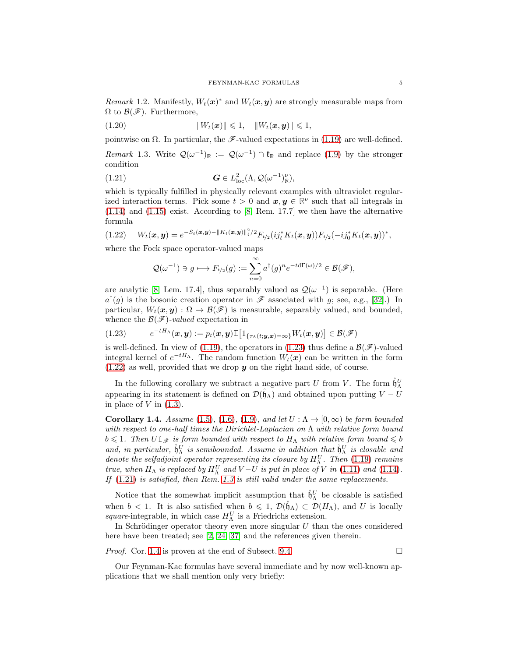*Remark* 1.2. Manifestly,  $W_t(\boldsymbol{x})^*$  and  $W_t(\boldsymbol{x}, \boldsymbol{y})$  are strongly measurable maps from  $\Omega$  to  $\mathcal{B}(\mathscr{F})$ . Furthermore,

<span id="page-4-5"></span>(1.20) kWt(x)k 6 1, kWt(x, y)k 6 1,

pointwise on  $\Omega$ . In particular, the F-valued expectations in [\(1.19\)](#page-3-1) are well-defined.

<span id="page-4-4"></span>Remark 1.3. Write  $\mathcal{Q}(\omega^{-1})_{\mathbb{R}} := \mathcal{Q}(\omega^{-1}) \cap \mathfrak{k}_{\mathbb{R}}$  and replace [\(1.9\)](#page-2-0) by the stronger condition

<span id="page-4-3"></span>(1.21) 
$$
G \in L^2_{\text{loc}}(\Lambda, \mathcal{Q}(\omega^{-1})^{\nu}_{\mathbb{R}}),
$$

which is typically fulfilled in physically relevant examples with ultraviolet regularized interaction terms. Pick some  $t > 0$  and  $x, y \in \mathbb{R}^{\nu}$  such that all integrals in [\(1.14\)](#page-3-2) and [\(1.15\)](#page-3-3) exist. According to [\[8,](#page-45-2) Rem. 17.7] we then have the alternative formula

<span id="page-4-2"></span>
$$
(1.22) \t Wt(\boldsymbol{x}, \boldsymbol{y}) = e^{-St(\boldsymbol{x}, \boldsymbol{y}) - \|K_t(\boldsymbol{x}, \boldsymbol{y})\|_{\mathfrak{k}}^2/2} F_{t/2}(ij_t^* K_t(\boldsymbol{x}, \boldsymbol{y})) F_{t/2}(-ij_0^* K_t(\boldsymbol{x}, \boldsymbol{y}))^*,
$$

where the Fock space operator-valued maps

$$
\mathcal{Q}(\omega^{-1}) \ni g \longmapsto F_{t/2}(g) := \sum_{n=0}^{\infty} a^{\dagger}(g)^n e^{-t d\Gamma(\omega)/2} \in \mathcal{B}(\mathscr{F}),
$$

are analytic [\[8,](#page-45-2) Lem. 17.4], thus separably valued as  $\mathcal{Q}(\omega^{-1})$  is separable. (Here  $a^{\dagger}(g)$  is the bosonic creation operator in  $\mathscr F$  associated with g; see, e.g., [\[32\]](#page-46-5).) In particular,  $W_t(\mathbf{x}, \mathbf{y}) : \Omega \to \mathcal{B}(\mathcal{F})$  is measurable, separably valued, and bounded, whence the  $\mathcal{B}(\mathscr{F})$ -valued expectation in

<span id="page-4-1"></span>
$$
(1.23) \qquad e^{-tH_{\Lambda}}(\boldsymbol{x},\boldsymbol{y}) := p_t(\boldsymbol{x},\boldsymbol{y}) \mathbb{E}\big[1_{\{\tau_{\Lambda}(t;\boldsymbol{y},\boldsymbol{x})=\infty\}} W_t(\boldsymbol{x},\boldsymbol{y})\big] \in \mathcal{B}(\mathscr{F})
$$

is well-defined. In view of [\(1.19\)](#page-3-1), the operators in [\(1.23\)](#page-4-1) thus define a  $\mathcal{B}(\mathscr{F})$ -valued integral kernel of  $e^{-tH_A}$ . The random function  $W_t(\boldsymbol{x})$  can be written in the form  $(1.22)$  as well, provided that we drop y on the right hand side, of course.

In the following corollary we subtract a negative part U from V. The form  $\mathring{\mathfrak{h}}_A^U$ appearing in its statement is defined on  $\mathcal{D}(\mathfrak{h}_{\Lambda})$  and obtained upon putting  $V - U$ in place of  $V$  in  $(1.3)$ .

<span id="page-4-0"></span>Corollary 1.4. Assume [\(1.5\)](#page-1-4), [\(1.6\)](#page-1-2), [\(1.9\)](#page-2-0), and let  $U: \Lambda \to [0, \infty)$  be form bounded with respect to one-half times the Dirichlet-Laplacian on  $\Lambda$  with relative form bound  $b \leq 1$ . Then  $U \mathbb{1}_{\mathscr{F}}$  is form bounded with respect to  $H_{\Lambda}$  with relative form bound  $\leq b$ and, in particular,  $\mathring{\mathfrak{h}}_A^U$  is semibounded. Assume in addition that  $\mathring{\mathfrak{h}}_A^U$  is closable and denote the selfadjoint operator representing its closure by  $H_{\Lambda}^{U}$ . Then [\(1.19\)](#page-3-1) remains true, when  $H_{\Lambda}$  is replaced by  $H_{\Lambda}^{U}$  and  $V-U$  is put in place of V in [\(1.11\)](#page-2-1) and [\(1.14\)](#page-3-2). If [\(1.21\)](#page-4-3) is satisfied, then Rem. [1.3](#page-4-4) is still valid under the same replacements.

Notice that the somewhat implicit assumption that  $\mathring{h}_\Lambda^U$  be closable is satisfied when  $b < 1$ . It is also satisfied when  $b \leq 1$ ,  $\mathcal{D}(\mathfrak{h}_{\Lambda}) \subset \mathcal{D}(H_{\Lambda})$ , and U is locally square-integrable, in which case  $H_{\Lambda}^{U}$  is a Friedrichs extension.

In Schrödinger operator theory even more singular  $U$  than the ones considered here have been treated; see [\[2,](#page-45-3) [24,](#page-46-1) [37\]](#page-46-6) and the references given therein.

*Proof.* Cor. [1.4](#page-4-0) is proven at the end of Subsect. [9.4.](#page-42-0)  $\Box$ 

Our Feynman-Kac formulas have several immediate and by now well-known applications that we shall mention only very briefly: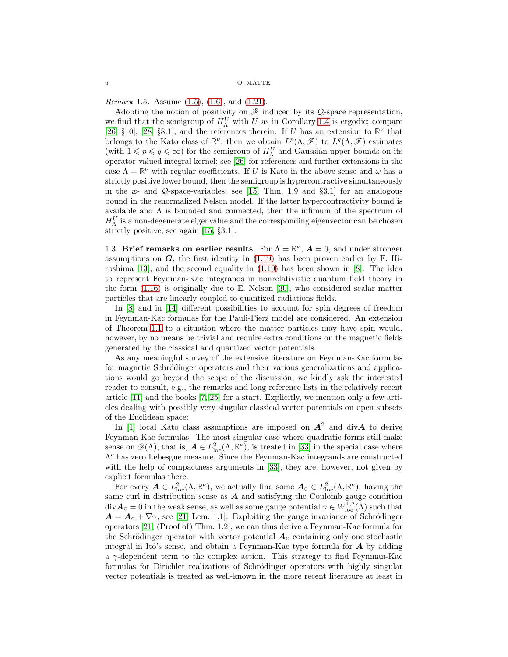<span id="page-5-0"></span>*Remark* 1.5. Assume  $(1.5)$ ,  $(1.6)$ , and  $(1.21)$ .

Adopting the notion of positivity on  $\mathscr F$  induced by its Q-space representation, we find that the semigroup of  $H_{\Lambda}^U$  with U as in Corollary [1.4](#page-4-0) is ergodic; compare [\[26,](#page-46-7) §10], [\[28,](#page-46-8) §8.1], and the references therein. If U has an extension to  $\mathbb{R}^{\nu}$  that belongs to the Kato class of  $\mathbb{R}^{\nu}$ , then we obtain  $L^p(\Lambda,\mathscr{F})$  to  $L^q(\Lambda,\mathscr{F})$  estimates (with  $1 \leqslant p \leqslant q \leqslant \infty$ ) for the semigroup of  $H_{\Lambda}^{U}$  and Gaussian upper bounds on its operator-valued integral kernel; see [\[26\]](#page-46-7) for references and further extensions in the case  $\Lambda = \mathbb{R}^{\nu}$  with regular coefficients. If U is Kato in the above sense and  $\omega$  has a strictly positive lower bound, then the semigroup is hypercontractive simultaneously in the  $x$ - and  $Q$ -space-variables; see [\[15,](#page-46-9) Thm. 1.9 and  $\S 3.1$ ] for an analogous bound in the renormalized Nelson model. If the latter hypercontractivity bound is available and  $\Lambda$  is bounded and connected, then the infimum of the spectrum of  $H_{\Lambda}^{U}$  is a non-degenerate eigenvalue and the corresponding eigenvector can be chosen strictly positive; see again [\[15,](#page-46-9) §3.1].

1.3. Brief remarks on earlier results. For  $\Lambda = \mathbb{R}^{\nu}$ ,  $A = 0$ , and under stronger assumptions on  $G$ , the first identity in [\(1.19\)](#page-3-1) has been proven earlier by F. Hiroshima [\[13\]](#page-46-10), and the second equality in [\(1.19\)](#page-3-1) has been shown in [\[8\]](#page-45-2). The idea to represent Feynman-Kac integrands in nonrelativistic quantum field theory in the form [\(1.16\)](#page-3-0) is originally due to E. Nelson [\[30\]](#page-46-4), who considered scalar matter particles that are linearly coupled to quantized radiations fields.

In [\[8\]](#page-45-2) and in [\[14\]](#page-46-11) different possibilities to account for spin degrees of freedom in Feynman-Kac formulas for the Pauli-Fierz model are considered. An extension of Theorem [1.1](#page-3-4) to a situation where the matter particles may have spin would, however, by no means be trivial and require extra conditions on the magnetic fields generated by the classical and quantized vector potentials.

As any meaningful survey of the extensive literature on Feynman-Kac formulas for magnetic Schrödinger operators and their various generalizations and applications would go beyond the scope of the discussion, we kindly ask the interested reader to consult, e.g., the remarks and long reference lists in the relatively recent article [\[11\]](#page-46-12) and the books [\[7,](#page-45-4) [25\]](#page-46-13) for a start. Explicitly, we mention only a few articles dealing with possibly very singular classical vector potentials on open subsets of the Euclidean space:

In [\[1\]](#page-45-5) local Kato class assumptions are imposed on  $A^2$  and div $A$  to derive Feynman-Kac formulas. The most singular case where quadratic forms still make sense on  $\mathscr{D}(\Lambda)$ , that is,  $\mathbf{A} \in L^2_{\text{loc}}(\Lambda, \mathbb{R}^{\nu})$ , is treated in [\[33\]](#page-46-14) in the special case where Λ <sup>c</sup> has zero Lebesgue measure. Since the Feynman-Kac integrands are constructed with the help of compactness arguments in [\[33\]](#page-46-14), they are, however, not given by explicit formulas there.

For every  $\mathbf{A} \in L^2_{\text{loc}}(\Lambda, \mathbb{R}^{\nu})$ , we actually find some  $\mathbf{A}_{\text{c}} \in L^2_{\text{loc}}(\Lambda, \mathbb{R}^{\nu})$ , having the same curl in distribution sense as  $A$  and satisfying the Coulomb gauge condition  $div \mathbf{A}_c = 0$  in the weak sense, as well as some gauge potential  $\gamma \in W^{1,2}_{loc}(\Lambda)$  such that  $\mathbf{A} = \mathbf{A}_c + \nabla \gamma$ ; see [\[21,](#page-46-15) Lem. 1.1]. Exploiting the gauge invariance of Schrödinger operators [\[21,](#page-46-15) (Proof of) Thm. 1.2], we can thus derive a Feynman-Kac formula for the Schrödinger operator with vector potential  $A_c$  containing only one stochastic integral in Itô's sense, and obtain a Feynman-Kac type formula for  $A$  by adding a γ-dependent term to the complex action. This strategy to find Feynman-Kac formulas for Dirichlet realizations of Schrödinger operators with highly singular vector potentials is treated as well-known in the more recent literature at least in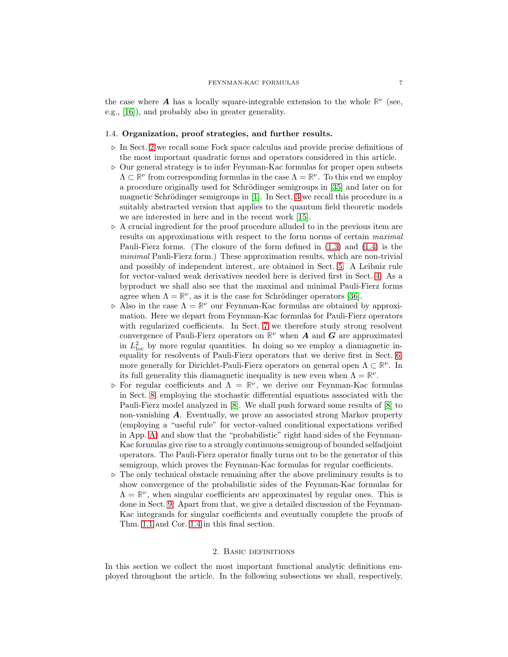the case where **A** has a locally square-integrable extension to the whole  $\mathbb{R}^{\nu}$  (see, e.g., [\[16\]](#page-46-16)), and probably also in greater generality.

## 1.4. Organization, proof strategies, and further results.

- ⊲ In Sect. [2](#page-6-0) we recall some Fock space calculus and provide precise definitions of the most important quadratic forms and operators considered in this article.
- ⊲ Our general strategy is to infer Feynman-Kac formulas for proper open subsets  $\Lambda \subset \mathbb{R}^{\nu}$  from corresponding formulas in the case  $\Lambda = \mathbb{R}^{\nu}$ . To this end we employ a procedure originally used for Schrödinger semigroups in [\[35\]](#page-46-17) and later on for magnetic Schrödinger semigroups in  $[1]$ . In Sect. [3](#page-9-0) we recall this procedure in a suitably abstracted version that applies to the quantum field theoretic models we are interested in here and in the recent work [\[15\]](#page-46-9).
- ⊲ A crucial ingredient for the proof procedure alluded to in the previous item are results on approximations with respect to the form norms of certain maximal Pauli-Fierz forms. (The closure of the form defined in [\(1.3\)](#page-0-0) and [\(1.4\)](#page-0-1) is the minimal Pauli-Fierz form.) These approximation results, which are non-trivial and possibly of independent interest, are obtained in Sect. [5.](#page-16-0) A Leibniz rule for vector-valued weak derivatives needed here is derived first in Sect. [4.](#page-14-0) As a byproduct we shall also see that the maximal and minimal Pauli-Fierz forms agree when  $\Lambda = \mathbb{R}^{\nu}$ , as it is the case for Schrödinger operators [\[36\]](#page-46-18).
- $\triangleright$  Also in the case  $\Lambda = \mathbb{R}^{\nu}$  our Feynman-Kac formulas are obtained by approximation. Here we depart from Feynman-Kac formulas for Pauli-Fierz operators with regularized coefficients. In Sect. [7](#page-26-0) we therefore study strong resolvent convergence of Pauli-Fierz operators on  $\mathbb{R}^{\nu}$  when **A** and **G** are approximated in  $L^2_{\text{loc}}$  by more regular quantities. In doing so we employ a diamagnetic inequality for resolvents of Pauli-Fierz operators that we derive first in Sect. [6,](#page-24-0) more generally for Dirichlet-Pauli-Fierz operators on general open  $\Lambda \subset \mathbb{R}^{\nu}$ . In its full generality this diamagnetic inequality is new even when  $\Lambda = \mathbb{R}^{\nu}$ .
- $\triangleright$  For regular coefficients and  $\Lambda = \mathbb{R}^{\nu}$ , we derive our Feynman-Kac formulas in Sect. [8,](#page-29-1) employing the stochastic differential equations associated with the Pauli-Fierz model analyzed in [\[8\]](#page-45-2). We shall push forward some results of [\[8\]](#page-45-2) to non-vanishing A. Eventually, we prove an associated strong Markov property (employing a "useful rule" for vector-valued conditional expectations verified in App. [A\)](#page-44-0) and show that the "probabilistic" right hand sides of the Feynman-Kac formulas give rise to a strongly continuous semigroup of bounded selfadjoint operators. The Pauli-Fierz operator finally turns out to be the generator of this semigroup, which proves the Feynman-Kac formulas for regular coefficients.
- ⊲ The only technical obstacle remaining after the above preliminary results is to show convergence of the probabilistic sides of the Feynman-Kac formulas for  $\Lambda = \mathbb{R}^{\nu}$ , when singular coefficients are approximated by regular ones. This is done in Sect. [9.](#page-35-0) Apart from that, we give a detailed discussion of the Feynman-Kac integrands for singular coefficients and eventually complete the proofs of Thm. [1.1](#page-3-4) and Cor. [1.4](#page-4-0) in this final section.

### 2. Basic definitions

<span id="page-6-0"></span>In this section we collect the most important functional analytic definitions employed throughout the article. In the following subsections we shall, respectively,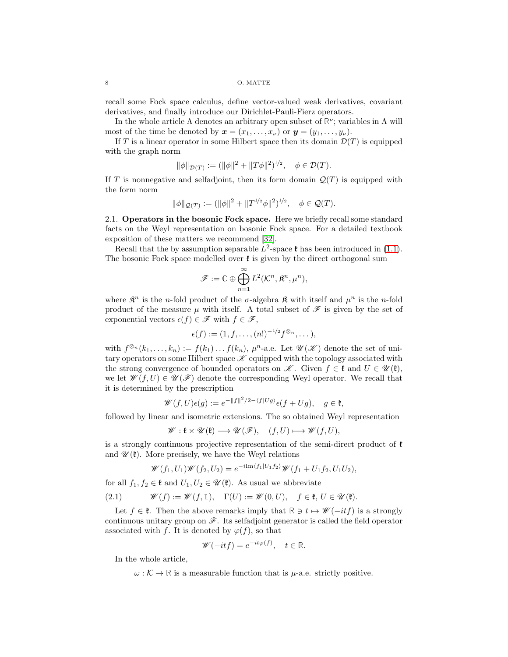recall some Fock space calculus, define vector-valued weak derivatives, covariant derivatives, and finally introduce our Dirichlet-Pauli-Fierz operators.

In the whole article  $\Lambda$  denotes an arbitrary open subset of  $\mathbb{R}^{\nu}$ ; variables in  $\Lambda$  will most of the time be denoted by  $\mathbf{x} = (x_1, \ldots, x_{\nu})$  or  $\mathbf{y} = (y_1, \ldots, y_{\nu})$ .

If T is a linear operator in some Hilbert space then its domain  $\mathcal{D}(T)$  is equipped with the graph norm

$$
\|\phi\|_{\mathcal{D}(T)} := (\|\phi\|^2 + \|T\phi\|^2)^{1/2}, \quad \phi \in \mathcal{D}(T).
$$

If T is nonnegative and selfadjoint, then its form domain  $\mathcal{Q}(T)$  is equipped with the form norm

$$
\|\phi\|_{\mathcal{Q}(T)} := (\|\phi\|^2 + \|T^{1/2}\phi\|^2)^{1/2}, \quad \phi \in \mathcal{Q}(T).
$$

<span id="page-7-1"></span>2.1. Operators in the bosonic Fock space. Here we briefly recall some standard facts on the Weyl representation on bosonic Fock space. For a detailed textbook exposition of these matters we recommend [\[32\]](#page-46-5).

Recall that the by assumption separable  $L^2$ -space  $\mathfrak k$  has been introduced in [\(1.1\)](#page-0-2). The bosonic Fock space modelled over  $\mathfrak{k}$  is given by the direct orthogonal sum

$$
\mathscr{F} := \mathbb{C} \oplus \bigoplus_{n=1}^{\infty} L^2(\mathcal{K}^n, \mathfrak{K}^n, \mu^n),
$$

where  $\mathfrak{K}^n$  is the *n*-fold product of the  $\sigma$ -algebra  $\mathfrak{K}$  with itself and  $\mu^n$  is the *n*-fold product of the measure  $\mu$  with itself. A total subset of  $\mathscr F$  is given by the set of exponential vectors  $\epsilon(f) \in \mathscr{F}$  with  $f \in \mathscr{F}$ ,

$$
\epsilon(f) := (1, f, \ldots, (n!)^{-1/2} f^{\otimes n}, \ldots),
$$

with  $f^{\otimes_n}(k_1,\ldots,k_n) := f(k_1)\ldots f(k_n)$ ,  $\mu^n$ -a.e. Let  $\mathscr{U}(\mathscr{K})$  denote the set of unitary operators on some Hilbert space  $\mathscr K$  equipped with the topology associated with the strong convergence of bounded operators on  $\mathscr{K}$ . Given  $f \in \mathfrak{k}$  and  $U \in \mathscr{U}(\mathfrak{k})$ , we let  $\mathscr{W}(f, U) \in \mathscr{U}(\mathscr{F})$  denote the corresponding Weyl operator. We recall that it is determined by the prescription

$$
\mathscr{W}(f, U)\epsilon(g) := e^{-\|f\|^2/2 - \langle f|Ug\rangle} \epsilon(f + Ug), \quad g \in \mathfrak{k},
$$

followed by linear and isometric extensions. The so obtained Weyl representation

$$
\mathscr{W}: \mathfrak{k} \times \mathscr{U}(\mathfrak{k}) \longrightarrow \mathscr{U}(\mathscr{F}), \quad (f, U) \longmapsto \mathscr{W}(f, U),
$$

is a strongly continuous projective representation of the semi-direct product of  $\mathfrak k$ and  $\mathscr{U}(\mathfrak{k})$ . More precisely, we have the Weyl relations

$$
\mathscr{W}(f_1, U_1)\mathscr{W}(f_2, U_2) = e^{-i \text{Im}\langle f_1 | U_1 f_2 \rangle} \mathscr{W}(f_1 + U_1 f_2, U_1 U_2),
$$

for all  $f_1, f_2 \in \mathfrak{k}$  and  $U_1, U_2 \in \mathcal{U}(\mathfrak{k})$ . As usual we abbreviate

<span id="page-7-0"></span>(2.1) 
$$
\mathscr{W}(f) := \mathscr{W}(f, \mathbb{1}), \quad \Gamma(U) := \mathscr{W}(0, U), \quad f \in \mathfrak{k}, U \in \mathscr{U}(\mathfrak{k}).
$$

Let  $f \in \mathfrak{k}$ . Then the above remarks imply that  $\mathbb{R} \ni t \mapsto \mathscr{W}(-itf)$  is a strongly continuous unitary group on  $\mathscr{F}$ . Its selfadjoint generator is called the field operator associated with f. It is denoted by  $\varphi(f)$ , so that

$$
\mathscr{W}(-itf) = e^{-it\varphi(f)}, \quad t \in \mathbb{R}.
$$

In the whole article,

 $\omega : \mathcal{K} \to \mathbb{R}$  is a measurable function that is  $\mu$ -a.e. strictly positive.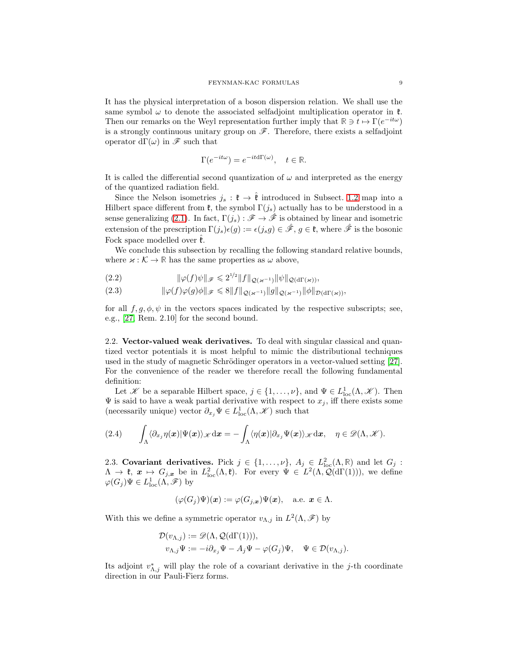It has the physical interpretation of a boson dispersion relation. We shall use the same symbol  $\omega$  to denote the associated selfadjoint multiplication operator in  $\mathfrak{k}$ . Then our remarks on the Weyl representation further imply that  $\mathbb{R} \ni t \mapsto \Gamma(e^{-it\omega})$ is a strongly continuous unitary group on  $\mathscr{F}$ . Therefore, there exists a selfadjoint operator  $d\Gamma(\omega)$  in  $\mathscr F$  such that

$$
\Gamma(e^{-it\omega}) = e^{-itd\Gamma(\omega)}, \quad t \in \mathbb{R}.
$$

It is called the differential second quantization of  $\omega$  and interpreted as the energy of the quantized radiation field.

Since the Nelson isometries  $j_s : \mathfrak{k} \to \hat{\mathfrak{k}}$  introduced in Subsect. [1.2](#page-2-4) map into a Hilbert space different from  $\mathfrak{k}$ , the symbol  $\Gamma(j_s)$  actually has to be understood in a sense generalizing [\(2.1\)](#page-7-0). In fact,  $\Gamma(j_s) : \mathscr{F} \to \hat{\mathscr{F}}$  is obtained by linear and isometric extension of the prescription  $\Gamma(j_s)\epsilon(q) := \epsilon(j_s q) \in \hat{\mathscr{F}}, q \in \mathfrak{k}$ , where  $\hat{\mathscr{F}}$  is the bosonic Fock space modelled over  $\hat{\mathfrak{k}}$ .

We conclude this subsection by recalling the following standard relative bounds, where  $\varkappa : \mathcal{K} \to \mathbb{R}$  has the same properties as  $\omega$  above,

<span id="page-8-0"></span>kϕ(f)ψk<sup>F</sup> 6 2 1/2 kfkQ(κ−1)kψkQ(dΓ(κ)) (2.2) ,

<span id="page-8-1"></span>kϕ(f)ϕ(g)φk<sup>F</sup> 6 8kfkQ(κ−1)kgkQ(κ−1)kφkD(dΓ(κ)) (2.3) ,

for all  $f, g, \phi, \psi$  in the vectors spaces indicated by the respective subscripts; see, e.g., [\[27,](#page-46-0) Rem. 2.10] for the second bound.

2.2. Vector-valued weak derivatives. To deal with singular classical and quantized vector potentials it is most helpful to mimic the distributional techniques used in the study of magnetic Schrödinger operators in a vector-valued setting  $[27]$ . For the convenience of the reader we therefore recall the following fundamental definition:

Let X be a separable Hilbert space,  $j \in \{1, ..., \nu\}$ , and  $\Psi \in L^1_{loc}(\Lambda, \mathcal{K})$ . Then  $\Psi$  is said to have a weak partial derivative with respect to  $x_j$ , iff there exists some (necessarily unique) vector  $\partial_{x_j} \Psi \in L^1_{loc}(\Lambda, \mathcal{K})$  such that

$$
(2.4) \qquad \int_{\Lambda}\langle\partial_{x_j}\eta(\bm{x})|\Psi(\bm{x})\rangle_{\mathscr{K}}\mathrm{d}\bm{x}=-\int_{\Lambda}\langle\eta(\bm{x})|\partial_{x_j}\Psi(\bm{x})\rangle_{\mathscr{K}}\mathrm{d}\bm{x},\quad \eta\in\mathscr{D}(\Lambda,\mathscr{K}).
$$

2.3. Covariant derivatives. Pick  $j \in \{1, \ldots, \nu\}$ ,  $A_j \in L^2_{loc}(\Lambda, \mathbb{R})$  and let  $G_j$ :  $\Lambda \to \mathfrak{k}, \ \mathbf{x} \mapsto G_{j,\mathbf{x}}$  be in  $L^2_{\text{loc}}(\Lambda, \mathfrak{k})$ . For every  $\Psi \in L^2(\Lambda, \mathcal{Q}(\text{d}\Gamma(1))),$  we define  $\varphi(G_j)\Psi \in L^1_{\text{loc}}(\Lambda, \mathscr{F})$  by

$$
(\varphi(G_j)\Psi)(\boldsymbol{x}) := \varphi(G_{j,\boldsymbol{x}})\Psi(\boldsymbol{x}), \quad \text{a.e. } \boldsymbol{x} \in \Lambda.
$$

With this we define a symmetric operator  $v_{\Lambda,j}$  in  $L^2(\Lambda,\mathscr{F})$  by

$$
\mathcal{D}(v_{\Lambda,j}) := \mathscr{D}(\Lambda, \mathcal{Q}(\mathrm{d}\Gamma(1))),
$$
  

$$
v_{\Lambda,j}\Psi := -i\partial_{x_j}\Psi - A_j\Psi - \varphi(G_j)\Psi, \quad \Psi \in \mathcal{D}(v_{\Lambda,j}).
$$

Its adjoint  $v_{\Lambda,j}^*$  will play the role of a covariant derivative in the j-th coordinate direction in our Pauli-Fierz forms.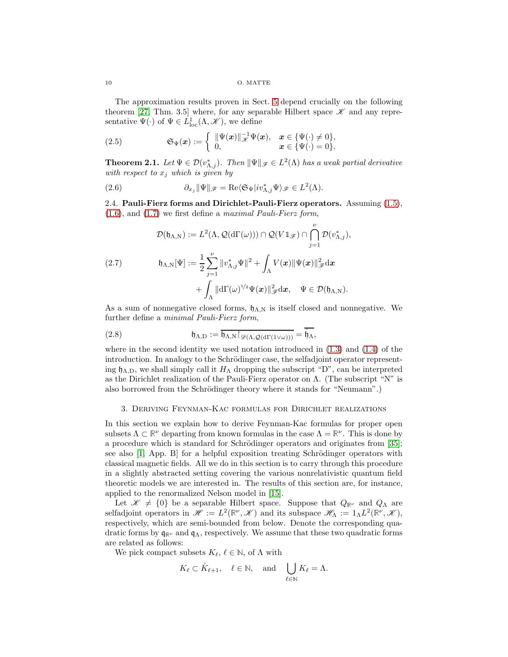10 O. MATTE

The approximation results proven in Sect. [5](#page-16-0) depend crucially on the following theorem [\[27,](#page-46-0) Thm. 3.5] where, for any separable Hilbert space  $\mathscr K$  and any representative  $\Psi(\cdot)$  of  $\Psi \in L^1_{loc}(\Lambda, \mathcal{K})$ , we define

<span id="page-9-1"></span>(2.5) 
$$
\mathfrak{S}_{\Psi}(\boldsymbol{x}) := \left\{ \begin{array}{ll} \|\Psi(\boldsymbol{x})\|_{\mathscr{K}}^{-1} \Psi(\boldsymbol{x}), & \boldsymbol{x} \in \{\Psi(\cdot) \neq 0\}, \\ 0, & \boldsymbol{x} \in \{\Psi(\cdot) = 0\}. \end{array} \right.
$$

**Theorem 2.1.** Let  $\Psi \in \mathcal{D}(v_{\Lambda,j}^*)$ . Then  $\|\Psi\|_{\mathscr{F}} \in L^2(\Lambda)$  has a weak partial derivative with respect to  $x_j$  which is given by

<span id="page-9-4"></span><span id="page-9-3"></span>(2.6) 
$$
\partial_{x_j} \|\Psi\|_{\mathscr{F}} = \text{Re}\langle \mathfrak{S}_{\Psi} |iv_{\Lambda,j}^* \Psi \rangle_{\mathscr{F}} \in L^2(\Lambda).
$$

2.4. Pauli-Fierz forms and Dirichlet-Pauli-Fierz operators. Assuming [\(1.5\)](#page-1-4), [\(1.6\)](#page-1-2), and [\(1.7\)](#page-1-3) we first define a maximal Pauli-Fierz form,

<span id="page-9-2"></span>
$$
\mathcal{D}(\mathfrak{h}_{\Lambda,\mathrm{N}}) := L^2(\Lambda, \mathcal{Q}(\mathrm{d}\Gamma(\omega))) \cap \mathcal{Q}(V1_{\mathscr{F}}) \cap \bigcap_{j=1}^{\nu} \mathcal{D}(v_{\Lambda,j}^*),
$$
  
(2.7) 
$$
\mathfrak{h}_{\Lambda,\mathrm{N}}[\Psi] := \frac{1}{2} \sum_{j=1}^{\nu} ||v_{\Lambda,j}^* \Psi||^2 + \int_{\Lambda} V(\boldsymbol{x}) ||\Psi(\boldsymbol{x})||_{\mathscr{F}}^2 \mathrm{d}\boldsymbol{x} + \int_{\Lambda} ||\mathrm{d}\Gamma(\omega)^{1/2} \Psi(\boldsymbol{x})||_{\mathscr{F}}^2 \mathrm{d}\boldsymbol{x}, \quad \Psi \in \mathcal{D}(\mathfrak{h}_{\Lambda,\mathrm{N}}).
$$

As a sum of nonnegative closed forms,  $\mathfrak{h}_{\Lambda,N}$  is itself closed and nonnegative. We further define a minimal Pauli-Fierz form,

(2.8) 
$$
\mathfrak{h}_{\Lambda,D} := \overline{\mathfrak{h}_{\Lambda,N} \! \restriction_{\mathscr{D}(\Lambda, \mathcal{Q}(d\Gamma(1 \vee \omega)))}} = \overline{\mathfrak{h}_{\Lambda}},
$$

where in the second identity we used notation introduced in  $(1.3)$  and  $(1.4)$  of the introduction. In analogy to the Schrödinger case, the selfadjoint operator representing  $\mathfrak{h}_{\Lambda,D}$ , we shall simply call it  $H_{\Lambda}$  dropping the subscript "D", can be interpreted as the Dirichlet realization of the Pauli-Fierz operator on Λ. (The subscript "N" is also borrowed from the Schrödinger theory where it stands for "Neumann".)

## <span id="page-9-0"></span>3. Deriving Feynman-Kac formulas for Dirichlet realizations

In this section we explain how to derive Feynman-Kac formulas for proper open subsets  $\Lambda \subset \mathbb{R}^{\nu}$  departing from known formulas in the case  $\Lambda = \mathbb{R}^{\nu}$ . This is done by a procedure which is standard for Schrödinger operators and originates from [\[35\]](#page-46-17); see also  $[1, \text{ App. B}]$  for a helpful exposition treating Schrödinger operators with classical magnetic fields. All we do in this section is to carry through this procedure in a slightly abstracted setting covering the various nonrelativistic quantum field theoretic models we are interested in. The results of this section are, for instance, applied to the renormalized Nelson model in [\[15\]](#page-46-9).

Let  $\mathscr{K} \neq \{0\}$  be a separable Hilbert space. Suppose that  $Q_{\mathbb{R}^{\nu}}$  and  $Q_{\Lambda}$  are selfadjoint operators in  $\mathscr{H} := L^2(\mathbb{R}^{\nu}, \mathscr{K})$  and its subspace  $\mathscr{H}_{\Lambda} := 1_{\Lambda} L^2(\mathbb{R}^{\nu}, \mathscr{K}),$ respectively, which are semi-bounded from below. Denote the corresponding quadratic forms by q**R**<sup>ν</sup> and qΛ, respectively. We assume that these two quadratic forms are related as follows:

We pick compact subsets  $K_{\ell}, \ell \in \mathbb{N}$ , of  $\Lambda$  with

$$
K_{\ell} \subset \mathring{K}_{\ell+1}, \quad \ell \in \mathbb{N}, \quad \text{and} \quad \bigcup_{\ell \in \mathbb{N}} K_{\ell} = \Lambda.
$$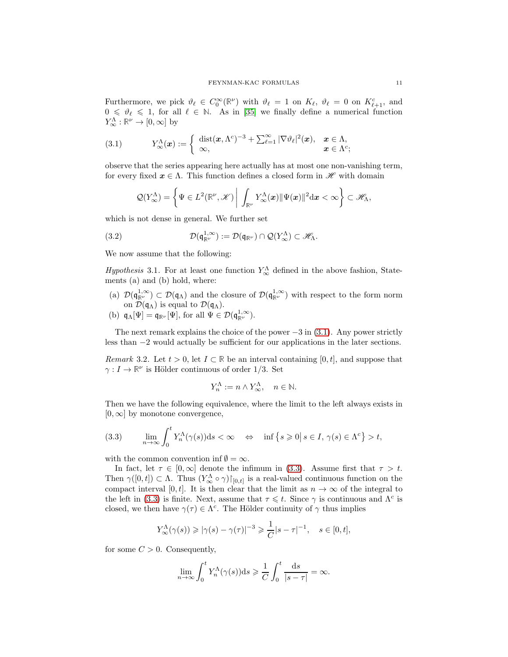Furthermore, we pick  $\vartheta_{\ell} \in C_0^{\infty}(\mathbb{R}^{\nu})$  with  $\vartheta_{\ell} = 1$  on  $K_{\ell}$ ,  $\vartheta_{\ell} = 0$  on  $K_{\ell+1}^c$ , and  $0 \le \theta_\ell \le 1$ , for all  $\ell \in \mathbb{N}$ . As in [\[35\]](#page-46-17) we finally define a numerical function  $Y^{\Lambda}_{\infty} : \mathbb{R}^{\nu} \to [0, \infty]$  by

<span id="page-10-0"></span>(3.1) 
$$
Y^{\Lambda}_{\infty}(\boldsymbol{x}) := \begin{cases} \operatorname{dist}(\boldsymbol{x}, \Lambda^c)^{-3} + \sum_{\ell=1}^{\infty} |\nabla \vartheta_{\ell}|^2(\boldsymbol{x}), & \boldsymbol{x} \in \Lambda, \\ \infty, & \boldsymbol{x} \in \Lambda^c; \end{cases}
$$

observe that the series appearing here actually has at most one non-vanishing term, for every fixed  $x \in \Lambda$ . This function defines a closed form in  $\mathscr{H}$  with domain

$$
\mathcal{Q}(Y_\infty^\Lambda)=\left\{\Psi\in L^2(\mathbb{R}^\nu,\mathscr{K})\bigg|\,\int_{\mathbb{R}^\nu}Y_\infty^\Lambda(\boldsymbol{x})\|\Psi(\boldsymbol{x})\|^2\mathrm{d}\boldsymbol{x}<\infty\right\}\subset\mathscr{H}_\Lambda,
$$

which is not dense in general. We further set

<span id="page-10-2"></span>(3.2) 
$$
\mathcal{D}(\mathfrak{q}_{\mathbb{R}^\nu}^{1,\infty}) := \mathcal{D}(\mathfrak{q}_{\mathbb{R}^\nu}) \cap \mathcal{Q}(Y_\infty^{\Lambda}) \subset \mathscr{H}_{\Lambda}.
$$

We now assume that the following:

<span id="page-10-4"></span>Hypothesis 3.1. For at least one function  $Y^{\Lambda}_{\infty}$  defined in the above fashion, Statements (a) and (b) hold, where:

- (a)  $\mathcal{D}(\mathfrak{q}_{\mathbb{R}^\nu}^{1,\infty}) \subset \mathcal{D}(\mathfrak{q}_{\Lambda})$  and the closure of  $\mathcal{D}(\mathfrak{q}_{\mathbb{R}^\nu}^{1,\infty})$  with respect to the form norm on  $\mathcal{D}(\mathfrak{q}_{\Lambda})$  is equal to  $\mathcal{D}(\mathfrak{q}_{\Lambda})$ .
- (b)  $\mathfrak{q}_{\Lambda}[\Psi] = \mathfrak{q}_{\mathbb{R}^{\nu}}[\Psi]$ , for all  $\Psi \in \mathcal{D}(\mathfrak{q}_{\mathbb{R}^{\nu}}^{1,\infty})$ .

The next remark explains the choice of the power  $-3$  in  $(3.1)$ . Any power strictly less than −2 would actually be sufficient for our applications in the later sections.

<span id="page-10-3"></span>*Remark* 3.2. Let  $t > 0$ , let  $I \subset \mathbb{R}$  be an interval containing [0, t], and suppose that  $\gamma: I \to \mathbb{R}^{\nu}$  is Hölder continuous of order 1/3. Set

$$
Y_n^{\Lambda} := n \wedge Y_{\infty}^{\Lambda}, \quad n \in \mathbb{N}.
$$

Then we have the following equivalence, where the limit to the left always exists in  $[0, \infty]$  by monotone convergence,

<span id="page-10-1"></span>(3.3) 
$$
\lim_{n \to \infty} \int_0^t Y_n^{\Lambda}(\gamma(s)) ds < \infty \quad \Leftrightarrow \quad \inf \left\{ s \geqslant 0 \, \middle| \, s \in I, \, \gamma(s) \in \Lambda^c \right\} > t,
$$

with the common convention inf  $\emptyset = \infty$ .

In fact, let  $\tau \in [0, \infty]$  denote the infimum in [\(3.3\)](#page-10-1). Assume first that  $\tau > t$ . Then  $\gamma([0,t]) \subset \Lambda$ . Thus  $(Y^{\Lambda}_{\infty} \circ \gamma) \upharpoonright_{[0,t]}$  is a real-valued continuous function on the compact interval [0, t]. It is then clear that the limit as  $n \to \infty$  of the integral to the left in [\(3.3\)](#page-10-1) is finite. Next, assume that  $\tau \leq t$ . Since  $\gamma$  is continuous and  $\Lambda^c$  is closed, we then have  $\gamma(\tau) \in \Lambda^c$ . The Hölder continuity of  $\gamma$  thus implies

$$
Y^{\Lambda}_{\infty}(\gamma(s)) \geqslant |\gamma(s)-\gamma(\tau)|^{-3} \geqslant \frac{1}{C}|s-\tau|^{-1}, \quad s \in [0, t],
$$

for some  $C > 0$ . Consequently,

$$
\lim_{n \to \infty} \int_0^t Y_n^{\Lambda}(\gamma(s)) ds \geq \frac{1}{C} \int_0^t \frac{ds}{|s - \tau|} = \infty.
$$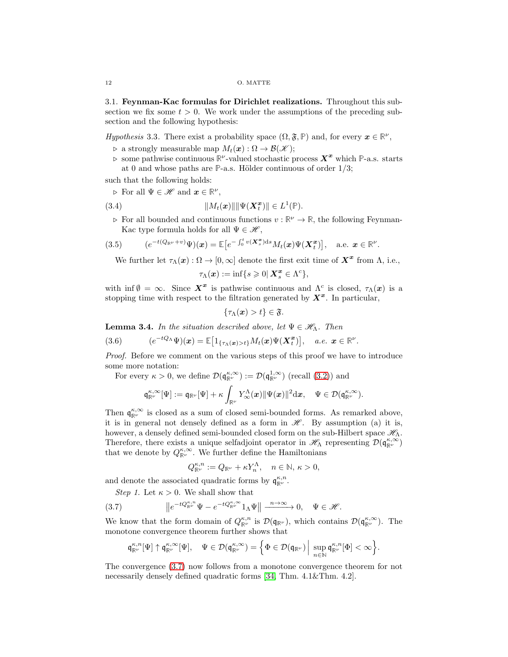3.1. Feynman-Kac formulas for Dirichlet realizations. Throughout this subsection we fix some  $t > 0$ . We work under the assumptions of the preceding subsection and the following hypothesis:

<span id="page-11-4"></span>*Hypothesis* 3.3. There exist a probability space  $(\Omega, \mathfrak{F}, \mathbb{P})$  and, for every  $x \in \mathbb{R}^{\nu}$ ,

 $\rhd$  a strongly measurable map  $M_t(\boldsymbol{x}) : \Omega \to \mathcal{B}(\mathcal{K});$ 

 $\triangleright$  some pathwise continuous  $\mathbb{R}^{\nu}$ -valued stochastic process  $X^x$  which  $\mathbb{P}$ -a.s. starts at 0 and whose paths are  $\mathbb{P}\text{-a.s.}$  Hölder continuous of order  $1/3$ ;

such that the following holds:

 $\triangleright$  For all  $\Psi \in \mathscr{H}$  and  $\boldsymbol{x} \in \mathbb{R}^{\nu}$ ,

(3.4) 
$$
||M_t(\boldsymbol{x})|| ||\Psi(\boldsymbol{X}_t^{\boldsymbol{x}})|| \in L^1(\mathbb{P}).
$$

 $\triangleright$  For all bounded and continuous functions  $v : \mathbb{R}^{\nu} \to \mathbb{R}$ , the following Feynman-Kac type formula holds for all  $\Psi \in \mathcal{H}$ ,

<span id="page-11-1"></span>(3.5) 
$$
(e^{-t(Q_{\mathbb{R}^{\nu}}+v)}\Psi)(\boldsymbol{x})=\mathbb{E}\big[e^{-\int_0^t v(\boldsymbol{X}_s^{\boldsymbol{x}})\mathrm{d}s}M_t(\boldsymbol{x})\Psi(\boldsymbol{X}_t^{\boldsymbol{x}})\big], \text{ a.e. } \boldsymbol{x}\in\mathbb{R}^{\nu}.
$$

We further let  $\tau_{\Lambda}(\boldsymbol{x}) : \Omega \to [0, \infty]$  denote the first exit time of  $\boldsymbol{X}^{\boldsymbol{x}}$  from  $\Lambda$ , i.e.,

$$
\tau_\Lambda(\boldsymbol{x}):=\inf\{s\geqslant 0|\,\boldsymbol{X}^{\boldsymbol{x}}_s\in\Lambda^c\},
$$

with inf  $\emptyset = \infty$ . Since  $X^x$  is pathwise continuous and  $\Lambda^c$  is closed,  $\tau_\Lambda(x)$  is a stopping time with respect to the filtration generated by  $X^x$ . In particular,

$$
\{\tau_\Lambda(\boldsymbol{x}) > t\} \in \mathfrak{F}.
$$

<span id="page-11-3"></span>**Lemma 3.4.** In the situation described above, let  $\Psi \in \mathcal{H}_{\Lambda}$ . Then

<span id="page-11-2"></span>(3.6) 
$$
(e^{-tQ_{\Lambda}}\Psi)(\boldsymbol{x})=\mathbb{E}\big[\mathbb{1}_{\{\tau_{\Lambda}(\boldsymbol{x})>t\}}M_t(\boldsymbol{x})\Psi(\boldsymbol{X}_t^{\boldsymbol{x}})\big], \quad a.e. \ \boldsymbol{x}\in\mathbb{R}^{\nu}.
$$

Proof. Before we comment on the various steps of this proof we have to introduce some more notation:

For every  $\kappa > 0$ , we define  $\mathcal{D}(\mathfrak{q}_{\mathbb{R}^\nu}^{\kappa, \infty}) := \mathcal{D}(\mathfrak{q}_{\mathbb{R}^\nu}^{1, \infty})$  (recall [\(3.2\)](#page-10-2)) and

$$
\mathfrak{q}_{\mathbb{R}^\nu}^{\kappa,\infty}[\Psi]:=\mathfrak{q}_{\mathbb{R}^\nu}[\Psi]+\kappa\int_{\mathbb{R}^\nu}Y^\Lambda_\infty(\boldsymbol{x})\|\Psi(\boldsymbol{x})\|^2\mathrm{d}\boldsymbol{x},\quad \Psi\in\mathcal{D}(\mathfrak{q}_{\mathbb{R}^\nu}^{\kappa,\infty}).
$$

Then  $\mathfrak{q}_{\mathbb{R}^{\nu}}^{\kappa,\infty}$  is closed as a sum of closed semi-bounded forms. As remarked above, it is in general not densely defined as a form in  $\mathscr{H}$ . By assumption (a) it is, however, a densely defined semi-bounded closed form on the sub-Hilbert space  $\mathcal{H}_{\Lambda}$ . Therefore, there exists a unique selfadjoint operator in  $\mathscr{H}_{\Lambda}$  representing  $\mathcal{D}(\mathfrak{q}_{\mathbb{R}^{\nu}}^{\kappa,\infty})$ that we denote by  $Q_{\mathbb{R}^{\nu}}^{\kappa,\infty}$ . We further define the Hamiltonians

$$
Q_{\mathbb{R}^{\nu}}^{\kappa,n}:=Q_{\mathbb{R}^{\nu}}+\kappa Y_{n}^{\Lambda},\quad n\in\mathbb{N},\,\kappa>0,
$$

and denote the associated quadratic forms by  $\mathfrak{q}_{\mathbb{R}^\nu}^{\kappa,n}$ .

Step 1. Let  $\kappa > 0$ . We shall show that

<span id="page-11-0"></span>(3.7) 
$$
\left\|e^{-tQ_{\mathbb{R}^{\nu}}^{\kappa,n}}\Psi-e^{-tQ_{\mathbb{R}^{\nu}}^{\kappa,\infty}}1_{\Lambda}\Psi\right\|\xrightarrow{n\to\infty}0,\quad\Psi\in\mathscr{H}.
$$

We know that the form domain of  $Q_{\mathbb{R}^{\nu}}^{\kappa,n}$  is  $\mathcal{D}(\mathfrak{q}_{\mathbb{R}^{\nu}})$ , which contains  $\mathcal{D}(\mathfrak{q}_{\mathbb{R}^{\nu}}^{\kappa,\infty})$ . The monotone convergence theorem further shows that

$$
\mathfrak{q}_{\mathbb{R}^\nu}^{\kappa,n}[\Psi]\uparrow \mathfrak{q}_{\mathbb{R}^\nu}^{\kappa,\infty}[\Psi],\quad \Psi\in \mathcal{D}(\mathfrak{q}_{\mathbb{R}^\nu}^{\kappa,\infty})=\Big\{\Phi\in \mathcal{D}(\mathfrak{q}_{\mathbb{R}^\nu})\,\Big|\,\sup_{n\in\mathbb{N}}\mathfrak{q}_{\mathbb{R}^\nu}^{\kappa,n}[\Phi]<\infty\Big\}.
$$

The convergence [\(3.7\)](#page-11-0) now follows from a monotone convergence theorem for not necessarily densely defined quadratic forms [\[34,](#page-46-19) Thm.  $4.1\&$ Thm.  $4.2$ ].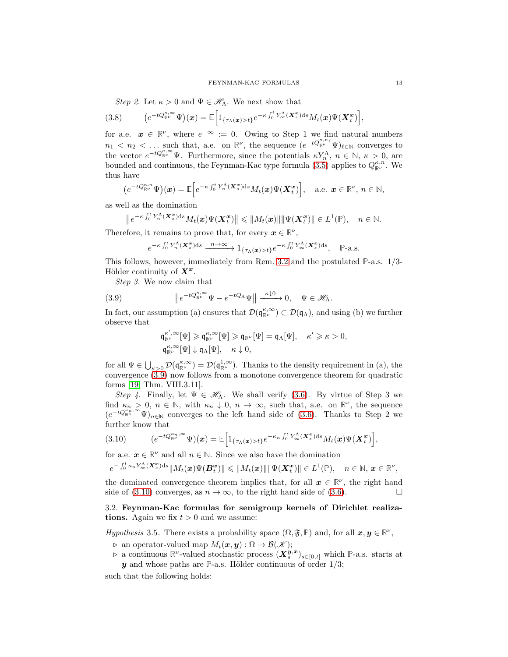Step 2. Let  $\kappa > 0$  and  $\Psi \in \mathscr{H}_{\Lambda}$ . We next show that

$$
(3.8) \qquad (e^{-tQ_{\mathbb{R}^{\nu}}^{\kappa,\infty}}\Psi)(\boldsymbol{x})=\mathbb{E}\Big[\mathbb{1}_{\{\tau_{\Lambda}(\boldsymbol{x})>t\}}e^{-\kappa\int_0^tY_{\infty}^{\Lambda}(X_s^{\boldsymbol{x}})\mathrm{d}s}M_t(\boldsymbol{x})\Psi(X_t^{\boldsymbol{x}})\Big],
$$

for a.e.  $x \in \mathbb{R}^{\nu}$ , where  $e^{-\infty} := 0$ . Owing to Step 1 we find natural numbers  $n_1 < n_2 < \dots$  such that, a.e. on  $\mathbb{R}^{\nu}$ , the sequence  $(e^{-tQ_{\mathbb{R}^{\nu}}^{\kappa,n_{\ell}}}\Psi)_{\ell \in \mathbb{N}}$  converges to the vector  $e^{-tQ_{\mathbb{R}^{\nu}}^{\kappa,\infty}}\Psi$ . Furthermore, since the potentials  $\kappa Y_n^{\Lambda}$ ,  $n \in \mathbb{N}$ ,  $\kappa > 0$ , are bounded and continuous, the Feynman-Kac type formula  $(3.5)$  applies to  $Q_{\mathbb{R}^{\nu}}^{\kappa,n}$ . We thus have

$$
\big(e^{-tQ_{\mathbb{R}^{\nu}}^{\kappa,n}}\Psi\big)(\boldsymbol{x})=\mathbb{E}\Big[e^{-\kappa\int_0^t Y_n^{\Lambda}(\boldsymbol{X}_s^{\boldsymbol{x}})ds}M_t(\boldsymbol{x})\Psi(\boldsymbol{X}_t^{\boldsymbol{x}})\Big],\quad\text{a.e. }\boldsymbol{x}\in\mathbb{R}^{\nu},\,n\in\mathbb{N},
$$

as well as the domination

$$
\left\|e^{-\kappa\int_0^t Y_n^{\Lambda}(\mathbf{X}_s^{\mathbf{x}})\mathrm{d}s}M_t(\boldsymbol{x})\Psi(\mathbf{X}_t^{\mathbf{x}})\right\| \leqslant \|M_t(\boldsymbol{x})\| \|\Psi(\mathbf{X}_t^{\mathbf{x}})\| \in L^1(\mathbb{P}), \quad n \in \mathbb{N}.
$$

Therefore, it remains to prove that, for every  $x \in \mathbb{R}^{\nu}$ ,

$$
e^{-\kappa \int_0^t Y_n^\Lambda(\mathbf{X}_s^{\mathbf{x}})ds} \xrightarrow{n \to \infty} 1_{\{\tau_\Lambda(\mathbf{x}) > t\}} e^{-\kappa \int_0^t Y_\infty^\Lambda(\mathbf{X}_s^{\mathbf{x}})ds}, \quad \mathbb{P}\text{-a.s.}
$$

This follows, however, immediately from Rem. [3.2](#page-10-3) and the postulated **P**-a.s. 1/3- Hölder continuity of  $X^x$ .

Step 3. We now claim that

<span id="page-12-0"></span>(3.9) 
$$
\|e^{-tQ_{\mathbb{R}^{\nu}}^{\kappa,\infty}}\Psi-e^{-tQ_{\Lambda}}\Psi\|\xrightarrow{\kappa\downarrow 0}0, \quad \Psi\in\mathscr{H}_{\Lambda}.
$$

In fact, our assumption (a) ensures that  $\mathcal{D}(\mathfrak{q}_{\mathbb{R}^\nu}^{\kappa,\infty}) \subset \mathcal{D}(\mathfrak{q}_\Lambda)$ , and using (b) we further observe that

$$
\begin{aligned} \mathfrak{q}_{\mathbb{R}^\nu}^{\kappa',\infty}[\Psi] &\geqslant \mathfrak{q}_{\mathbb{R}^\nu}^{\kappa,\infty}[\Psi] \geqslant \mathfrak{q}_{\mathbb{R}^\nu}[\Psi] = \mathfrak{q}_\Lambda[\Psi], \quad \kappa' \geqslant \kappa > 0, \\ \mathfrak{q}_{\mathbb{R}^\nu}^{\kappa,\infty}[\Psi] \downarrow \mathfrak{q}_\Lambda[\Psi], \quad \kappa \downarrow 0, \end{aligned}
$$

for all  $\Psi \in \bigcup_{\kappa > 0} \mathcal{D}(\mathfrak{q}_{\mathbb{R}^\nu}^{\kappa, \infty}) = \mathcal{D}(\mathfrak{q}_{\mathbb{R}^\nu}^{1, \infty})$ . Thanks to the density requirement in (a), the convergence [\(3.9\)](#page-12-0) now follows from a monotone convergence theorem for quadratic forms [\[19,](#page-46-20) Thm. VIII.3.11].

Step 4. Finally, let  $\Psi \in \mathscr{H}_{\Lambda}$ . We shall verify [\(3.6\)](#page-11-2). By virtue of Step 3 we find  $\kappa_n > 0$ ,  $n \in \mathbb{N}$ , with  $\kappa_n \downarrow 0$ ,  $n \to \infty$ , such that, a.e. on  $\mathbb{R}^{\nu}$ , the sequence  $(e^{-tQ_{\mathbb{R}^{\nu}}^{\kappa_n,\infty}}\Psi)_{n\in\mathbb{N}}$  converges to the left hand side of [\(3.6\)](#page-11-2). Thanks to Step 2 we further know that

<span id="page-12-1"></span>
$$
(3.10) \qquad (e^{-tQ_{\mathbb{R}^{\nu}}^{\kappa_n,\infty}}\Psi)(\boldsymbol{x})=\mathbb{E}\Big[\mathbb{1}_{\{\tau_{\Lambda}(\boldsymbol{x})>t\}}e^{-\kappa_n\int_0^tY_{\infty}^{\Lambda}(\boldsymbol{X}_s^{\boldsymbol{x}})\mathrm{d}s}M_t(\boldsymbol{x})\Psi(\boldsymbol{X}_t^{\boldsymbol{x}})\Big],
$$

for a.e.  $x \in \mathbb{R}^{\nu}$  and all  $n \in \mathbb{N}$ . Since we also have the domination

$$
e^{-\int_0^t \kappa_n Y^{\Lambda}_{\infty}(\mathbf{X}_s^{\mathbf{x}})ds} \|M_t(\boldsymbol{x})\Psi(\boldsymbol{B}_t^{\mathbf{x}})\| \leqslant \|M_t(\boldsymbol{x})\| \|\Psi(\mathbf{X}_t^{\mathbf{x}})\| \in L^1(\mathbb{P}), \quad n \in \mathbb{N}, \, \boldsymbol{x} \in \mathbb{R}^{\nu},
$$

the dominated convergence theorem implies that, for all  $x \in \mathbb{R}^{\nu}$ , the right hand side of [\(3.10\)](#page-12-1) converges, as  $n \to \infty$ , to the right hand side of [\(3.6\)](#page-11-2).

## 3.2. Feynman-Kac formulas for semigroup kernels of Dirichlet realizations. Again we fix  $t > 0$  and we assume:

<span id="page-12-2"></span>*Hypothesis* 3.5. There exists a probability space  $(\Omega, \mathfrak{F}, \mathbb{P})$  and, for all  $x, y \in \mathbb{R}^{\nu}$ ,

- $\rhd$  an operator-valued map  $M_t(\boldsymbol{x}, \boldsymbol{y}) : \Omega \to \mathcal{B}(\mathcal{K});$
- **⊳** a continuous  $\mathbb{R}^{\nu}$ -valued stochastic process  $(X_s^{\bm{y}, \bm{x}})_{s \in [0, t]}$  which **P**-a.s. starts at  $y$  and whose paths are  $P$ -a.s. Hölder continuous of order  $1/3$ ;

such that the following holds: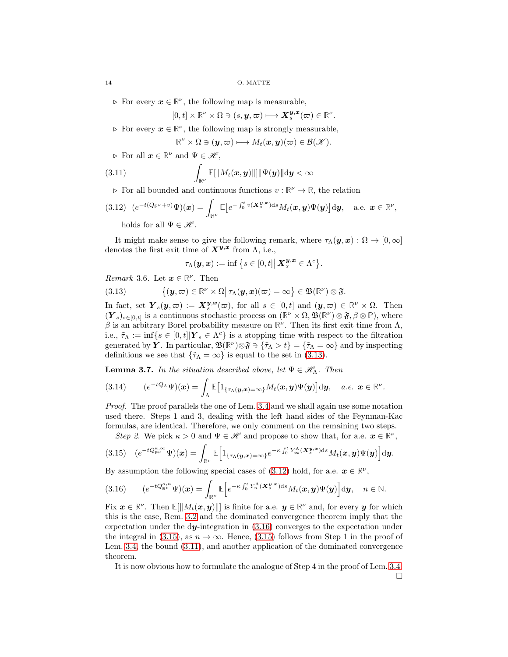$\triangleright$  For every  $x \in \mathbb{R}^{\nu}$ , the following map is measurable,

$$
[0,t]\times\mathbb{R}^{\nu}\times\Omega\ni(s,{\boldsymbol{y}},\varpi)\longmapsto{\boldsymbol{X}}_s^{{\boldsymbol{y}},\boldsymbol{x}}(\varpi)\in\mathbb{R}^{\nu}.
$$

 $\triangleright$  For every  $x \in \mathbb{R}^{\nu}$ , the following map is strongly measurable,

$$
\mathbb{R}^{\nu}\times\Omega\ni({\boldsymbol{y}},\varpi)\longmapsto M_t({\boldsymbol{x}},{\boldsymbol{y}})(\varpi)\in{\mathcal B}({\mathscr K}).
$$

 $\triangleright$  For all  $x \in \mathbb{R}^{\nu}$  and  $\Psi \in \mathscr{H}$ ,

<span id="page-13-4"></span>(3.11) 
$$
\int_{\mathbb{R}^{\nu}} \mathbb{E}[\|M_t(\boldsymbol{x}, \boldsymbol{y})\|] \|\Psi(\boldsymbol{y})\| \mathrm{d} \boldsymbol{y} < \infty
$$

 $\triangleright$  For all bounded and continuous functions  $v : \mathbb{R}^{\nu} \to \mathbb{R}$ , the relation

<span id="page-13-1"></span>(3.12) 
$$
(e^{-t(Q_{\mathbb{R}^{\nu}}+v)}\Psi)(x) = \int_{\mathbb{R}^{\nu}} \mathbb{E}\big[e^{-\int_0^t v(\mathbf{X}_s^{\mathbf{y},\mathbf{x}})\mathrm{d}s} M_t(\mathbf{x},\mathbf{y})\Psi(\mathbf{y})\big] \mathrm{d}\mathbf{y}, \text{ a.e. } \mathbf{x} \in \mathbb{R}^{\nu},
$$
 holds for all  $\Psi \in \mathcal{H}$ .

It might make sense to give the following remark, where  $\tau_{\Lambda}(\boldsymbol{y}, \boldsymbol{x}) : \Omega \to [0, \infty]$ denotes the first exit time of  $X^{y,x}$  from  $\Lambda$ , i.e.,

$$
\tau_{\Lambda}(\boldsymbol{y},\boldsymbol{x}):=\inf\big\{s\in[0,t]\big|\,\boldsymbol{X}^{\boldsymbol{y},\boldsymbol{x}}_{s}\in\Lambda^c\big\}.
$$

*Remark* 3.6. Let  $\mathbf{x} \in \mathbb{R}^{\nu}$ . Then

<span id="page-13-0"></span>(3.13) 
$$
\{(y,\varpi)\in\mathbb{R}^{\nu}\times\Omega\big|\,\tau_{\Lambda}(y,x)(\varpi)=\infty\}\in\mathfrak{B}(\mathbb{R}^{\nu})\otimes\mathfrak{F}.
$$

In fact, set  $Y_s(y, \overline{\omega}) := X_s^{y,x}(\overline{\omega})$ , for all  $s \in [0, t]$  and  $(y, \overline{\omega}) \in \mathbb{R}^{\nu} \times \Omega$ . Then  $(Y_s)_{s\in[0,t]}$  is a continuous stochastic process on  $(\mathbb{R}^{\nu}\times\Omega,\mathfrak{B}(\mathbb{R}^{\nu})\otimes\mathfrak{F},\beta\otimes\mathbb{P})$ , where  $\beta$  is an arbitrary Borel probability measure on  $\mathbb{R}^{\nu}$ . Then its first exit time from  $\Lambda$ , i.e.,  $\tilde{\tau}_{\Lambda} := \inf \{ s \in [0, t] | \boldsymbol{Y}_s \in \Lambda^c \}$  is a stopping time with respect to the filtration generated by  $\hat{Y}$ . In particular,  $\mathfrak{B}(\mathbb{R}^{\nu})\otimes \mathfrak{F} \ni {\tilde{\tau}}_{\Lambda} > t$  =  ${\tilde{\tau}}_{\Lambda} = \infty$  and by inspecting definitions we see that  $\{\tilde{\tau}_\Lambda = \infty\}$  is equal to the set in [\(3.13\)](#page-13-0).

**Lemma 3.7.** In the situation described above, let  $\Psi \in \mathcal{H}_{\Lambda}$ . Then

$$
(3.14) \qquad (e^{-tQ_{\Lambda}}\Psi)(\boldsymbol{x})=\int_{\Lambda}\mathbb{E}\big[\mathbb{1}_{\{\tau_{\Lambda}(\boldsymbol{y},\boldsymbol{x})=\infty\}}M_t(\boldsymbol{x},\boldsymbol{y})\Psi(\boldsymbol{y})\big]\mathrm{d}\boldsymbol{y},\quad a.e.\ \ \boldsymbol{x}\in\mathbb{R}^{\nu}.
$$

Proof. The proof parallels the one of Lem. [3.4](#page-11-3) and we shall again use some notation used there. Steps 1 and 3, dealing with the left hand sides of the Feynman-Kac formulas, are identical. Therefore, we only comment on the remaining two steps.

Step 2. We pick  $\kappa > 0$  and  $\Psi \in \mathcal{H}$  and propose to show that, for a.e.  $\mathbf{x} \in \mathbb{R}^{\nu}$ ,

<span id="page-13-3"></span>
$$
(3.15) \quad (e^{-tQ_{\mathbb{R}^{\nu}}^{\kappa,\infty}}\Psi)(\boldsymbol{x})=\int_{\mathbb{R}^{\nu}}\mathbb{E}\Big[\mathbf{1}_{\{\tau_{\Lambda}(\boldsymbol{y},\boldsymbol{x})=\infty\}}e^{-\kappa\int_0^tY_{\infty}^{\Lambda}(\boldsymbol{X}_s^{\boldsymbol{y},\boldsymbol{x}})\mathrm{d} s}M_t(\boldsymbol{x},\boldsymbol{y})\Psi(\boldsymbol{y})\Big]\mathrm{d}\boldsymbol{y}.
$$

By assumption the following special cases of  $(3.12)$  hold, for a.e.  $\mathbf{x} \in \mathbb{R}^{\nu}$ ,

<span id="page-13-2"></span>
$$
(3.16) \qquad (e^{-tQ_{\mathbb{R}^{\nu}}^{\kappa,n}}\Psi)(\boldsymbol{x})=\int_{\mathbb{R}^{\nu}}\mathbb{E}\Big[e^{-\kappa\int_0^tY_n^\Lambda(\boldsymbol{X}_s^{\boldsymbol{y},\boldsymbol{x}})\mathrm{d} s}M_t(\boldsymbol{x},\boldsymbol{y})\Psi(\boldsymbol{y})\Big]\mathrm{d}\boldsymbol{y},\quad n\in\mathbb{N}.
$$

Fix  $\mathbf{x} \in \mathbb{R}^{\nu}$ . Then  $\mathbb{E}[\|M_t(\mathbf{x}, \mathbf{y})\|]$  is finite for a.e.  $\mathbf{y} \in \mathbb{R}^{\nu}$  and, for every  $\mathbf{y}$  for which this is the case, Rem. [3.2](#page-10-3) and the dominated convergence theorem imply that the expectation under the dy-integration in [\(3.16\)](#page-13-2) converges to the expectation under the integral in [\(3.15\)](#page-13-3), as  $n \to \infty$ . Hence, (3.15) follows from Step 1 in the proof of Lem. [3.4,](#page-11-3) the bound [\(3.11\)](#page-13-4), and another application of the dominated convergence theorem.

It is now obvious how to formulate the analogue of Step 4 in the proof of Lem. [3.4.](#page-11-3)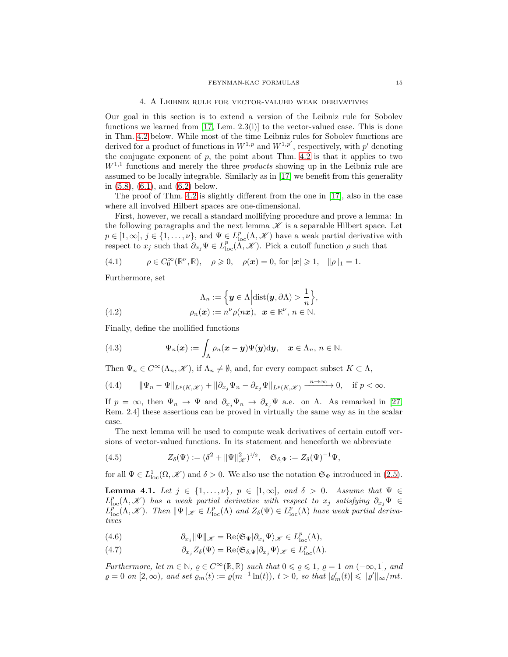#### 4. A Leibniz rule for vector-valued weak derivatives

<span id="page-14-0"></span>Our goal in this section is to extend a version of the Leibniz rule for Sobolev functions we learned from  $[17, \text{ Lem. } 2.3(i)]$  to the vector-valued case. This is done in Thm. [4.2](#page-15-0) below. While most of the time Leibniz rules for Sobolev functions are derived for a product of functions in  $W^{1,p}$  and  $W^{1,p'}$ , respectively, with p' denoting the conjugate exponent of  $p$ , the point about Thm. [4.2](#page-15-0) is that it applies to two  $W^{1,1}$  functions and merely the three *products* showing up in the Leibniz rule are assumed to be locally integrable. Similarly as in [\[17\]](#page-46-21) we benefit from this generality in [\(5.8\)](#page-17-0), [\(6.1\)](#page-24-1), and [\(6.2\)](#page-24-2) below.

The proof of Thm. [4.2](#page-15-0) is slightly different from the one in [\[17\]](#page-46-21), also in the case where all involved Hilbert spaces are one-dimensional.

First, however, we recall a standard mollifying procedure and prove a lemma: In the following paragraphs and the next lemma  $\mathscr K$  is a separable Hilbert space. Let  $p \in [1,\infty], j \in \{1,\ldots,\nu\},\$  and  $\Psi \in L^p_{\text{loc}}(\Lambda,\mathscr{K})$  have a weak partial derivative with respect to  $x_j$  such that  $\partial_{x_j} \Psi \in L^p_{loc}(\Lambda, \mathcal{K})$ . Pick a cutoff function  $\rho$  such that

<span id="page-14-6"></span>(4.1) 
$$
\rho \in C_0^{\infty}(\mathbb{R}^{\nu}, \mathbb{R}), \quad \rho \geqslant 0, \quad \rho(\boldsymbol{x}) = 0, \text{ for } |\boldsymbol{x}| \geqslant 1, \quad \|\rho\|_1 = 1.
$$

Furthermore, set

<span id="page-14-7"></span>(4.2) 
$$
\Lambda_n := \left\{ \mathbf{y} \in \Lambda \middle| \text{dist}(\mathbf{y}, \partial \Lambda) > \frac{1}{n} \right\}, \n\rho_n(\mathbf{x}) := n^{\nu} \rho(n\mathbf{x}), \ \ \mathbf{x} \in \mathbb{R}^{\nu}, n \in \mathbb{N}.
$$

Finally, define the mollified functions

<span id="page-14-3"></span>(4.3) 
$$
\Psi_n(\boldsymbol{x}) := \int_{\Lambda} \rho_n(\boldsymbol{x} - \boldsymbol{y}) \Psi(\boldsymbol{y}) \mathrm{d}\boldsymbol{y}, \quad \boldsymbol{x} \in \Lambda_n, n \in \mathbb{N}.
$$

Then  $\Psi_n \in C^{\infty}(\Lambda_n, \mathscr{K})$ , if  $\Lambda_n \neq \emptyset$ , and, for every compact subset  $K \subset \Lambda$ ,

<span id="page-14-8"></span>(4.4) 
$$
\|\Psi_n - \Psi\|_{L^p(K,\mathcal{K})} + \|\partial_{x_j}\Psi_n - \partial_{x_j}\Psi\|_{L^p(K,\mathcal{K})} \xrightarrow{n \to \infty} 0, \quad \text{if } p < \infty.
$$

If  $p = \infty$ , then  $\Psi_n \to \Psi$  and  $\partial_{x_i} \Psi_n \to \partial_{x_i} \Psi$  a.e. on  $\Lambda$ . As remarked in [\[27,](#page-46-0) Rem. 2.4] these assertions can be proved in virtually the same way as in the scalar case.

The next lemma will be used to compute weak derivatives of certain cutoff versions of vector-valued functions. In its statement and henceforth we abbreviate

<span id="page-14-5"></span>(4.5) 
$$
Z_{\delta}(\Psi) := (\delta^2 + \|\Psi\|_{\mathscr{H}}^2)^{1/2}, \quad \mathfrak{S}_{\delta,\Psi} := Z_{\delta}(\Psi)^{-1}\Psi,
$$

for all  $\Psi \in L^1_{loc}(\Omega, \mathcal{K})$  and  $\delta > 0$ . We also use the notation  $\mathfrak{S}_{\Psi}$  introduced in [\(2.5\)](#page-9-1).

<span id="page-14-4"></span>**Lemma 4.1.** Let  $j \in \{1, \ldots, \nu\}$ ,  $p \in [1, \infty]$ , and  $\delta > 0$ . Assume that  $\Psi \in$  $L^p_{\text{loc}}(\Lambda,\mathscr{K})$  has a weak partial derivative with respect to  $x_j$  satisfying  $\partial_{x_j}\Psi \in \mathbb{R}$  $L^{\widetilde{p}}_{\text{loc}}(\Lambda, \mathscr{K})$ . Then  $\|\Psi\|_{\mathscr{K}} \in L^p_{\text{loc}}(\Lambda)$  and  $Z_{\delta}(\Psi) \in L^p_{\text{loc}}(\Lambda)$  have weak partial derivatives

<span id="page-14-1"></span>(4.6) 
$$
\partial_{x_j} \|\Psi\|_{\mathscr{K}} = \text{Re}\langle \mathfrak{S}_{\Psi} | \partial_{x_j} \Psi \rangle_{\mathscr{K}} \in L^p_{\text{loc}}(\Lambda),
$$

<span id="page-14-2"></span>(4.7) 
$$
\partial_{x_j} Z_{\delta}(\Psi) = \text{Re}\langle \mathfrak{S}_{\delta,\Psi} | \partial_{x_j} \Psi \rangle_{\mathscr{K}} \in L^p_{\text{loc}}(\Lambda).
$$

Furthermore, let  $m \in \mathbb{N}$ ,  $\varrho \in C^{\infty}(\mathbb{R}, \mathbb{R})$  such that  $0 \leq \varrho \leq 1$ ,  $\varrho = 1$  on  $(-\infty, 1]$ , and  $\varrho = 0$  on  $[2, \infty)$ , and set  $\varrho_m(t) := \varrho(m^{-1} \ln(t))$ ,  $t > 0$ , so that  $|\varrho_m'(t)| \leq |\varrho'|_{\infty}/mt$ .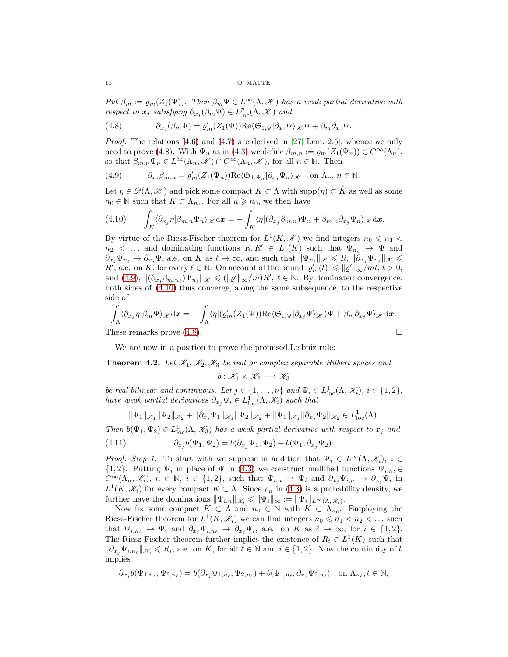Put  $\beta_m := \rho_m(Z_1(\Psi))$ . Then  $\beta_m \Psi \in L^{\infty}(\Lambda, \mathcal{K})$  has a weak partial derivative with respect to  $x_j$  satisfying  $\partial_{x_j}(\beta_m \Psi) \in L^p_{\text{loc}}(\Lambda, \mathcal{K})$  and

<span id="page-15-1"></span>(4.8) 
$$
\partial_{x_j}(\beta_m \Psi) = \varrho'_m(Z_1(\Psi)) \text{Re}\langle \mathfrak{S}_{1,\Psi} | \partial_{x_j} \Psi \rangle_{\mathscr{K}} \Psi + \beta_m \partial_{x_j} \Psi.
$$

*Proof.* The relations  $(4.6)$  and  $(4.7)$  are derived in [\[27,](#page-46-0) Lem. 2.5], whence we only need to prove [\(4.8\)](#page-15-1). With  $\Psi_n$  as in [\(4.3\)](#page-14-3) we define  $\beta_{m,n} := \varrho_m(Z_1(\Psi_n)) \in C^\infty(\Lambda_n)$ , so that  $\beta_{m,n}\Psi_n \in L^{\infty}(\Lambda_n, \mathscr{K}) \cap C^{\infty}(\Lambda_n, \mathscr{K})$ , for all  $n \in \mathbb{N}$ . Then

<span id="page-15-2"></span>(4.9) 
$$
\partial_{x_j} \beta_{m,n} = \varrho'_m(Z_1(\Psi_n)) \text{Re} \langle \mathfrak{S}_{1,\Psi_n} | \partial_{x_j} \Psi_n \rangle_{\mathscr{K}} \text{ on } \Lambda_n, n \in \mathbb{N}.
$$

Let  $\eta \in \mathscr{D}(\Lambda, \mathscr{K})$  and pick some compact  $K \subset \Lambda$  with  $\text{supp}(\eta) \subset \mathring{K}$  as well as some  $n_0 \in \mathbb{N}$  such that  $K \subset \Lambda_{n_0}$ . For all  $n \geqslant n_0$ , we then have

<span id="page-15-3"></span>(4.10) 
$$
\int_{K} \langle \partial_{x_j} \eta | \beta_{m,n} \Psi_n \rangle_{\mathscr{K}} d\mathbf{x} = - \int_{K} \langle \eta | (\partial_{x_j} \beta_{m,n}) \Psi_n + \beta_{m,n} \partial_{x_j} \Psi_n \rangle_{\mathscr{K}} d\mathbf{x}.
$$

By virtue of the Riesz-Fischer theorem for  $L^1(K, \mathcal{K})$  we find integers  $n_0 \leq n_1$  $n_2$  < ... and dominating functions  $R, R' \in L^1(K)$  such that  $\Psi_{n_\ell} \to \Psi$  and  $\partial_{x_j}\Psi_{n_\ell}\to\partial_{x_j}\Psi$ , a.e. on K as  $\ell\to\infty$ , and such that  $\|\Psi_{n_\ell}\|_{\mathscr{K}}\leqslant R$ ,  $\|\partial_{x_j}\Psi_{n_\ell}\|_{\mathscr{K}}\leqslant$  $R'$ , a.e. on K, for every  $\ell \in \mathbb{N}$ . On account of the bound  $|\varrho'_m(t)| \leqslant ||\varrho'||_{\infty}/mt, t > 0$ , and [\(4.9\)](#page-15-2),  $\|(\partial_{x_j}\beta_{m,n_\ell})\Psi_{n_\ell}\|_{\mathscr{K}} \leqslant (\|\varrho'\|_{\infty}/m)R', \ell \in \mathbb{N}$ . By dominated convergence, both sides of [\(4.10\)](#page-15-3) thus converge, along the same subsequence, to the respective side of

$$
\int_{\Lambda} \langle \partial_{x_j} \eta | \beta_m \Psi \rangle_{\mathscr{K}} d\mathbf{x} = - \int_{\Lambda} \langle \eta | (\varrho'_m(Z_1(\Psi)) \text{Re} \langle \mathfrak{S}_{1,\Psi} | \partial_{x_j} \Psi \rangle_{\mathscr{K}}) \Psi + \beta_m \partial_{x_j} \Psi \rangle_{\mathscr{K}} d\mathbf{x}.
$$
  
These remarks prove (4.8).

We are now in a position to prove the promised Leibniz rule:

<span id="page-15-0"></span>**Theorem 4.2.** Let  $\mathcal{K}_1, \mathcal{K}_2, \mathcal{K}_3$  be real or complex separable Hilbert spaces and

 $b: \mathscr{K}_1 \times \mathscr{K}_2 \longrightarrow \mathscr{K}_3$ 

be real bilinear and continuous. Let  $j \in \{1, ..., \nu\}$  and  $\Psi_i \in L^1_{loc}(\Lambda, \mathcal{K}_i)$ ,  $i \in \{1, 2\}$ , have weak partial derivatives  $\partial_{x_j} \Psi_i \in L^1_{loc}(\Lambda, \mathscr{K}_i)$  such that

$$
\|\Psi_1\|_{\mathscr{K}_1} \|\Psi_2\|_{\mathscr{K}_2} + \|\partial_{x_j}\Psi_1\|_{\mathscr{K}_1} \|\Psi_2\|_{\mathscr{K}_2} + \|\Psi_1\|_{\mathscr{K}_1} \|\partial_{x_j}\Psi_2\|_{\mathscr{K}_2} \in L^1_{loc}(\Lambda).
$$

Then  $b(\Psi_1, \Psi_2) \in L^1_{loc}(\Lambda, \mathcal{K}_3)$  has a weak partial derivative with respect to  $x_j$  and

<span id="page-15-4"></span>(4.11) 
$$
\partial_{x_j} b(\Psi_1, \Psi_2) = b(\partial_{x_j} \Psi_1, \Psi_2) + b(\Psi_1, \partial_{x_j} \Psi_2).
$$

*Proof.* Step 1. To start with we suppose in addition that  $\Psi_i \in L^{\infty}(\Lambda, \mathcal{K}_i)$ ,  $i \in$  $\{1,2\}$ . Putting  $\Psi_i$  in place of  $\Psi$  in  $(4.3)$  we construct mollified functions  $\Psi_{i,n}, \in$  $C^{\infty}(\Lambda_n,\mathscr{K}_i),\ n\in\mathbb{N},\ i\in\{1,2\},\$  such that  $\Psi_{i,n}\to\Psi_i$  and  $\partial_{x_j}\Psi_{i,n}\to\partial_{x_j}\Psi_i$  in  $L^1(K,\mathscr{K}_i)$  for every compact  $K\subset \Lambda$ . Since  $\rho_n$  in [\(4.3\)](#page-14-3) is a probability density, we further have the dominations  $\|\Psi_{i,n}\|_{\mathscr{K}_i} \leq \|\Psi_i\|_{\infty} := \|\Psi_i\|_{L^{\infty}(\Lambda,\mathscr{K}_i)}$ .

Now fix some compact  $K \subset \Lambda$  and  $n_0 \in \mathbb{N}$  with  $K \subset \Lambda_{n_0}$ . Employing the Riesz-Fischer theorem for  $L^1(K, \mathcal{K}_i)$  we can find integers  $n_0 \leq n_1 < n_2 < ...$  such that  $\Psi_{i,n_{\ell}} \to \Psi_i$  and  $\partial_{x_j} \Psi_{i,n_{\ell}} \to \partial_{x_j} \Psi_i$ , a.e. on K as  $\ell \to \infty$ , for  $i \in \{1,2\}$ . The Riesz-Fischer theorem further implies the existence of  $R_i \in L^1(K)$  such that  $\|\partial_{x_j}\Psi_{i,n_\ell}\|_{\mathscr{K}_i} \leq R_i$ , a.e. on K, for all  $\ell \in \mathbb{N}$  and  $i \in \{1,2\}$ . Now the continuity of b implies

$$
\partial_{x_j} b(\Psi_{1,n_\ell},\Psi_{2,n_\ell}) = b(\partial_{x_j}\Psi_{1,n_\ell},\Psi_{2,n_\ell}) + b(\Psi_{1,n_\ell},\partial_{x_j}\Psi_{2,n_\ell}) \quad \text{on } \Lambda_{n_\ell}, \ell \in \mathbb{N},
$$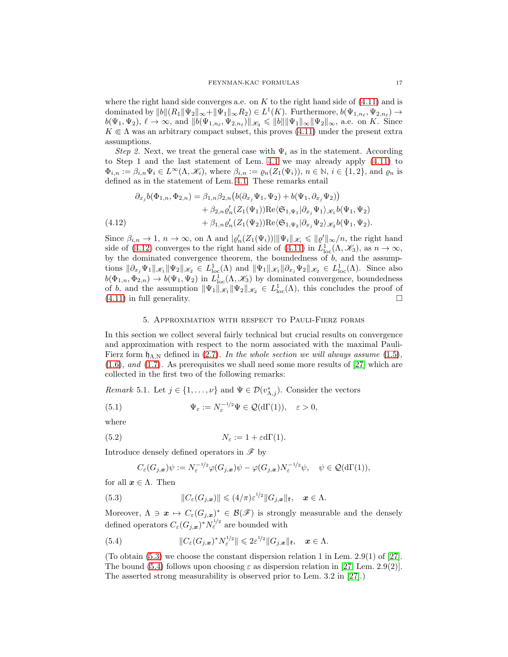where the right hand side converges a.e. on  $K$  to the right hand side of  $(4.11)$  and is dominated by  $||b||(R_1||\Psi_2||_{\infty} + ||\Psi_1||_{\infty}R_2) \in L^1(K)$ . Furthermore,  $b(\Psi_{1,n_\ell}, \Psi_{2,n_\ell}) \to$  $b(\Psi_1, \Psi_2), \ell \to \infty$ , and  $||b(\Psi_{1,n_{\ell}}, \Psi_{2,n_{\ell}})||_{\mathscr{K}_3} \leq ||b|| ||\Psi_1||_{\infty} ||\Psi_2||_{\infty}$ , a.e. on K. Since  $K \in \Lambda$  was an arbitrary compact subset, this proves [\(4.11\)](#page-15-4) under the present extra assumptions.

Step 2. Next, we treat the general case with  $\Psi_i$  as in the statement. According to Step 1 and the last statement of Lem. [4.1](#page-14-4) we may already apply [\(4.11\)](#page-15-4) to  $\Phi_{i,n} := \beta_{i,n} \Psi_i \in L^{\infty}(\Lambda, \mathscr{K}_i)$ , where  $\beta_{i,n} := \varrho_n(Z_1(\Psi_i)), n \in \mathbb{N}, i \in \{1,2\}$ , and  $\varrho_n$  is defined as in the statement of Lem. [4.1.](#page-14-4) These remarks entail

$$
\partial_{x_j} b(\Phi_{1,n}, \Phi_{2,n}) = \beta_{1,n} \beta_{2,n} \left( b(\partial_{x_j} \Psi_1, \Psi_2) + b(\Psi_1, \partial_{x_j} \Psi_2) \right) \n+ \beta_{2,n} \varrho_n'(Z_1(\Psi_1)) \text{Re} \langle \mathfrak{S}_{1,\Psi_1} | \partial_{x_j} \Psi_1 \rangle_{\mathscr{K}_1} b(\Psi_1, \Psi_2) \n+ \beta_{1,n} \varrho_n'(Z_1(\Psi_2)) \text{Re} \langle \mathfrak{S}_{1,\Psi_2} | \partial_{x_j} \Psi_2 \rangle_{\mathscr{K}_2} b(\Psi_1, \Psi_2).
$$
\n(4.12)

<span id="page-16-1"></span>Since  $\beta_{i,n} \to 1$ ,  $n \to \infty$ , on  $\Lambda$  and  $|\varrho'_n(Z_1(\Psi_i))| \|\Psi_i\|_{\mathscr{K}_i} \leqslant ||\varrho'||_{\infty}/n$ , the right hand side of [\(4.12\)](#page-16-1) converges to the right hand side of [\(4.11\)](#page-15-4) in  $L^1_{loc}(\Lambda, \mathcal{K}_3)$ , as  $n \to \infty$ , by the dominated convergence theorem, the boundedness of  $b$ , and the assumptions  $\|\partial_{x_j}\Psi_1\|_{\mathscr{K}_1} \|\Psi_2\|_{\mathscr{K}_2} \in L^1_{loc}(\Lambda)$  and  $\|\Psi_1\|_{\mathscr{K}_1} \|\partial_{x_j}\Psi_2\|_{\mathscr{K}_2} \in L^1_{loc}(\Lambda)$ . Since also  $b(\Phi_{1,n}, \Phi_{2,n}) \to b(\Psi_1, \Psi_2)$  in  $L^1_{loc}(\Lambda, \mathcal{K}_3)$  by dominated convergence, boundedness of b, and the assumption  $\|\Psi_1\|_{\mathscr{K}_1} \|\Psi_2\|_{\mathscr{K}_2} \in L^1_{loc}(\Lambda)$ , this concludes the proof of  $(4.11)$  in full generality.

## 5. Approximation with respect to Pauli-Fierz forms

<span id="page-16-0"></span>In this section we collect several fairly technical but crucial results on convergence and approximation with respect to the norm associated with the maximal Pauli-Fierz form  $\mathfrak{h}_{\Lambda,\mathbb{N}}$  defined in [\(2.7\)](#page-9-2). In the whole section we will always assume [\(1.5\)](#page-1-4), [\(1.6\)](#page-1-2), and [\(1.7\)](#page-1-3). As prerequisites we shall need some more results of [\[27\]](#page-46-0) which are collected in the first two of the following remarks:

<span id="page-16-6"></span>*Remark* 5.1. Let  $j \in \{1, ..., \nu\}$  and  $\Psi \in \mathcal{D}(v_{\Lambda,j}^*)$ . Consider the vectors

<span id="page-16-4"></span>(5.1) 
$$
\Psi_{\varepsilon} := N_{\varepsilon}^{-1/2} \Psi \in \mathcal{Q}(d\Gamma(1)), \quad \varepsilon > 0,
$$

where

<span id="page-16-5"></span>(5.2) 
$$
N_{\varepsilon} := 1 + \varepsilon \mathrm{d}\Gamma(1).
$$

Introduce densely defined operators in  $\mathscr F$  by

$$
C_{\varepsilon}(G_{j,\boldsymbol{x}})\psi := N_{\varepsilon}^{-1/2}\varphi(G_{j,\boldsymbol{x}})\psi - \varphi(G_{j,\boldsymbol{x}})N_{\varepsilon}^{-1/2}\psi, \quad \psi \in \mathcal{Q}(\mathrm{d}\Gamma(1)),
$$

for all  $x \in \Lambda$ . Then

<span id="page-16-2"></span>(5.3) 
$$
||C_{\varepsilon}(G_{j,\boldsymbol{x}})|| \leqslant (4/\pi)\varepsilon^{1/2}||G_{j,\boldsymbol{x}}||_{\mathfrak{k}}, \quad \boldsymbol{x} \in \Lambda.
$$

Moreover,  $\Lambda \ni x \mapsto C_{\varepsilon}(G_{j,x})^* \in \mathcal{B}(\mathscr{F})$  is strongly measurable and the densely defined operators  $C_{\varepsilon}(G_{j,\boldsymbol{x}})^*N_{\varepsilon}^{1/2}$  are bounded with

<span id="page-16-3"></span>(5.4) 
$$
\|C_{\varepsilon}(G_{j,\boldsymbol{x}})^*N_{\varepsilon}^{1/2}\| \leq 2\varepsilon^{1/2} \|G_{j,\boldsymbol{x}}\|_{\mathfrak{k}}, \quad \boldsymbol{x} \in \Lambda.
$$

(To obtain  $(5.3)$  we choose the constant dispersion relation 1 in Lem. 2.9(1) of [\[27\]](#page-46-0). The bound [\(5.4\)](#page-16-3) follows upon choosing  $\varepsilon$  as dispersion relation in [\[27,](#page-46-0) Lem. 2.9(2)]. The asserted strong measurability is observed prior to Lem. 3.2 in [\[27\]](#page-46-0).)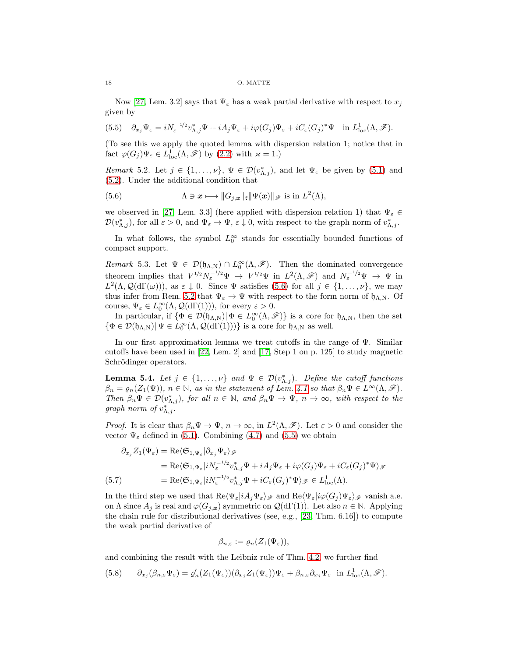#### 18 O. MATTE

Now [\[27,](#page-46-0) Lem. 3.2] says that  $\Psi_{\varepsilon}$  has a weak partial derivative with respect to  $x_j$ given by

<span id="page-17-3"></span>(5.5) 
$$
\partial_{x_j} \Psi_{\varepsilon} = iN_{\varepsilon}^{-1/2} v_{\Lambda,j}^* \Psi + iA_j \Psi_{\varepsilon} + i\varphi(G_j) \Psi_{\varepsilon} + iC_{\varepsilon}(G_j)^* \Psi \quad \text{in } L^1_{\text{loc}}(\Lambda, \mathscr{F}).
$$

(To see this we apply the quoted lemma with dispersion relation 1; notice that in fact  $\varphi(G_j)\Psi_{\varepsilon} \in L^1_{loc}(\Lambda, \mathscr{F})$  by  $(2.2)$  with  $\varkappa = 1$ .)

<span id="page-17-2"></span>Remark 5.2. Let  $j \in \{1,\ldots,\nu\}, \Psi \in \mathcal{D}(v_{\Lambda,j}^*)$ , and let  $\Psi_{\varepsilon}$  be given by [\(5.1\)](#page-16-4) and [\(5.2\)](#page-16-5). Under the additional condition that

<span id="page-17-1"></span>(5.6) 
$$
\Lambda \ni \mathbf{x} \longmapsto \|G_{j,\mathbf{x}}\|_{\mathbf{t}} \|\Psi(\mathbf{x})\|_{\mathcal{F}} \text{ is in } L^2(\Lambda),
$$

we observed in [\[27,](#page-46-0) Lem. 3.3] (here applied with dispersion relation 1) that  $\Psi_{\varepsilon} \in$  $\mathcal{D}(v_{\Lambda,j}^*),$  for all  $\varepsilon > 0$ , and  $\Psi_{\varepsilon} \to \Psi$ ,  $\varepsilon \downarrow 0$ , with respect to the graph norm of  $v_{\Lambda,j}^*$ .

In what follows, the symbol  $L_0^{\infty}$  stands for essentially bounded functions of compact support.

<span id="page-17-6"></span>Remark 5.3. Let  $\Psi \in \mathcal{D}(\mathfrak{h}_{\Lambda,\mathbb{N}}) \cap L_0^{\infty}(\Lambda,\mathscr{F})$ . Then the dominated convergence theorem implies that  $V^{1/2}N_{\varepsilon}^{-1/2}\Psi \to V^{1/2}\Psi$  in  $L^2(\Lambda,\mathscr{F})$  and  $N_{\varepsilon}^{-1/2}\Psi \to \Psi$  in  $L^2(\Lambda, \mathcal{Q}(\text{d}\Gamma(\omega)))$ , as  $\varepsilon \downarrow 0$ . Since  $\Psi$  satisfies [\(5.6\)](#page-17-1) for all  $j \in \{1, \ldots, \nu\}$ , we may thus infer from Rem. [5.2](#page-17-2) that  $\Psi_{\varepsilon} \to \Psi$  with respect to the form norm of  $\mathfrak{h}_{\Lambda,\mathrm{N}}$ . Of course,  $\Psi_{\varepsilon} \in L_0^{\infty}(\Lambda, \mathcal{Q}(d\Gamma(1))),$  for every  $\varepsilon > 0$ .

In particular, if  $\{\Phi \in \mathcal{D}(\mathfrak{h}_{\Lambda,N}) \mid \Phi \in L_0^{\infty}(\Lambda, \mathscr{F})\}$  is a core for  $\mathfrak{h}_{\Lambda,N}$ , then the set  $\{\Phi \in \mathcal{D}(\mathfrak{h}_{\Lambda, N}) | \Psi \in L_0^{\infty}(\Lambda, \mathcal{Q}(d\Gamma(1)))\}$  is a core for  $\mathfrak{h}_{\Lambda, N}$  as well.

In our first approximation lemma we treat cutoffs in the range of  $\Psi$ . Similar cutoffs have been used in [\[22,](#page-46-22) Lem. 2] and [\[17,](#page-46-21) Step 1 on p. 125] to study magnetic Schrödinger operators.

<span id="page-17-5"></span>**Lemma 5.4.** Let  $j \in \{1, ..., \nu\}$  and  $\Psi \in \mathcal{D}(v_{\Lambda,j}^*)$ . Define the cutoff functions  $\beta_n = \varrho_n(Z_1(\Psi)), n \in \mathbb{N}$ , as in the statement of Lem. [4.1](#page-14-4) so that  $\beta_n \Psi \in L^{\infty}(\Lambda, \mathscr{F})$ . Then  $\beta_n \Psi \in \mathcal{D}(v_{\Lambda,j}^*)$ , for all  $n \in \mathbb{N}$ , and  $\beta_n \Psi \to \Psi$ ,  $n \to \infty$ , with respect to the graph norm of  $v_{\Lambda,j}^*$ .

*Proof.* It is clear that  $\beta_n \Psi \to \Psi$ ,  $n \to \infty$ , in  $L^2(\Lambda, \mathscr{F})$ . Let  $\varepsilon > 0$  and consider the vector  $\Psi_{\varepsilon}$  defined in [\(5.1\)](#page-16-4). Combining [\(4.7\)](#page-14-2) and [\(5.5\)](#page-17-3) we obtain

$$
\partial_{x_j} Z_1(\Psi_{\varepsilon}) = \text{Re}\langle \mathfrak{S}_{1,\Psi_{\varepsilon}} | \partial_{x_j} \Psi_{\varepsilon} \rangle_{\mathscr{F}}
$$
\n
$$
= \text{Re}\langle \mathfrak{S}_{1,\Psi_{\varepsilon}} | i N_{\varepsilon}^{-1/2} v_{\Lambda,j}^* \Psi + i A_j \Psi_{\varepsilon} + i \varphi(G_j) \Psi_{\varepsilon} + i C_{\varepsilon}(G_j)^* \Psi \rangle_{\mathscr{F}}
$$
\n(5.7)\n
$$
= \text{Re}\langle \mathfrak{S}_{1,\Psi_{\varepsilon}} | i N_{\varepsilon}^{-1/2} v_{\Lambda,j}^* \Psi + i C_{\varepsilon}(G_j)^* \Psi \rangle_{\mathscr{F}} \in L^1_{\text{loc}}(\Lambda).
$$

<span id="page-17-4"></span>In the third step we used that  $\text{Re}\langle\Psi_{\varepsilon}|iA_j\Psi_{\varepsilon}\rangle_{\mathscr{F}}$  and  $\text{Re}\langle\Psi_{\varepsilon}|i\varphi(G_j)\Psi_{\varepsilon}\rangle_{\mathscr{F}}$  vanish a.e. on  $\Lambda$  since  $A_j$  is real and  $\varphi(G_{j,\boldsymbol{x}})$  symmetric on  $\mathcal{Q}(\mathrm{d}\Gamma(1))$ . Let also  $n \in \mathbb{N}$ . Applying the chain rule for distributional derivatives (see, e.g.,  $[23, Thm. 6.16]$ ) to compute the weak partial derivative of

$$
\beta_{n,\varepsilon} := \varrho_n(Z_1(\Psi_{\varepsilon})),
$$

and combining the result with the Leibniz rule of Thm. [4.2,](#page-15-0) we further find

<span id="page-17-0"></span>(5.8) 
$$
\partial_{x_j}(\beta_{n,\varepsilon}\Psi_{\varepsilon}) = \varrho'_n(Z_1(\Psi_{\varepsilon}))(\partial_{x_j}Z_1(\Psi_{\varepsilon}))\Psi_{\varepsilon} + \beta_{n,\varepsilon}\partial_{x_j}\Psi_{\varepsilon} \text{ in } L^1_{loc}(\Lambda, \mathscr{F}).
$$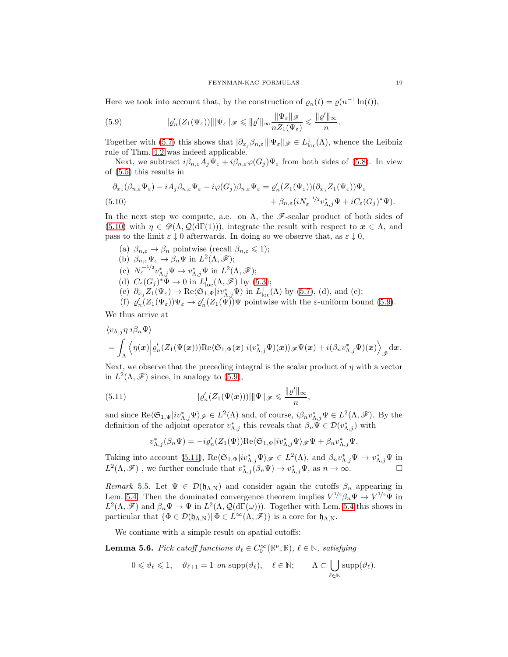Here we took into account that, by the construction of  $\varrho_n(t) = \varrho(n^{-1} \ln(t)),$ 

<span id="page-18-1"></span>(5.9) 
$$
|\varrho'_{n}(Z_{1}(\Psi_{\varepsilon}))| \|\Psi_{\varepsilon}\|_{\mathscr{F}} \leqslant \|\varrho'\|_{\infty} \frac{\|\Psi_{\varepsilon}\|_{\mathscr{F}}}{nZ_{1}(\Psi_{\varepsilon})} \leqslant \frac{\|\varrho'\|_{\infty}}{n}.
$$

Together with [\(5.7\)](#page-17-4) this shows that  $|\partial_{x_j} \beta_{n,\varepsilon}| \|\Psi_{\varepsilon}\|_{\mathscr{F}} \in L^1_{loc}(\Lambda)$ , whence the Leibniz rule of Thm. [4.2](#page-15-0) was indeed applicable.

Next, we subtract  $i\beta_{n,\varepsilon}A_j\Psi_{\varepsilon}+i\beta_{n,\varepsilon}\varphi(G_j)\Psi_{\varepsilon}$  from both sides of [\(5.8\)](#page-17-0). In view of [\(5.5\)](#page-17-3) this results in

<span id="page-18-0"></span>
$$
\partial_{x_j}(\beta_{n,\varepsilon}\Psi_{\varepsilon}) - iA_j\beta_{n,\varepsilon}\Psi_{\varepsilon} - i\varphi(G_j)\beta_{n,\varepsilon}\Psi_{\varepsilon} = \varrho'_n(Z_1(\Psi_{\varepsilon}))(\partial_{x_j}Z_1(\Psi_{\varepsilon}))\Psi_{\varepsilon} \n+ \beta_{n,\varepsilon}(iN_{\varepsilon}^{-1/2}v_{\Lambda,j}^*\Psi + iC_{\varepsilon}(G_j)^*\Psi).
$$
\n(5.10)

In the next step we compute, a.e. on  $\Lambda$ , the  $\mathscr{F}$ -scalar product of both sides of [\(5.10\)](#page-18-0) with  $\eta \in \mathscr{D}(\Lambda, \mathcal{Q}(d\Gamma(1))),$  integrate the result with respect to  $\mathbf{x} \in \Lambda$ , and pass to the limit  $\varepsilon \downarrow 0$  afterwards. In doing so we observe that, as  $\varepsilon \downarrow 0$ ,

(a)  $\beta_{n,\varepsilon} \to \beta_n$  pointwise (recall  $\beta_{n,\varepsilon} \leq 1$ ); (b)  $\beta_{n,\varepsilon} \Psi_{\varepsilon} \to \beta_n \Psi$  in  $L^2(\Lambda, \mathscr{F})$ ; (c)  $N_{\varepsilon}^{-1/2}v_{\Lambda,j}^*\Psi \to v_{\Lambda,j}^*\Psi$  in  $L^2(\Lambda,\mathscr{F})$ ; (d)  $C_{\varepsilon}(G_j)^*\Psi \to 0$  in  $L^1_{\text{loc}}(\Lambda,\mathscr{F})$  by  $(5.3)$ ; (e)  $\partial_{x_j} Z_1(\Psi_{\varepsilon}) \to \text{Re} \langle \mathfrak{S}_{1,\Psi} | i v_{\Lambda,j}^* \Psi \rangle$  in  $L^1_{\text{loc}}(\Lambda)$  by [\(5.7\)](#page-17-4), (d), and (e); (f)  $\varrho'_n(Z_1(\Psi_{\varepsilon}))\Psi_{\varepsilon} \to \varrho'_n(Z_1(\Psi))\Psi$  pointwise with the  $\varepsilon$ -uniform bound [\(5.9\)](#page-18-1).

We thus arrive at

$$
\langle v_{\Lambda,j}\eta|i\beta_n\Psi\rangle = \int_{\Lambda} \left\langle \eta(\boldsymbol{x}) \Big| \varrho_n'(Z_1(\Psi(\boldsymbol{x}))) \text{Re}\langle \mathfrak{S}_{1,\Psi}(\boldsymbol{x}) | i(v_{\Lambda,j}^*\Psi)(\boldsymbol{x}) \rangle_{\mathscr{F}} \Psi(\boldsymbol{x}) + i(\beta_n v_{\Lambda,j}^*\Psi)(\boldsymbol{x}) \right\rangle_{\mathscr{F}} d\boldsymbol{x}.
$$

Next, we observe that the preceding integral is the scalar product of  $\eta$  with a vector in  $L^2(\Lambda,\mathscr{F})$  since, in analogy to [\(5.9\)](#page-18-1),

<span id="page-18-2"></span>(5.11) 
$$
|\varrho'_n(Z_1(\Psi(\boldsymbol{x})))| \|\Psi\|_{\mathscr{F}} \leqslant \frac{\|\varrho'\|_{\infty}}{n},
$$

and since  $\text{Re}\langle \mathfrak{S}_{1,\Psi}|iv_{\Lambda,j}^*\Psi\rangle_{\mathscr{F}}\in L^2(\Lambda)$  and, of course,  $i\beta_n v_{\Lambda,j}^*\Psi\in L^2(\Lambda,\mathscr{F})$ . By the definition of the adjoint operator  $v_{\Lambda,j}^*$  this reveals that  $\beta_n \tilde{\Psi} \in \mathcal{D}(v_{\Lambda,j}^*)$  with

$$
v_{\Lambda,j}^*(\beta_n\Psi)=-i\varrho_n'(Z_1(\Psi))\mathrm{Re}\langle\mathfrak{S}_{1,\Psi}|iv_{\Lambda,j}^*\Psi\rangle_{\mathscr{F}}\Psi+\beta_nv_{\Lambda,j}^*\Psi.
$$

Taking into account [\(5.11\)](#page-18-2),  $\text{Re}\langle \mathfrak{S}_{1,\Psi}|iv_{\Lambda,j}^*\Psi\rangle_{\mathscr{F}}\in L^2(\Lambda)$ , and  $\beta_n v_{\Lambda,j}^*\Psi \to v_{\Lambda,j}^*\Psi$  in  $L^2(\Lambda,\mathscr{F})$ , we further conclude that  $v_{\Lambda,j}^*(\beta_n\Psi) \to v_{\Lambda,j}^*\Psi$ , as  $n \to \infty$ .

<span id="page-18-4"></span>Remark 5.5. Let  $\Psi \in \mathcal{D}(\mathfrak{h}_{\Lambda,\mathrm{N}})$  and consider again the cutoffs  $\beta_n$  appearing in Lem. [5.4.](#page-17-5) Then the dominated convergence theorem implies  $V^{1/2}\beta_n\Psi \to V^{1/2}\Psi$  in  $L^2(\Lambda,\mathscr{F})$  and  $\beta_n\Psi \to \Psi$  in  $L^2(\Lambda,\mathcal{Q}(d\Gamma(\omega)))$ . Together with Lem. [5.4](#page-17-5) this shows in particular that  $\{\Phi \in \mathcal{D}(\mathfrak{h}_{\Lambda,N}) | \Phi \in L^{\infty}(\Lambda, \mathscr{F})\}$  is a core for  $\mathfrak{h}_{\Lambda,N}$ .

We continue with a simple result on spatial cutoffs:

<span id="page-18-3"></span>**Lemma 5.6.** Pick cutoff functions  $\vartheta_{\ell} \in C_0^{\infty}(\mathbb{R}^{\nu}, \mathbb{R})$ ,  $\ell \in \mathbb{N}$ , satisfying

$$
0 \leq \vartheta_{\ell} \leq 1, \quad \vartheta_{\ell+1} = 1 \text{ on } \text{supp}(\vartheta_{\ell}), \quad \ell \in \mathbb{N}; \qquad \Lambda \subset \bigcup_{\ell \in \mathbb{N}} \text{supp}(\vartheta_{\ell}).
$$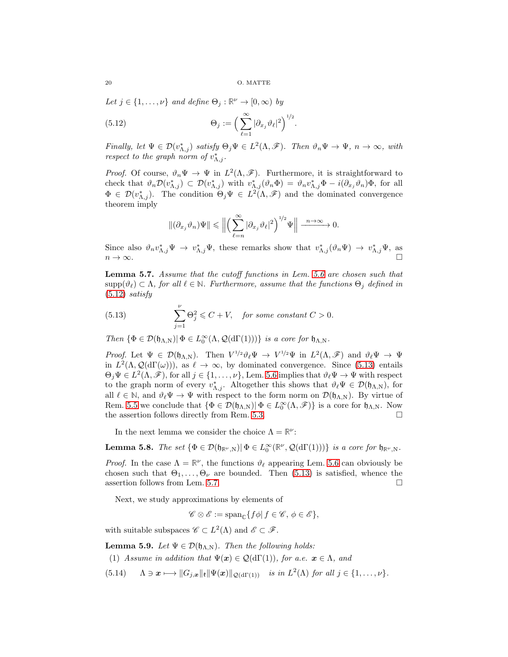Let  $j \in \{1, \ldots, \nu\}$  and define  $\Theta_j : \mathbb{R}^{\nu} \to [0, \infty)$  by

<span id="page-19-0"></span>(5.12) 
$$
\Theta_j := \left(\sum_{\ell=1}^{\infty} |\partial_{x_j} \vartheta_{\ell}|^2\right)^{1/2}.
$$

Finally, let  $\Psi \in \mathcal{D}(v_{\Lambda,j}^*)$  satisfy  $\Theta_j \Psi \in L^2(\Lambda, \mathscr{F})$ . Then  $\vartheta_n \Psi \to \Psi$ ,  $n \to \infty$ , with respect to the graph norm of  $v_{\Lambda,j}^*$ .

*Proof.* Of course,  $\vartheta_n \Psi \to \Psi$  in  $L^2(\Lambda, \mathscr{F})$ . Furthermore, it is straightforward to check that  $\vartheta_n \mathcal{D}(v_{\Lambda,j}^*) \subset \mathcal{D}(v_{\Lambda,j}^*)$  with  $v_{\Lambda,j}^*(\vartheta_n \Phi) = \vartheta_n v_{\Lambda,j}^* \Phi - i(\partial_{x_j} \vartheta_n) \Phi$ , for all  $\Phi \in \mathcal{D}(v_{\Lambda,j}^*)$ . The condition  $\Theta_j \Psi \in L^2(\Lambda, \mathscr{F})$  and the dominated convergence theorem imply

$$
\|(\partial_{x_j}\vartheta_n)\Psi\|\leqslant\Big\|\Big(\sum_{\ell=n}^\infty|\partial_{x_j}\vartheta_\ell|^2\Big)^{1/2}\Psi\Big\|\xrightarrow[n\to\infty]{}0.
$$

Since also  $\vartheta_n v_{\Lambda,j}^* \Psi \to v_{\Lambda,j}^* \Psi$ , these remarks show that  $v_{\Lambda,j}^* (\vartheta_n \Psi) \to v_{\Lambda,j}^* \Psi$ , as  $n \to \infty$ .

<span id="page-19-2"></span>Lemma 5.7. Assume that the cutoff functions in Lem. [5.6](#page-18-3) are chosen such that  $\text{supp}(\vartheta_\ell) \subset \Lambda$ , for all  $\ell \in \mathbb{N}$ . Furthermore, assume that the functions  $\Theta_i$  defined in  $(5.12)$  satisfy

<span id="page-19-1"></span>(5.13) 
$$
\sum_{j=1}^{\nu} \Theta_j^2 \leq C + V, \text{ for some constant } C > 0.
$$

Then  $\{\Phi \in \mathcal{D}(\mathfrak{h}_{\Lambda,\mathrm{N}}) | \Phi \in L_0^{\infty}(\Lambda, \mathcal{Q}(d\Gamma(1)))\}$  is a core for  $\mathfrak{h}_{\Lambda,\mathrm{N}}$ .

Proof. Let  $\Psi \in \mathcal{D}(\mathfrak{h}_{\Lambda,\mathrm{N}})$ . Then  $V^{1/2}\vartheta_\ell\Psi \to V^{1/2}\Psi$  in  $L^2(\Lambda,\mathscr{F})$  and  $\vartheta_\ell\Psi \to \Psi$ in  $L^2(\Lambda, \mathcal{Q}(\mathrm{d}\Gamma(\omega)))$ , as  $\ell \to \infty$ , by dominated convergence. Since [\(5.13\)](#page-19-1) entails  $\Theta_j \Psi \in L^2(\Lambda, \mathscr{F})$ , for all  $j \in \{1, \ldots, \nu\}$ , Lem. [5.6](#page-18-3) implies that  $\vartheta_\ell \Psi \to \Psi$  with respect to the graph norm of every  $v_{\Lambda,j}^*$ . Altogether this shows that  $\vartheta_\ell \Psi \in \mathcal{D}(\mathfrak{h}_{\Lambda,N})$ , for all  $\ell \in \mathbb{N}$ , and  $\vartheta_{\ell} \Psi \to \Psi$  with respect to the form norm on  $\mathcal{D}(\mathfrak{h}_{\Lambda,\mathbb{N}})$ . By virtue of Rem. [5.5](#page-18-4) we conclude that  $\{\Phi \in \mathcal{D}(\mathfrak{h}_{\Lambda,\mathbb{N}}) | \Phi \in L_0^{\infty}(\Lambda,\mathscr{F})\}$  is a core for  $\mathfrak{h}_{\Lambda,\mathbb{N}}$ . Now the assertion follows directly from Rem. [5.3.](#page-17-6)  $\Box$ 

In the next lemma we consider the choice  $\Lambda = \mathbb{R}^{\nu}$ :

<span id="page-19-5"></span>**Lemma 5.8.** The set  $\{\Phi \in \mathcal{D}(\mathfrak{h}_{\mathbb{R}^\nu,N}) | \Phi \in L_0^\infty(\mathbb{R}^\nu, \mathcal{Q}(d\Gamma(1)))\}$  is a core for  $\mathfrak{h}_{\mathbb{R}^\nu,N}$ .

*Proof.* In the case  $\Lambda = \mathbb{R}^{\nu}$ , the functions  $\vartheta_{\ell}$  appearing Lem. [5.6](#page-18-3) can obviously be chosen such that  $\Theta_1, \ldots, \Theta_{\nu}$  are bounded. Then [\(5.13\)](#page-19-1) is satisfied, whence the assertion follows from Lem. [5.7.](#page-19-2)  $\Box$ 

Next, we study approximations by elements of

$$
\mathscr{C} \otimes \mathscr{E} := \mathrm{span}_{\mathbb{C}} \{ f \phi | f \in \mathscr{C}, \phi \in \mathscr{E} \},
$$

with suitable subspaces  $\mathscr{C} \subset L^2(\Lambda)$  and  $\mathscr{E} \subset \mathscr{F}$ .

<span id="page-19-4"></span>**Lemma 5.9.** Let  $\Psi \in \mathcal{D}(\mathfrak{h}_{\Lambda,N})$ . Then the following holds:

(1) Assume in addition that  $\Psi(x) \in \mathcal{Q}(d\Gamma(1))$ , for a.e.  $x \in \Lambda$ , and

<span id="page-19-3"></span>(5.14)  $\Lambda \ni x \longmapsto \|G_{j,x}\|_{\mathfrak{k}} \|\Psi(x)\|_{\mathcal{Q}(\mathrm{d}\Gamma(1))}$  is in  $L^2(\Lambda)$  for all  $j \in \{1, \dots, \nu\}.$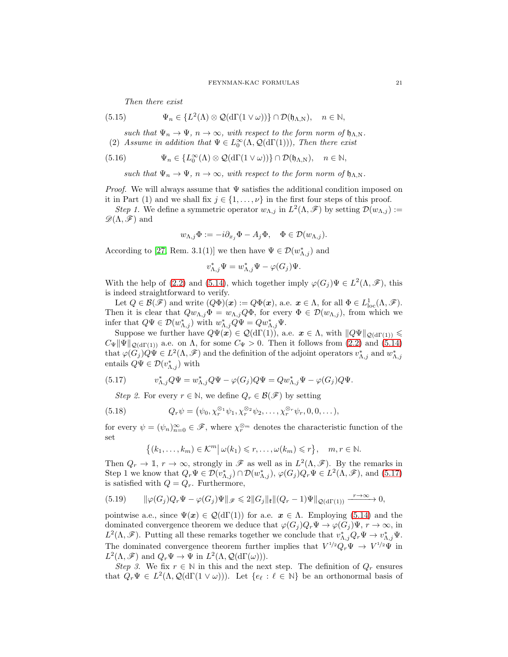Then there exist

(5.15) 
$$
\Psi_n \in \{L^2(\Lambda) \otimes \mathcal{Q}(\mathrm{d}\Gamma(1 \vee \omega))\} \cap \mathcal{D}(\mathfrak{h}_{\Lambda,\mathrm{N}}), \quad n \in \mathbb{N},
$$

such that  $\Psi_n \to \Psi$ ,  $n \to \infty$ , with respect to the form norm of  $\mathfrak{h}_{\Lambda,N}$ . (2) Assume in addition that  $\Psi \in L_0^{\infty}(\Lambda, \mathcal{Q}(d\Gamma(1)))$ , Then there exist

(5.16) 
$$
\Psi_n \in \{L_0^{\infty}(\Lambda) \otimes \mathcal{Q}(\mathrm{d}\Gamma(1 \vee \omega))\} \cap \mathcal{D}(\mathfrak{h}_{\Lambda,\mathrm{N}}), \quad n \in \mathbb{N},
$$

such that  $\Psi_n \to \Psi$ ,  $n \to \infty$ , with respect to the form norm of  $\mathfrak{h}_{\Lambda,N}$ .

*Proof.* We will always assume that  $\Psi$  satisfies the additional condition imposed on it in Part (1) and we shall fix  $j \in \{1, \ldots, \nu\}$  in the first four steps of this proof.

Step 1. We define a symmetric operator  $w_{\Lambda,j}$  in  $L^2(\Lambda,\mathscr{F})$  by setting  $\mathcal{D}(w_{\Lambda,j})$ :=  $\mathscr{D}(\Lambda,\mathscr{F})$  and

$$
w_{\Lambda,j}\Phi := -i\partial_{x_j}\Phi - A_j\Phi, \quad \Phi \in \mathcal{D}(w_{\Lambda,j}).
$$

According to [\[27,](#page-46-0) Rem. 3.1(1)] we then have  $\Psi \in \mathcal{D}(w_{\Lambda,j}^*)$  and

$$
v_{\Lambda,j}^* \Psi = w_{\Lambda,j}^* \Psi - \varphi(G_j) \Psi.
$$

With the help of [\(2.2\)](#page-8-0) and [\(5.14\)](#page-19-3), which together imply  $\varphi(G_j)\Psi \in L^2(\Lambda,\mathscr{F})$ , this is indeed straightforward to verify.

Let  $Q \in \mathcal{B}(\mathscr{F})$  and write  $(Q\Phi)(\mathbf{x}) := Q\Phi(\mathbf{x})$ , a.e.  $\mathbf{x} \in \Lambda$ , for all  $\Phi \in L^1_{loc}(\Lambda, \mathscr{F})$ . Then it is clear that  $Qu_{\Lambda,j}\Phi = w_{\Lambda,j}Q\Phi$ , for every  $\Phi \in \mathcal{D}(w_{\Lambda,j})$ , from which we infer that  $Q\Psi \in \mathcal{D}(w_{\Lambda,j}^*)$  with  $w_{\Lambda,j}^*Q\Psi = Qw_{\Lambda,j}^*\Psi$ .

Suppose we further have  $Q\Psi(x) \in \mathcal{Q}(d\Gamma(1))$ , a.e.  $x \in \Lambda$ , with  $||Q\Psi||_{\mathcal{Q}(d\Gamma(1))} \leq$  $C_{\Psi}$ || $\Psi$ ||<sub>Q(dГ(1))</sub> a.e. on  $\Lambda$ , for some  $C_{\Psi} > 0$ . Then it follows from [\(2.2\)](#page-8-0) and [\(5.14\)](#page-19-3) that  $\varphi(G_j)Q\tilde{\Psi} \in L^2(\Lambda, \mathscr{F})$  and the definition of the adjoint operators  $v_{\Lambda,j}^*$  and  $w_{\Lambda,j}^*$ entails  $Q\Psi \in \mathcal{D}(v_{\Lambda,j}^*)$  with

<span id="page-20-0"></span>(5.17) 
$$
v_{\Lambda,j}^* Q \Psi = w_{\Lambda,j}^* Q \Psi - \varphi(G_j) Q \Psi = Q w_{\Lambda,j}^* \Psi - \varphi(G_j) Q \Psi.
$$

Step 2. For every  $r \in \mathbb{N}$ , we define  $Q_r \in \mathcal{B}(\mathscr{F})$  by setting

(5.18) 
$$
Q_r \psi = (\psi_0, \chi_r^{\otimes_1} \psi_1, \chi_r^{\otimes_2} \psi_2, \dots, \chi_r^{\otimes_r} \psi_r, 0, 0, \dots),
$$

for every  $\psi = (\psi_n)_{n=0}^{\infty} \in \mathscr{F}$ , where  $\chi_r^{\otimes m}$  denotes the characteristic function of the set

$$
\{(k_1,\ldots,k_m)\in\mathcal{K}^m\big|\,\omega(k_1)\leq r,\ldots,\omega(k_m)\leq r\},\quad m,r\in\mathbb{N}.
$$

Then  $Q_r \to \mathbb{I}$ ,  $r \to \infty$ , strongly in  $\mathscr{F}$  as well as in  $L^2(\Lambda, \mathscr{F})$ . By the remarks in Step 1 we know that  $Q_r\Psi \in \mathcal{D}(v_{\Lambda,j}^*) \cap \mathcal{D}(w_{\Lambda,j}^*), \varphi(G_j)Q_r\Psi \in L^2(\Lambda, \mathscr{F}),$  and  $(5.17)$ is satisfied with  $Q = Q_r$ . Furthermore,

<span id="page-20-1"></span>(5.19) 
$$
\|\varphi(G_j)Q_r\Psi-\varphi(G_j)\Psi\|_{\mathscr{F}}\leq 2\|G_j\|_{\mathfrak{k}}\|(Q_r-1)\Psi\|_{\mathcal{Q}(\mathrm{d}\Gamma(1))}\xrightarrow{r\to\infty}0,
$$

pointwise a.e., since  $\Psi(x) \in \mathcal{Q}(\text{d}\Gamma(1))$  for a.e.  $x \in \Lambda$ . Employing [\(5.14\)](#page-19-3) and the dominated convergence theorem we deduce that  $\varphi(G_i)Q_r\Psi \to \varphi(G_i)\Psi, r \to \infty$ , in  $L^2(\Lambda,\mathscr{F})$ . Putting all these remarks together we conclude that  $v_{\Lambda,j}^*Q_r\Psi \to v_{\Lambda,j}^*\Psi$ . The dominated convergence theorem further implies that  $V^{1/2}Q_r\Psi \to V^{1/2}\Psi$  in  $L^2(\Lambda, \mathscr{F})$  and  $Q_r \Psi \to \Psi$  in  $L^2(\Lambda, \mathcal{Q}(\mathrm{d}\Gamma(\omega))).$ 

Step 3. We fix  $r \in \mathbb{N}$  in this and the next step. The definition of  $Q_r$  ensures that  $Q_r\Psi \in L^2(\Lambda, \mathcal{Q}(d\Gamma(1 \vee \omega)))$ . Let  $\{e_\ell : \ell \in \mathbb{N}\}\$  be an orthonormal basis of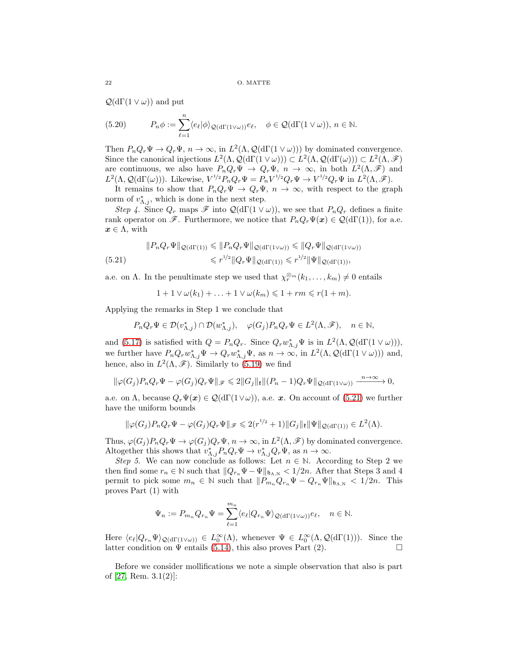$\mathcal{Q}(\mathrm{d}\Gamma(1 \vee \omega))$  and put

(5.20) 
$$
P_n \phi := \sum_{\ell=1}^n \langle e_\ell | \phi \rangle_{\mathcal{Q}(\mathrm{d}\Gamma(1 \vee \omega))} e_\ell, \quad \phi \in \mathcal{Q}(\mathrm{d}\Gamma(1 \vee \omega)), n \in \mathbb{N}.
$$

Then  $P_n Q_r \Psi \to Q_r \Psi$ ,  $n \to \infty$ , in  $L^2(\Lambda, \mathcal{Q}(d\Gamma(1 \vee \omega)))$  by dominated convergence. Since the canonical injections  $L^2(\Lambda, \mathcal{Q}(\mathrm{d}\Gamma(1 \vee \omega))) \subset L^2(\Lambda, \mathcal{Q}(\mathrm{d}\Gamma(\omega))) \subset L^2(\Lambda, \mathscr{F})$ are continuous, we also have  $P_n Q_r \Psi \to Q_r \Psi$ ,  $n \to \infty$ , in both  $L^2(\Lambda, \mathscr{F})$  and  $L^2(\Lambda, \mathcal{Q}(\mathrm{d}\Gamma(\omega)))$ . Likewise,  $V^{1/2}P_nQ_r\Psi = P_nV^{1/2}Q_r\Psi \to V^{1/2}Q_r\Psi$  in  $L^2(\Lambda, \mathscr{F})$ .

It remains to show that  $P_nQ_r\Psi \to Q_r\Psi$ ,  $n \to \infty$ , with respect to the graph norm of  $v_{\Lambda,j}^*$ , which is done in the next step.

Step 4. Since  $Q_r$  maps  $\mathscr F$  into  $\mathcal Q(\mathrm{d}\Gamma(1\vee\omega))$ , we see that  $P_nQ_r$  defines a finite rank operator on  $\mathscr{F}$ . Furthermore, we notice that  $P_n Q_r \Psi(x) \in \mathcal{Q}(\mathrm{d}\Gamma(1))$ , for a.e.  $x \in \Lambda$ , with

<span id="page-21-0"></span>
$$
||P_n Q_r \Psi||_{\mathcal{Q}(d\Gamma(1))} \leq ||P_n Q_r \Psi||_{\mathcal{Q}(d\Gamma(1\vee\omega))} \leq ||Q_r \Psi||_{\mathcal{Q}(d\Gamma(1\vee\omega))}
$$
\n
$$
\leq r^{1/2} ||Q_r \Psi||_{\mathcal{Q}(d\Gamma(1))} \leq r^{1/2} ||\Psi||_{\mathcal{Q}(d\Gamma(1))},
$$

a.e. on  $\Lambda$ . In the penultimate step we used that  $\chi_r^{\otimes m}(k_1,\ldots,k_m) \neq 0$  entails

$$
1 + 1 \vee \omega(k_1) + \ldots + 1 \vee \omega(k_m) \leq 1 + rm \leq r(1 + m).
$$

Applying the remarks in Step 1 we conclude that

$$
P_n Q_r \Psi \in \mathcal{D}(v_{\Lambda,j}^*) \cap \mathcal{D}(w_{\Lambda,j}^*), \quad \varphi(G_j) P_n Q_r \Psi \in L^2(\Lambda, \mathscr{F}), \quad n \in \mathbb{N},
$$

and [\(5.17\)](#page-20-0) is satisfied with  $Q = P_n Q_r$ . Since  $Q_r w_{\Lambda,j}^* \Psi$  is in  $L^2(\Lambda, \mathcal{Q}(\mathrm{d}\Gamma(1 \vee \omega)))$ , we further have  $P_n Q_r w_{\Lambda,j}^* \Psi \to Q_r w_{\Lambda,j}^* \Psi$ , as  $n \to \infty$ , in  $L^2(\Lambda, \mathcal{Q}(\mathrm{d}\Gamma(1 \vee \omega)))$  and, hence, also in  $L^2(\Lambda, \mathscr{F})$ . Similarly to [\(5.19\)](#page-20-1) we find

$$
\|\varphi(G_j)P_nQ_r\Psi-\varphi(G_j)Q_r\Psi\|_{\mathscr{F}}\leqslant 2\|G_j\|_{\mathfrak{k}}\|(P_n-1)Q_r\Psi\|_{\mathcal{Q}(\mathrm{d}\Gamma(1\vee\omega))}\xrightarrow{n\to\infty}0,
$$

a.e. on Λ, because  $Q_r\Psi(x) \in \mathcal{Q}(d\Gamma(1\vee \omega))$ , a.e. x. On account of [\(5.21\)](#page-21-0) we further have the uniform bounds

$$
\|\varphi(G_j)P_nQ_r\Psi-\varphi(G_j)Q_r\Psi\|_{\mathscr{F}}\leqslant 2(r^{1/2}+1)\|G_j\|_{\mathfrak{k}}\|\Psi\|_{\mathcal{Q}(\mathrm{d}\Gamma(1))}\in L^2(\Lambda).
$$

Thus,  $\varphi(G_j)P_nQ_r\Psi \to \varphi(G_j)Q_r\Psi$ ,  $n \to \infty$ , in  $L^2(\Lambda, \mathscr{F})$  by dominated convergence. Altogether this shows that  $v_{\Lambda,j}^* P_n Q_r \Psi \to v_{\Lambda,j}^* Q_r \Psi$ , as  $n \to \infty$ .

Step 5. We can now conclude as follows: Let  $n \in \mathbb{N}$ . According to Step 2 we then find some  $r_n \in \mathbb{N}$  such that  $||Q_{r_n} \Psi - \Psi||_{\mathfrak{h}_{\Lambda,\mathbb{N}}} < 1/2n$ . After that Steps 3 and 4 permit to pick some  $m_n \in \mathbb{N}$  such that  $||P_{m_n} Q_{r_n} \Psi - Q_{r_n} \Psi||_{\mathfrak{h}_{\Lambda,N}} < 1/2n$ . This proves Part (1) with

$$
\Psi_n := P_{m_n} Q_{r_n} \Psi = \sum_{\ell=1}^{m_n} \langle e_\ell | Q_{r_n} \Psi \rangle_{\mathcal{Q}(\mathrm{d}\Gamma(1 \vee \omega))} e_\ell, \quad n \in \mathbb{N}.
$$

Here  $\langle e_{\ell} | Q_{r_n} \Psi \rangle_{\mathcal{Q}(d\Gamma(1 \vee \omega))} \in L_0^{\infty}(\Lambda)$ , whenever  $\Psi \in L_0^{\infty}(\Lambda, \mathcal{Q}(d\Gamma(1)))$ . Since the latter condition on  $\Psi$  entails [\(5.14\)](#page-19-3), this also proves Part (2).

Before we consider mollifications we note a simple observation that also is part of [\[27,](#page-46-0) Rem. 3.1(2)]: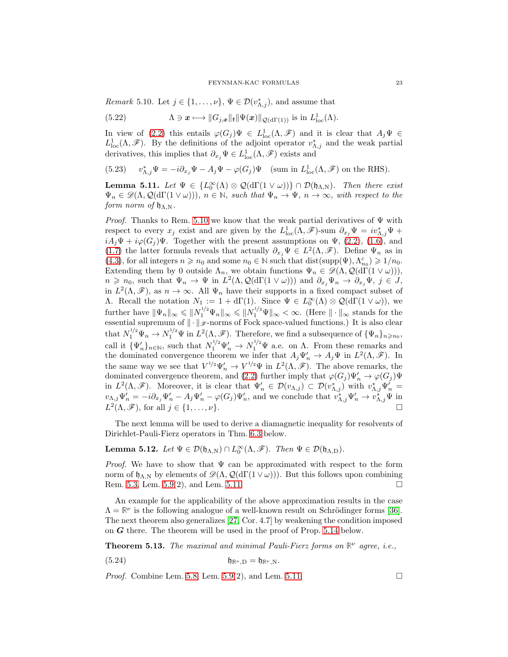<span id="page-22-0"></span>*Remark* 5.10. Let  $j \in \{1, ..., \nu\}$ ,  $\Psi \in \mathcal{D}(v_{\Lambda,j}^*)$ , and assume that

(5.22) 
$$
\Lambda \ni \mathbf{x} \longmapsto \|G_{j,\mathbf{x}}\|_{\mathbf{E}} \|\Psi(\mathbf{x})\|_{\mathcal{Q}(\mathrm{d}\Gamma(1))} \text{ is in } L^1_{\mathrm{loc}}(\Lambda).
$$

In view of [\(2.2\)](#page-8-0) this entails  $\varphi(G_j)\Psi \in L^1_{loc}(\Lambda,\mathscr{F})$  and it is clear that  $A_j\Psi \in$  $L^1_{loc}(\Lambda,\mathscr{F})$ . By the definitions of the adjoint operator  $v^*_{\Lambda,j}$  and the weak partial derivatives, this implies that  $\partial_{x_j} \Psi \in L^1_{loc}(\Lambda, \mathscr{F})$  exists and

(5.23)  $v_{\Lambda,j}^* \Psi = -i \partial_{x_j} \Psi - A_j \Psi - \varphi(G_j) \Psi$  (sum in  $L^1_{loc}(\Lambda, \mathscr{F})$  on the RHS).

<span id="page-22-1"></span>**Lemma 5.11.** Let  $\Psi \in \{L_0^{\infty}(\Lambda) \otimes \mathcal{Q}(\mathrm{d}\Gamma(1 \vee \omega))\} \cap \mathcal{D}(\mathfrak{h}_{\Lambda,\mathrm{N}})$ . Then there exist  $\Psi_n \in \mathscr{D}(\Lambda, \mathcal{Q}(\mathrm{d}\Gamma(1 \vee \omega)))$ ,  $n \in \mathbb{N}$ , such that  $\Psi_n \to \Psi$ ,  $n \to \infty$ , with respect to the form norm of  $\mathfrak{h}_{\Lambda,N}$ .

*Proof.* Thanks to Rem. [5.10](#page-22-0) we know that the weak partial derivatives of  $\Psi$  with respect to every  $x_j$  exist and are given by the  $L^1_{loc}(\Lambda, \mathscr{F})$ -sum  $\partial_{x_j}\Psi = iv^*_{\Lambda,j}\Psi +$  $iA_j\Psi + i\varphi(G_j)\Psi$ . Together with the present assumptions on  $\Psi$ , [\(2.2\)](#page-8-0), [\(1.6\)](#page-1-2), and [\(1.7\)](#page-1-3) the latter formula reveals that actually  $\partial_{x_j}\Psi \in L^2(\Lambda,\mathscr{F})$ . Define  $\Psi_n$  as in [\(4.3\)](#page-14-3), for all integers  $n \ge n_0$  and some  $n_0 \in \mathbb{N}$  such that dist(supp( $\Psi$ ),  $\Lambda_{n_0}^c$ )  $\ge 1/n_0$ . Extending them by 0 outside  $\Lambda_n$ , we obtain functions  $\Psi_n \in \mathscr{D}(\Lambda, \mathcal{Q}(d\Gamma(1 \vee \omega)))$ ,  $n \geq n_0$ , such that  $\Psi_n \to \Psi$  in  $L^2(\Lambda, \mathcal{Q}(\mathrm{d}\Gamma(1 \vee \omega)))$  and  $\partial_{x_j}\Psi_n \to \partial_{x_j}\Psi$ ,  $j \in J$ , in  $L^2(\Lambda,\mathscr{F})$ , as  $n \to \infty$ . All  $\Psi_n$  have their supports in a fixed compact subset of A. Recall the notation  $N_1 := 1 + d\Gamma(1)$ . Since  $\Psi \in L_0^{\infty}(\Lambda) \otimes \mathcal{Q}(d\Gamma(1 \vee \omega))$ , we further have  $\|\Psi_n\|_{\infty} \leqslant \|N_1^{1/2}\Psi_n\|_{\infty} \leqslant \|N_1^{1/2}\Psi\|_{\infty} < \infty$ . (Here  $\|\cdot\|_{\infty}$  stands for the essential supremum of  $\|\cdot\|_{\mathscr{F}}$ -norms of Fock space-valued functions.) It is also clear that  $N_1^{1/2} \Psi_n \to N_1^{1/2} \Psi$  in  $L^2(\Lambda, \mathscr{F})$ . Therefore, we find a subsequence of  ${\Psi_n}_{n \geq n_0}$ , call it  ${\{\Psi'_n\}}_{n\in\mathbb{N}}$ , such that  $N_1^{1/2}\Psi'_n \to N_1^{1/2}\Psi$  a.e. on  $\Lambda$ . From these remarks and the dominated convergence theorem we infer that  $A_j \Psi'_n \to A_j \Psi$  in  $L^2(\Lambda, \mathscr{F})$ . In the same way we see that  $V^{1/2}\Psi'_n \to V^{1/2}\Psi$  in  $L^2(\Lambda,\mathscr{F})$ . The above remarks, the dominated convergence theorem, and [\(2.2\)](#page-8-0) further imply that  $\varphi(G_j)\Psi'_n \to \varphi(G_j)\Psi'_n$ in  $L^2(\Lambda, \mathscr{F})$ . Moreover, it is clear that  $\Psi'_n \in \mathcal{D}(v_{\Lambda,j}) \subset \mathcal{D}(v_{\Lambda,j}^*)$  with  $v_{\Lambda,j}^* \Psi'_n =$  $v_{\Lambda,j}\Psi'_n = -i\partial_{x_j}\Psi'_n - A_j\Psi'_n - \varphi(G_j)\Psi'_n$ , and we conclude that  $v_{\Lambda,j}^*\Psi'_n \to v_{\Lambda,j}^*\Psi$  in  $L^2(\Lambda, \mathscr{F})$ , for all  $j \in \{1, \ldots, \nu\}$ .

The next lemma will be used to derive a diamagnetic inequality for resolvents of Dirichlet-Pauli-Fierz operators in Thm. [6.3](#page-25-0) below.

<span id="page-22-2"></span>**Lemma 5.12.** Let  $\Psi \in \mathcal{D}(\mathfrak{h}_{\Lambda,N}) \cap L_0^{\infty}(\Lambda,\mathscr{F})$ . Then  $\Psi \in \mathcal{D}(\mathfrak{h}_{\Lambda,D})$ .

*Proof.* We have to show that  $\Psi$  can be approximated with respect to the form norm of  $\mathfrak{h}_{\Lambda,\mathrm{N}}$  by elements of  $\mathscr{D}(\Lambda,\mathcal{Q}(\mathrm{d}\Gamma(1\vee\omega)))$ . But this follows upon combining Rem. [5.3,](#page-17-6) Lem. [5.9\(](#page-19-4)2), and Lem. [5.11.](#page-22-1)

An example for the applicability of the above approximation results in the case  $\Lambda = \mathbb{R}^{\nu}$  is the following analogue of a well-known result on Schrödinger forms [\[36\]](#page-46-18). The next theorem also generalizes [\[27,](#page-46-0) Cor. 4.7] by weakening the condition imposed on G there. The theorem will be used in the proof of Prop. [5.14](#page-23-0) below.

**Theorem 5.13.** The maximal and minimal Pauli-Fierz forms on  $\mathbb{R}^{\nu}$  agree, i.e.,

$$
\mathfrak{h}_{\mathbb{R}^{\nu},D} = \mathfrak{h}_{\mathbb{R}^{\nu},N}.
$$

*Proof.* Combine Lem. [5.8,](#page-19-5) Lem. [5.9\(](#page-19-4)2), and Lem. [5.11.](#page-22-1)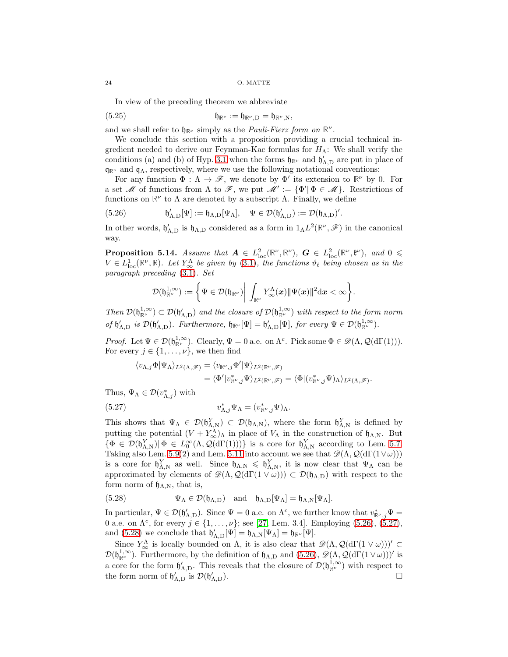In view of the preceding theorem we abbreviate

<span id="page-23-4"></span>
$$
\mathfrak{h}_{\mathbb{R}^\nu} := \mathfrak{h}_{\mathbb{R}^\nu, D} = \mathfrak{h}_{\mathbb{R}^\nu, N},
$$

and we shall refer to  $\mathfrak{h}_{\mathbb{R}^{\nu}}$  simply as the *Pauli-Fierz form on*  $\mathbb{R}^{\nu}$ .

We conclude this section with a proposition providing a crucial technical ingredient needed to derive our Feynman-Kac formulas for  $H_{\Lambda}$ : We shall verify the conditions (a) and (b) of Hyp. [3.1](#page-10-4) when the forms  $\mathfrak{h}_{\mathbb{R}^{\nu}}$  and  $\mathfrak{h}'_{\Lambda,D}$  are put in place of  $\mathfrak{q}_{\mathbb{R}^{\nu}}$  and  $\mathfrak{q}_{\Lambda}$ , respectively, where we use the following notational conventions:

For any function  $\Phi : \Lambda \to \mathscr{F}$ , we denote by  $\Phi'$  its extension to  $\mathbb{R}^{\nu}$  by 0. For a set M of functions from  $\Lambda$  to F, we put  $\mathcal{M}' := {\Phi' | \Phi \in \mathcal{M}}$ . Restrictions of functions on  $\mathbb{R}^{\nu}$  to  $\Lambda$  are denoted by a subscript  $\Lambda$ . Finally, we define

<span id="page-23-1"></span>(5.26) 
$$
\mathfrak{h}'_{\Lambda,D}[\Psi] := \mathfrak{h}_{\Lambda,D}[\Psi_\Lambda], \quad \Psi \in \mathcal{D}(\mathfrak{h}'_{\Lambda,D}) := \mathcal{D}(\mathfrak{h}_{\Lambda,D})'.
$$

In other words,  $\mathfrak{h}'_{\Lambda,D}$  is  $\mathfrak{h}_{\Lambda,D}$  considered as a form in  $1_{\Lambda} L^2(\mathbb{R}^{\nu}, \mathscr{F})$  in the canonical way.

<span id="page-23-0"></span>**Proposition 5.14.** Assume that  $A \in L^2_{loc}(\mathbb{R}^{\nu}, \mathbb{R}^{\nu})$ ,  $G \in L^2_{loc}(\mathbb{R}^{\nu}, \mathfrak{k}^{\nu})$ , and  $0 \leq$  $V \in L^1_{loc}(\mathbb{R}^{\nu}, \mathbb{R})$ . Let  $Y^{\Lambda}_{\infty}$  be given by [\(3.1\)](#page-10-0), the functions  $\vartheta_{\ell}$  being chosen as in the paragraph preceding [\(3.1\)](#page-10-0). Set

$$
\mathcal{D}(\mathfrak{h}_{\mathbb{R}^\nu}^{1,\infty}):=\bigg\{\Psi\in\mathcal{D}(\mathfrak{h}_{\mathbb{R}^\nu})\bigg|\,\int_{\mathbb{R}^\nu}Y^\Lambda_\infty(\boldsymbol{x})\|\Psi(\boldsymbol{x})\|^2\mathrm{d}\boldsymbol{x}<\infty\bigg\}.
$$

Then  $\mathcal{D}(\mathfrak{h}_{\mathbb{R}^{\nu}}^{1,\infty}) \subset \mathcal{D}(\mathfrak{h}_{\Lambda,D}^{\prime})$  and the closure of  $\mathcal{D}(\mathfrak{h}_{\mathbb{R}^{\nu}}^{1,\infty})$  with respect to the form norm of  $\mathfrak{h}'_{\Lambda,D}$  is  $\mathcal{D}(\mathfrak{h}'_{\Lambda,D})$ . Furthermore,  $\mathfrak{h}_{\mathbb{R}^\nu}[\Psi] = \mathfrak{h}'_{\Lambda,D}[\Psi]$ , for every  $\Psi \in \mathcal{D}(\mathfrak{h}_{\mathbb{R}^\nu}^{1,\infty})$ .

*Proof.* Let  $\Psi \in \mathcal{D}(\mathfrak{h}_{\mathbb{R}^{\nu}}^{1,\infty})$ . Clearly,  $\Psi = 0$  a.e. on  $\Lambda^c$ . Pick some  $\Phi \in \mathscr{D}(\Lambda, \mathcal{Q}(d\Gamma(1)))$ . For every  $j \in \{1, \ldots, \nu\}$ , we then find

$$
\begin{aligned} \langle v_{\Lambda,j} \Phi | \Psi_\Lambda \rangle_{L^2(\Lambda, \mathscr{F})} &= \langle v_{\mathbb{R}^\nu, j} \Phi' | \Psi \rangle_{L^2(\mathbb{R}^\nu, \mathscr{F})} \\ &= \langle \Phi' | v_{\mathbb{R}^\nu, j}^* \Psi \rangle_{L^2(\mathbb{R}^\nu, \mathscr{F})} = \langle \Phi | (v_{\mathbb{R}^\nu, j}^* \Psi)_\Lambda \rangle_{L^2(\Lambda, \mathscr{F})}. \end{aligned}
$$

Thus,  $\Psi_{\Lambda} \in \mathcal{D}(v_{\Lambda,j}^*)$  with

<span id="page-23-2"></span>(5.27) 
$$
v_{\Lambda,j}^* \Psi_\Lambda = (v_{\mathbb{R}^\nu,j}^* \Psi)_\Lambda.
$$

This shows that  $\Psi_{\Lambda} \in \mathcal{D}(\mathfrak{h}_{\Lambda,\mathrm{N}}^Y) \subset \mathcal{D}(\mathfrak{h}_{\Lambda,\mathrm{N}})$ , where the form  $\mathfrak{h}_{\Lambda,\mathrm{N}}^Y$  is defined by putting the potential  $(V + Y^{\Lambda}_{\infty})_{\Lambda}$  in place of  $V_{\Lambda}$  in the construction of  $\mathfrak{h}_{\Lambda,N}$ . But  $\{\Phi \in \mathcal{D}(\mathfrak{h}_{\Lambda,\mathrm{N}}^Y)| \Phi \in L_0^{\infty}(\Lambda,\mathcal{Q}(\mathrm{d}\Gamma(1)))\}$  is a core for  $\mathfrak{h}_{\Lambda,\mathrm{N}}^Y$  according to Lem. [5.7.](#page-19-2) Taking also Lem. [5.9\(](#page-19-4)2) and Lem. [5.11](#page-22-1) into account we see that  $\mathscr{D}(\Lambda, \mathcal{Q}(d\Gamma(1\vee\omega)))$ is a core for  $\mathfrak{h}_{\Lambda,\mathrm{N}}^Y$  as well. Since  $\mathfrak{h}_{\Lambda,\mathrm{N}} \leq \mathfrak{h}_{\Lambda,\mathrm{N}}^Y$ , it is now clear that  $\Psi_\Lambda$  can be approximated by elements of  $\mathscr{D}(\Lambda, \mathcal{Q}(d\Gamma(1 \vee \omega))) \subset \mathcal{D}(\mathfrak{h}_{\Lambda,D})$  with respect to the form norm of  $\mathfrak{h}_{\Lambda,N}$ , that is,

<span id="page-23-3"></span>(5.28) 
$$
\Psi_{\Lambda} \in \mathcal{D}(\mathfrak{h}_{\Lambda,D}) \quad \text{and} \quad \mathfrak{h}_{\Lambda,D}[\Psi_{\Lambda}] = \mathfrak{h}_{\Lambda,N}[\Psi_{\Lambda}].
$$

In particular,  $\Psi \in \mathcal{D}(\mathfrak{h}_{\Lambda,D}^{\prime})$ . Since  $\Psi = 0$  a.e. on  $\Lambda^c$ , we further know that  $v_{\mathbb{R}^{\nu},j}^* \Psi =$ 0 a.e. on  $\Lambda^c$ , for every  $j \in \{1, ..., \nu\}$ ; see [\[27,](#page-46-0) Lem. 3.4]. Employing [\(5.26\)](#page-23-1), [\(5.27\)](#page-23-2), and [\(5.28\)](#page-23-3) we conclude that  $\mathfrak{h}'_{\Lambda,D}[\Psi] = \mathfrak{h}_{\Lambda,N}[\Psi_{\Lambda}] = \mathfrak{h}_{\mathbb{R}^{\nu}}[\Psi]$ .

Since  $Y^{\Lambda}_{\infty}$  is locally bounded on  $\Lambda$ , it is also clear that  $\mathscr{D}(\Lambda, \mathcal{Q}(d\Gamma(1 \vee \omega)))' \subset$  $\mathcal{D}(\mathfrak{h}_{\mathbb{R}^\nu}^{1,\infty})$ . Furthermore, by the definition of  $\mathfrak{h}_{\Lambda,D}$  and  $(5.26)$ ,  $\mathscr{D}(\Lambda,\mathcal{Q}(d\Gamma(1\vee\omega)))'$  is a core for the form  $\mathfrak{h}'_{\Lambda,D}$ . This reveals that the closure of  $\mathcal{D}(\mathfrak{h}_{\mathbb{R}^\nu}^{1,\infty})$  with respect to the form norm of  $\mathfrak{h}'_{\Lambda,D}$  is  $\mathcal{D}(\mathfrak{h}'_1)$  $\Lambda$ , D).

$$
24\quad
$$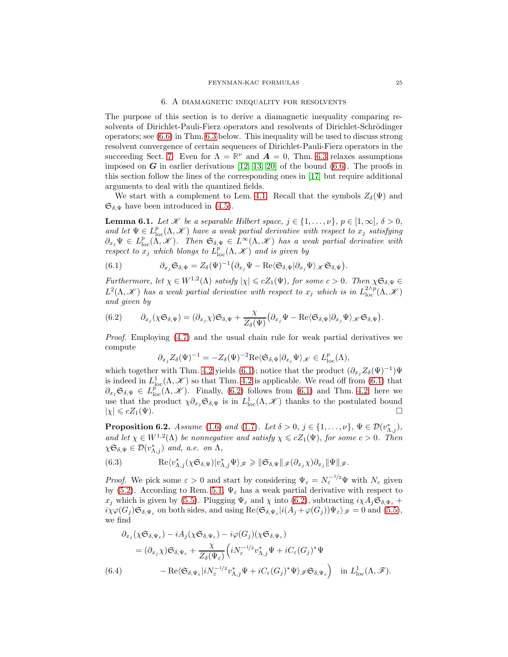#### 6. A diamagnetic inequality for resolvents

<span id="page-24-0"></span>The purpose of this section is to derive a diamagnetic inequality comparing resolvents of Dirichlet-Pauli-Fierz operators and resolvents of Dirichlet-Schrödinger operators; see [\(6.6\)](#page-25-1) in Thm. [6.3](#page-25-0) below. This inequality will be used to discuss strong resolvent convergence of certain sequences of Dirichlet-Pauli-Fierz operators in the succeeding Sect. [7.](#page-26-0) Even for  $\Lambda = \mathbb{R}^{\nu}$  and  $\mathbf{A} = 0$ , Thm. [6.3](#page-25-0) relaxes assumptions imposed on  $G$  in earlier derivations [\[12,](#page-46-24) [13,](#page-46-10) [20\]](#page-46-25) of the bound  $(6.6)$ . The proofs in this section follow the lines of the corresponding ones in [\[17\]](#page-46-21) but require additional arguments to deal with the quantized fields.

We start with a complement to Lem. [4.1.](#page-14-4) Recall that the symbols  $Z_{\delta}(\Psi)$  and  $\mathfrak{S}_{\delta,\Psi}$  have been introduced in [\(4.5\)](#page-14-5).

**Lemma 6.1.** Let  $\mathcal{K}$  be a separable Hilbert space,  $j \in \{1, \ldots, \nu\}$ ,  $p \in [1, \infty]$ ,  $\delta > 0$ , and let  $\Psi \in L^p_{loc}(\Lambda, \mathcal{K})$  have a weak partial derivative with respect to  $x_j$  satisfying  $\partial_{x_j}\Psi \in L^p_{loc}(\Lambda,\mathscr{K})$ . Then  $\mathfrak{S}_{\delta,\Psi} \in L^\infty(\Lambda,\mathscr{K})$  has a weak partial derivative with respect to  $x_j$  which blongs to  $L^p_{\text{loc}}(\Lambda, \mathcal{K})$  and is given by

<span id="page-24-1"></span>(6.1) 
$$
\partial_{x_j} \mathfrak{S}_{\delta,\Psi} = Z_{\delta}(\Psi)^{-1} \big( \partial_{x_j} \Psi - \text{Re} \langle \mathfrak{S}_{\delta,\Psi} | \partial_{x_j} \Psi \rangle_{\mathscr{K}} \mathfrak{S}_{\delta,\Psi} \big).
$$

Furthermore, let  $\chi \in W^{1,2}(\Lambda)$  satisfy  $|\chi| \leq cZ_1(\Psi)$ , for some  $c > 0$ . Then  $\chi \mathfrak{S}_{\delta,\Psi} \in$  $L^2(\Lambda, \mathscr{K})$  has a weak partial derivative with respect to  $x_j$  which is in  $L^{2\wedge p}_{\text{loc}}(\Lambda, \mathscr{K})$ and given by

<span id="page-24-2"></span>(6.2) 
$$
\partial_{x_j}(\chi \mathfrak{S}_{\delta,\Psi}) = (\partial_{x_j} \chi) \mathfrak{S}_{\delta,\Psi} + \frac{\chi}{Z_{\delta}(\Psi)} (\partial_{x_j} \Psi - \text{Re} \langle \mathfrak{S}_{\delta,\Psi} | \partial_{x_j} \Psi \rangle_{\mathscr{K}} \mathfrak{S}_{\delta,\Psi}).
$$

Proof. Employing [\(4.7\)](#page-14-2) and the usual chain rule for weak partial derivatives we compute

$$
\partial_{x_j} Z_{\delta}(\Psi)^{-1} = -Z_{\delta}(\Psi)^{-2} \text{Re}\langle \mathfrak{S}_{\delta,\Psi} | \partial_{x_j} \Psi \rangle_{\mathscr{K}} \in L^p_{\text{loc}}(\Lambda),
$$

which together with Thm. [4.2](#page-15-0) yields [\(6.1\)](#page-24-1); notice that the product  $(\partial_{x_j} Z_{\delta}(\Psi)^{-1}) \Psi$ is indeed in  $L^1_{loc}(\Lambda, \mathcal{K})$  so that Thm. [4.2](#page-15-0) is applicable. We read off from [\(6.1\)](#page-24-1) that  $\partial_{x_j} \mathfrak{S}_{\delta,\Psi} \in L^p_{\text{loc}}(\Lambda, \mathscr{K})$ . Finally, [\(6.2\)](#page-24-2) follows from [\(6.1\)](#page-24-1) and Thm. [4.2;](#page-15-0) here we use that the product  $\chi \partial_{x_j} \mathfrak{S}_{\delta,\Psi}$  is in  $L^1_{loc}(\Lambda, \mathscr{K})$  thanks to the postulated bound  $|\chi| \leqslant cZ_1(\Psi)$ .

<span id="page-24-4"></span>**Proposition 6.2.** Assume [\(1.6\)](#page-1-2) and [\(1.7\)](#page-1-3). Let  $\delta > 0$ ,  $j \in \{1, ..., \nu\}$ ,  $\Psi \in \mathcal{D}(v_{\Lambda,j}^*)$ , and let  $\chi \in W^{1,2}(\Lambda)$  be nonnegative and satisfy  $\chi \leq cZ_1(\Psi)$ , for some  $c > 0$ . Then  $\chi \mathfrak{S}_{\delta,\Psi} \in \mathcal{D}(v_{\Lambda,j}^*)$  and, a.e. on  $\Lambda$ ,

<span id="page-24-5"></span>(6.3) 
$$
\operatorname{Re}\langle v_{\Lambda,j}^*(\chi\mathfrak{S}_{\delta,\Psi})|v_{\Lambda,j}^*\Psi\rangle_{\mathscr{F}} \geq \|\mathfrak{S}_{\delta,\Psi}\|_{\mathscr{F}}(\partial_{x_j}\chi)\partial_{x_j}\|\Psi\|_{\mathscr{F}}.
$$

*Proof.* We pick some  $\varepsilon > 0$  and start by considering  $\Psi_{\varepsilon} = N_{\varepsilon}^{-1/2} \Psi$  with  $N_{\varepsilon}$  given by [\(5.2\)](#page-16-5). According to Rem. [5.1,](#page-16-6)  $\Psi_{\varepsilon}$  has a weak partial derivative with respect to  $x_j$  which is given by [\(5.5\)](#page-17-3). Plugging  $\Psi_{\varepsilon}$  and  $\chi$  into [\(6.2\)](#page-24-2), subtracting  $i\chi A_j \mathfrak{S}_{\delta,\Psi_{\varepsilon}} +$  $i\chi\varphi(G_j)\mathfrak{S}_{\delta,\Psi_{\varepsilon}}$  on both sides, and using  $\text{Re}\langle \mathfrak{S}_{\delta,\Psi_{\varepsilon}}|i(A_j+\varphi(G_j))\Psi_{\varepsilon}\rangle_{\mathscr{F}} = 0$  and [\(5.5\)](#page-17-3), we find

<span id="page-24-3"></span>
$$
\partial_{x_j} (\chi \mathfrak{S}_{\delta, \Psi_{\varepsilon}}) - i A_j (\chi \mathfrak{S}_{\delta, \Psi_{\varepsilon}}) - i \varphi(G_j) (\chi \mathfrak{S}_{\delta, \Psi_{\varepsilon}})
$$
\n
$$
= (\partial_{x_j} \chi) \mathfrak{S}_{\delta, \Psi_{\varepsilon}} + \frac{\chi}{Z_{\delta}(\Psi_{\varepsilon})} \left( i N_{\varepsilon}^{-1/2} v_{\Lambda, j}^* \Psi + i C_{\varepsilon} (G_j)^* \Psi \right)
$$
\n
$$
(6.4) \qquad - \operatorname{Re} \langle \mathfrak{S}_{\delta, \Psi_{\varepsilon}} | i N_{\varepsilon}^{-1/2} v_{\Lambda, j}^* \Psi + i C_{\varepsilon} (G_j)^* \Psi \rangle_{\mathscr{F}} \mathfrak{S}_{\delta, \Psi_{\varepsilon}} \right) \quad \text{in} \ L^1_{\text{loc}}(\Lambda, \mathscr{F}).
$$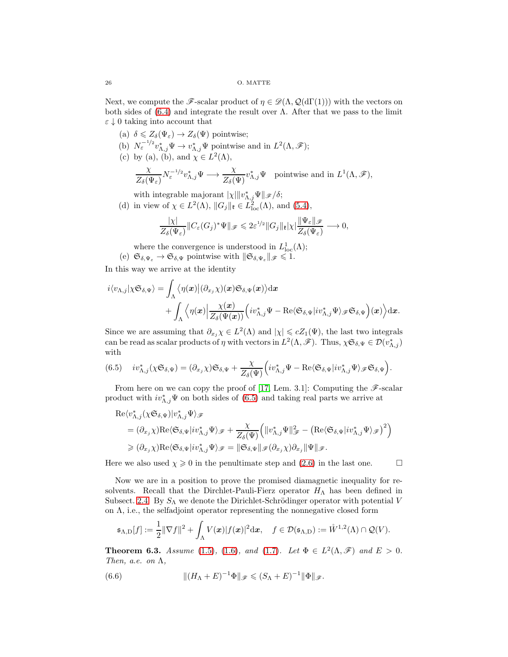Next, we compute the F-scalar product of  $\eta \in \mathcal{D}(\Lambda, \mathcal{Q}(d\Gamma(1)))$  with the vectors on both sides of  $(6.4)$  and integrate the result over  $\Lambda$ . After that we pass to the limit  $\varepsilon \downarrow 0$  taking into account that

- (a)  $\delta \leq Z_{\delta}(\Psi_{\varepsilon}) \to Z_{\delta}(\Psi)$  pointwise;
- (b)  $N_{\varepsilon}^{-1/2}v_{\Lambda,j}^*\Psi \to v_{\Lambda,j}^*\Psi$  pointwise and in  $L^2(\Lambda,\mathscr{F})$ ;
- (c) by (a), (b), and  $\chi \in L^2(\Lambda)$ ,

$$
\frac{\chi}{Z_{\delta}(\Psi_{\varepsilon})} N_{\varepsilon}^{-1/2} v_{\Lambda,j}^{*} \Psi \longrightarrow \frac{\chi}{Z_{\delta}(\Psi)} v_{\Lambda,j}^{*} \Psi \text{ pointwise and in } L^{1}(\Lambda, \mathscr{F}),
$$

with integrable majorant  $|\chi| ||v^*_{\Lambda,j} \Psi||_{\mathscr{F}} / \delta;$ 

(d) in view of  $\chi \in L^2(\Lambda)$ ,  $||G_j||_{\mathfrak{k}} \in L^2_{loc}(\Lambda)$ , and  $(5.4)$ ,

$$
\frac{|\chi|}{Z_{\delta}(\Psi_{\varepsilon})} \|C_{\varepsilon}(G_j)^* \Psi\|_{\mathscr{F}} \leqslant 2\varepsilon^{1/2} \|G_j\|_{\mathfrak{k}} |\chi| \frac{\|\Psi_{\varepsilon}\|_{\mathscr{F}}}{Z_{\delta}(\Psi_{\varepsilon})} \longrightarrow 0,
$$

- where the convergence is understood in  $L^1_{loc}(\Lambda)$ ;
- (e)  $\mathfrak{S}_{\delta,\Psi_{\varepsilon}} \to \mathfrak{S}_{\delta,\Psi}$  pointwise with  $\|\mathfrak{S}_{\delta,\Psi_{\varepsilon}}\|_{\mathscr{F}} \leq 1$ .

In this way we arrive at the identity

$$
\begin{aligned} i\langle v_{\Lambda,j}|\chi\mathfrak{S}_{\delta,\Psi}\rangle &= \int_{\Lambda} \big\langle \eta(\bm{x})\big| (\partial_{x_j}\chi)(\bm{x})\mathfrak{S}_{\delta,\Psi}(\bm{x}) \big\rangle \mathrm{d}\bm{x} \\ &+ \int_{\Lambda} \Big\langle \eta(\bm{x})\Big| \frac{\chi(\bm{x})}{Z_{\delta}(\Psi(\bm{x}))} \Big(i v_{\Lambda,j}^*\Psi - \mathrm{Re}\langle\mathfrak{S}_{\delta,\Psi}|i v_{\Lambda,j}^*\Psi\rangle_{\mathscr{F}}\mathfrak{S}_{\delta,\Psi}\Big)(\bm{x}) \Big\rangle \mathrm{d}\bm{x}. \end{aligned}
$$

Since we are assuming that  $\partial_{x_j}\chi \in L^2(\Lambda)$  and  $|\chi| \leq cZ_1(\Psi)$ , the last two integrals can be read as scalar products of  $\eta$  with vectors in  $L^2(\Lambda, \mathscr{F})$ . Thus,  $\chi \mathfrak{S}_{\delta, \Psi} \in \mathcal{D}(v_{\Lambda,j}^*)$ with

<span id="page-25-2"></span>
$$
(6.5) \quad iv_{\Lambda,j}^*(\chi\mathfrak{S}_{\delta,\Psi})=(\partial_{x_j}\chi)\mathfrak{S}_{\delta,\Psi}+\frac{\chi}{Z_{\delta}(\Psi)}\Big(iv_{\Lambda,j}^*\Psi-\mathrm{Re}\langle\mathfrak{S}_{\delta,\Psi}|iv_{\Lambda,j}^*\Psi\rangle_{\mathscr{F}}\mathfrak{S}_{\delta,\Psi}\Big).
$$

From here on we can copy the proof of [\[17,](#page-46-21) Lem. 3.1]: Computing the  $\mathscr{F}\text{-scalar}$ product with  $iv_{\Lambda,j}^*\Psi$  on both sides of [\(6.5\)](#page-25-2) and taking real parts we arrive at

$$
\begin{aligned} &\text{Re}\langle v^*_{\Lambda,j}(\chi\mathfrak{S}_{\delta,\Psi})|v^*_{\Lambda,j}\Psi\rangle_{\mathscr{F}} \\&=(\partial_{x_j}\chi)\text{Re}\langle\mathfrak{S}_{\delta,\Psi}|iv^*_{\Lambda,j}\Psi\rangle_{\mathscr{F}}+\frac{\chi}{Z_\delta(\Psi)}\Big(\|v^*_{\Lambda,j}\Psi\|^2_{\mathscr{F}}-\big(\text{Re}\langle\mathfrak{S}_{\delta,\Psi}|iv^*_{\Lambda,j}\Psi\rangle_{\mathscr{F}}\big)^2\Big) \\&\geqslant(\partial_{x_j}\chi)\text{Re}\langle\mathfrak{S}_{\delta,\Psi}|iv^*_{\Lambda,j}\Psi\rangle_{\mathscr{F}}=\|\mathfrak{S}_{\delta,\Psi}\|_{\mathscr{F}}(\partial_{x_j}\chi)\partial_{x_j}\|\Psi\|_{\mathscr{F}}.\end{aligned}
$$

Here we also used  $\chi \geq 0$  in the penultimate step and [\(2.6\)](#page-9-3) in the last one.

Now we are in a position to prove the promised diamagnetic inequality for resolvents. Recall that the Dirchlet-Pauli-Fierz operator  $H_{\Lambda}$  has been defined in Subsect. [2.4.](#page-9-4) By  $S_{\Lambda}$  we denote the Dirichlet-Schrödinger operator with potential V on  $\Lambda$ , i.e., the selfadjoint operator representing the nonnegative closed form

$$
\mathfrak{s}_{\Lambda,\mathrm{D}}[f] := \frac{1}{2} \|\nabla f\|^2 + \int_\Lambda V(\boldsymbol{x}) |f(\boldsymbol{x})|^2 \mathrm{d} \boldsymbol{x}, \quad f \in \mathcal{D}(\mathfrak{s}_{\Lambda,\mathrm{D}}) := \mathring{W}^{1,2}(\Lambda) \cap \mathcal{Q}(V).
$$

<span id="page-25-0"></span>**Theorem 6.3.** Assume [\(1.5\)](#page-1-4), [\(1.6\)](#page-1-2), and [\(1.7\)](#page-1-3). Let  $\Phi \in L^2(\Lambda, \mathscr{F})$  and  $E > 0$ . Then, a.e. on  $\Lambda$ ,

<span id="page-25-1"></span>(6.6) 
$$
\| (H_{\Lambda} + E)^{-1} \Phi \|_{\mathscr{F}} \leqslant (S_{\Lambda} + E)^{-1} \| \Phi \|_{\mathscr{F}}.
$$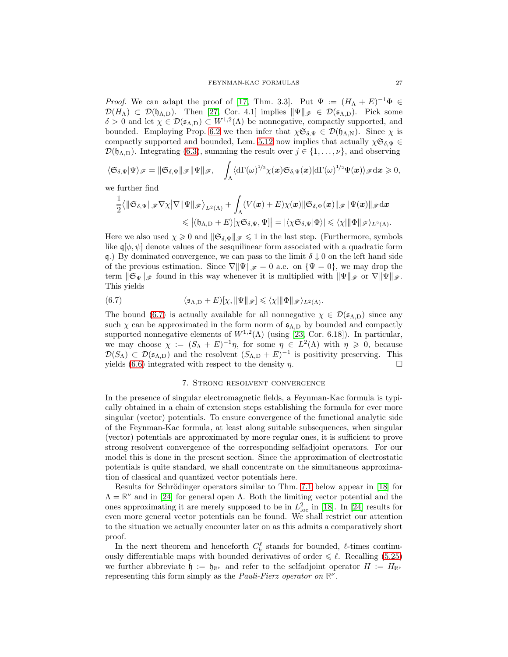*Proof.* We can adapt the proof of [\[17,](#page-46-21) Thm. 3.3]. Put  $\Psi := (H_{\Lambda} + E)^{-1} \Phi \in$  $\mathcal{D}(H_{\Lambda}) \subset \mathcal{D}(\mathfrak{h}_{\Lambda,D})$ . Then [\[27,](#page-46-0) Cor. 4.1] implies  $\|\Psi\|_{\mathscr{F}} \in \mathcal{D}(\mathfrak{s}_{\Lambda,D})$ . Pick some  $\delta > 0$  and let  $\chi \in \mathcal{D}(\mathfrak{s}_{\Lambda,D}) \subset W^{1,2}(\Lambda)$  be nonnegative, compactly supported, and bounded. Employing Prop. [6.2](#page-24-4) we then infer that  $\chi \mathfrak{S}_{\delta,\Psi} \in \mathcal{D}(\mathfrak{h}_{\Lambda,N})$ . Since  $\chi$  is compactly supported and bounded, Lem. [5.12](#page-22-2) now implies that actually  $\chi \mathfrak{S}_{\delta,\Psi} \in$  $\mathcal{D}(\mathfrak{h}_{\Lambda,D})$ . Integrating [\(6.3\)](#page-24-5), summing the result over  $j \in \{1,\ldots,\nu\}$ , and observing

$$
\langle \mathfrak{S}_{\delta,\Psi}|\Psi\rangle_{\mathscr{F}}=\|\mathfrak{S}_{\delta,\Psi}\|_{\mathscr{F}}\|\Psi\|_{\mathscr{F}},\quad \int_{\Lambda}\langle \mathrm{d}\Gamma(\omega)^{1/2}\chi(\bm{x})\mathfrak{S}_{\delta,\Psi}(\bm{x})|\mathrm{d}\Gamma(\omega)^{1/2}\Psi(\bm{x})\rangle_{\mathscr{F}}\mathrm{d}\bm{x}\geqslant 0,
$$

we further find

$$
\begin{aligned} \frac{1}{2} \big\langle \Vert \mathfrak{S}_{\delta,\Psi} \Vert_{\mathscr{F}} \nabla \chi \big\vert \nabla \Vert \Psi \Vert_{\mathscr{F}} \big\rangle_{L^2(\Lambda)} + \int_{\Lambda} (V(\pmb{x}) + E) \chi(\pmb{x}) \Vert \mathfrak{S}_{\delta,\Psi}(\pmb{x}) \Vert_{\mathscr{F}} \Vert \Psi(\pmb{x}) \Vert_{\mathscr{F}} \mathrm{d}\pmb{x} \\ \leqslant \big\vert (\mathfrak{h}_{\Lambda,\mathrm{D}} + E)[\chi \mathfrak{S}_{\delta,\Psi},\Psi] \big\vert = \vert \langle \chi \mathfrak{S}_{\delta,\Psi} \vert \Phi \rangle \vert \leqslant \langle \chi \vert \Vert \Phi \Vert_{\mathscr{F}} \rangle_{L^2(\Lambda)}. \end{aligned}
$$

Here we also used  $\chi \geq 0$  and  $\|\mathfrak{S}_{\delta,\Psi}\|_{\mathscr{F}} \leq 1$  in the last step. (Furthermore, symbols like  $\mathfrak{q}[\phi,\psi]$  denote values of the sesquilinear form associated with a quadratic form q.) By dominated convergence, we can pass to the limit  $\delta \downarrow 0$  on the left hand side of the previous estimation. Since  $\nabla \|\Psi\|_{\mathscr{F}} = 0$  a.e. on  $\{\Psi = 0\}$ , we may drop the term  $\|\mathfrak{S}_{\Psi}\|_{\mathscr{F}}$  found in this way whenever it is multiplied with  $\|\Psi\|_{\mathscr{F}}$  or  $\nabla \|\Psi\|_{\mathscr{F}}$ . This yields

<span id="page-26-1"></span>(6.7) 
$$
(\mathfrak{s}_{\Lambda,D}+E)[\chi, \|\Psi\|_{\mathscr{F}}] \leq \langle \chi| \|\Phi\|_{\mathscr{F}}\rangle_{L^2(\Lambda)}.
$$

The bound [\(6.7\)](#page-26-1) is actually available for all nonnegative  $\chi \in \mathcal{D}(\mathfrak{s}_{\Lambda,D})$  since any such  $\chi$  can be approximated in the form norm of  $\mathfrak{s}_{\Lambda,D}$  by bounded and compactly supported nonnegative elements of  $W^{1,2}(\Lambda)$  (using [\[23,](#page-46-23) Cor. 6.18]). In particular, we may choose  $\chi := (S_{\Lambda} + E)^{-1} \eta$ , for some  $\eta \in L^2(\Lambda)$  with  $\eta \geq 0$ , because  $\mathcal{D}(S_\Lambda) \subset \mathcal{D}(\mathfrak{s}_{\Lambda,D})$  and the resolvent  $(S_{\Lambda,D}+E)^{-1}$  is positivity preserving. This yields [\(6.6\)](#page-25-1) integrated with respect to the density  $\eta$ .

## 7. Strong resolvent convergence

<span id="page-26-0"></span>In the presence of singular electromagnetic fields, a Feynman-Kac formula is typically obtained in a chain of extension steps establishing the formula for ever more singular (vector) potentials. To ensure convergence of the functional analytic side of the Feynman-Kac formula, at least along suitable subsequences, when singular (vector) potentials are approximated by more regular ones, it is sufficient to prove strong resolvent convergence of the corresponding selfadjoint operators. For our model this is done in the present section. Since the approximation of electrostatic potentials is quite standard, we shall concentrate on the simultaneous approximation of classical and quantized vector potentials here.

Results for Schrödinger operators similar to Thm. [7.1](#page-27-0) below appear in [\[18\]](#page-46-26) for  $\Lambda = \mathbb{R}^{\nu}$  and in [\[24\]](#page-46-1) for general open  $\Lambda$ . Both the limiting vector potential and the ones approximating it are merely supposed to be in  $L^2_{\text{loc}}$  in [\[18\]](#page-46-26). In [\[24\]](#page-46-1) results for even more general vector potentials can be found. We shall restrict our attention to the situation we actually encounter later on as this admits a comparatively short proof.

In the next theorem and henceforth  $C_b^{\ell}$  stands for bounded,  $\ell$ -times continuously differentiable maps with bounded derivatives of order  $\leq \ell$ . Recalling [\(5.25\)](#page-23-4) we further abbreviate  $\mathfrak{h} := \mathfrak{h}_{\mathbb{R}^\nu}$  and refer to the selfadjoint operator  $H := H_{\mathbb{R}^\nu}$ representing this form simply as the Pauli-Fierz operator on **R** ν .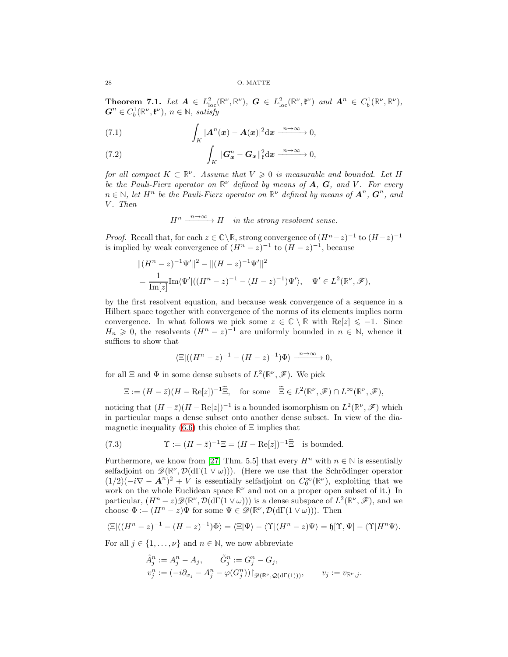<span id="page-27-0"></span>**Theorem 7.1.** Let  $A \in L^2_{loc}(\mathbb{R}^{\nu}, \mathbb{R}^{\nu})$ ,  $G \in L^2_{loc}(\mathbb{R}^{\nu}, \mathfrak{k}^{\nu})$  and  $A^n \in C_b^1(\mathbb{R}^{\nu}, \mathbb{R}^{\nu})$ ,  $\boldsymbol{G}^n \in C_b^1(\mathbb{R}^{\nu}, \mathfrak{k}^{\nu}), n \in \mathbb{N}, \; \textit{satisfy}$ 

<span id="page-27-2"></span>(7.1) 
$$
\int_K |\mathbf{A}^n(\boldsymbol{x}) - \mathbf{A}(\boldsymbol{x})|^2 \mathrm{d}\boldsymbol{x} \xrightarrow{n \to \infty} 0,
$$

<span id="page-27-1"></span>(7.2) 
$$
\int_K \|\boldsymbol{G}_{\boldsymbol{x}}^n - \boldsymbol{G}_{\boldsymbol{x}}\|_{\mathfrak{k}}^2 dx \xrightarrow{n \to \infty} 0,
$$

for all compact  $K \subset \mathbb{R}^{\nu}$ . Assume that  $V \geq 0$  is measurable and bounded. Let H be the Pauli-Fierz operator on  $\mathbb{R}^{\nu}$  defined by means of **A**, **G**, and V. For every  $n \in \mathbb{N}$ , let  $H^n$  be the Pauli-Fierz operator on  $\mathbb{R}^{\nu}$  defined by means of  $\mathbf{A}^n$ ,  $\mathbf{G}^n$ , and V. Then

 $H^n \xrightarrow{n \to \infty} H$  in the strong resolvent sense.

*Proof.* Recall that, for each  $z \in \mathbb{C} \backslash \mathbb{R}$ , strong convergence of  $(H^n - z)^{-1}$  to  $(H - z)^{-1}$ is implied by weak convergence of  $(H^n - z)^{-1}$  to  $(H - z)^{-1}$ , because

$$
||(H^{n} - z)^{-1}\Psi'||^{2} - ||(H - z)^{-1}\Psi'||^{2}
$$
  
= 
$$
\frac{1}{\text{Im}[z]} \text{Im}\langle \Psi||((H^{n} - z)^{-1} - (H - z)^{-1})\Psi'\rangle, \quad \Psi' \in L^{2}(\mathbb{R}^{\nu}, \mathscr{F}),
$$

by the first resolvent equation, and because weak convergence of a sequence in a Hilbert space together with convergence of the norms of its elements implies norm convergence. In what follows we pick some  $z \in \mathbb{C} \setminus \mathbb{R}$  with Re[z]  $\leqslant -1$ . Since  $H_n \geq 0$ , the resolvents  $(H^n - z)^{-1}$  are uniformly bounded in  $n \in \mathbb{N}$ , whence it suffices to show that

$$
\langle \Xi | ((H^n-z)^{-1}-(H-z)^{-1})\Phi\rangle \xrightarrow{n\to\infty} 0,
$$

for all  $\Xi$  and  $\Phi$  in some dense subsets of  $L^2(\mathbb{R}^{\nu}, \mathscr{F})$ . We pick

$$
\Xi := (H - \bar{z})(H - \text{Re}[z])^{-1}\widetilde{\Xi}, \text{ for some } \widetilde{\Xi} \in L^2(\mathbb{R}^{\nu}, \mathscr{F}) \cap L^{\infty}(\mathbb{R}^{\nu}, \mathscr{F}),
$$

noticing that  $(H - \bar{z})(H - \text{Re}[z])^{-1}$  is a bounded isomorphism on  $L^2(\mathbb{R}^{\nu}, \mathscr{F})$  which in particular maps a dense subset onto another dense subset. In view of the dia-magnetic inequality [\(6.6\)](#page-25-1) this choice of  $\Xi$  implies that

<span id="page-27-3"></span>(7.3) 
$$
\Upsilon := (H - \bar{z})^{-1} \Xi = (H - \text{Re}[z])^{-1} \tilde{\Xi} \text{ is bounded.}
$$

Furthermore, we know from [\[27,](#page-46-0) Thm. 5.5] that every  $H^n$  with  $n \in \mathbb{N}$  is essentially selfadjoint on  $\mathscr{D}(\mathbb{R}^{\nu},\mathcal{D}(\mathrm{d}\Gamma(1\vee\omega)))$ . (Here we use that the Schrödinger operator  $(1/2)(-i\nabla - \mathbf{A}^n)^2 + V$  is essentially selfadjoint on  $C_0^{\infty}(\mathbb{R}^{\nu})$ , exploiting that we work on the whole Euclidean space  $\mathbb{R}^{\nu}$  and not on a proper open subset of it.) In particular,  $(H^n - z) \mathscr{D}(\mathbb{R}^{\nu}, \mathcal{D}(\mathrm{d}\Gamma(1 \vee \omega)))$  is a dense subspace of  $L^2(\mathbb{R}^{\nu}, \mathscr{F})$ , and we choose  $\Phi := (H^n - z)\Psi$  for some  $\Psi \in \mathscr{D}(\mathbb{R}^{\nu}, \mathcal{D}(\mathrm{d}\Gamma(1 \vee \omega)))$ . Then

$$
\langle \Xi | ((H^n - z)^{-1} - (H - z)^{-1}) \Phi \rangle = \langle \Xi | \Psi \rangle - \langle \Upsilon | (H^n - z) \Psi \rangle = \mathfrak{h} [\Upsilon, \Psi] - \langle \Upsilon | H^n \Psi \rangle.
$$

For all  $j \in \{1, \ldots, \nu\}$  and  $n \in \mathbb{N}$ , we now abbreviate

$$
\tilde{A}_j^n := A_j^n - A_j, \qquad \tilde{G}_j^n := G_j^n - G_j,
$$
  
\n
$$
v_j^n := (-i\partial_{x_j} - A_j^n - \varphi(G_j^n))|_{\mathscr{D}(\mathbb{R}^{\nu}, \mathcal{Q}(d\Gamma(1)))}, \qquad v_j := v_{\mathbb{R}^{\nu},j}.
$$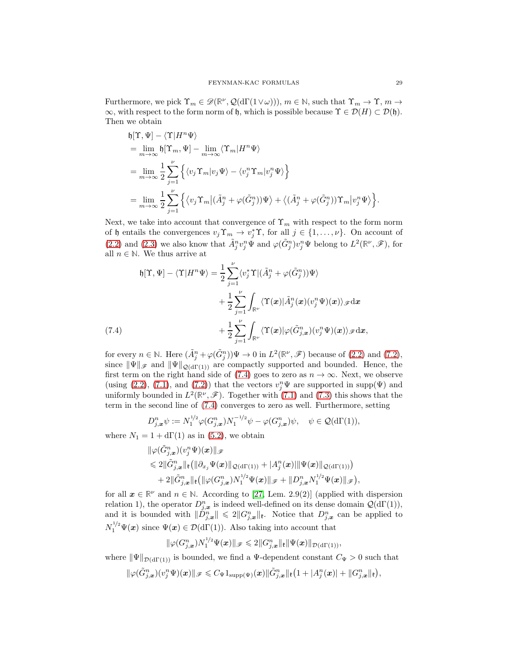Furthermore, we pick  $\Upsilon_m \in \mathscr{D}(\mathbb{R}^{\nu}, \mathcal{Q}(d\Gamma(1\vee \omega)))$ ,  $m \in \mathbb{N}$ , such that  $\Upsilon_m \to \Upsilon$ ,  $m \to \Upsilon$  $\infty$ , with respect to the form norm of h, which is possible because  $\Upsilon \in \mathcal{D}(H) \subset \mathcal{D}(\mathfrak{h})$ . Then we obtain

$$
\begin{split} & \mathfrak{h}[\Upsilon,\Psi]-\langle \Upsilon|H^n\Psi\rangle \\ &=\lim_{m\to\infty}\mathfrak{h}[\Upsilon_m,\Psi]-\lim_{m\to\infty}\langle \Upsilon_m|H^n\Psi\rangle \\ &=\lim_{m\to\infty}\frac{1}{2}\sum_{j=1}^\nu\Big\{\langle v_j\Upsilon_m|v_j\Psi\rangle-\langle v_j^n\Upsilon_m|v_j^n\Psi\rangle\Big\} \\ &=\lim_{m\to\infty}\frac{1}{2}\sum_{j=1}^\nu\Big\{\langle v_j\Upsilon_m|(\tilde{A}_j^n+\varphi(\tilde{G}_j^n))\Psi\rangle+\big\langle(\tilde{A}_j^n+\varphi(\tilde{G}_j^n))\Upsilon_m|v_j^n\Psi\rangle\Big\}. \end{split}
$$

Next, we take into account that convergence of  $\Upsilon_m$  with respect to the form norm of h entails the convergences  $v_j \Upsilon_m \to v_j^* \Upsilon$ , for all  $j \in \{1, ..., \nu\}$ . On account of [\(2.2\)](#page-8-0) and [\(2.3\)](#page-8-1) we also know that  $\tilde{A}_j^n v_j^n \Psi$  and  $\varphi(\tilde{G}_j^n) v_j^n \Psi$  belong to  $L^2(\mathbb{R}^\nu, \mathscr{F})$ , for all  $n \in \mathbb{N}$ . We thus arrive at

$$
\mathfrak{h}[\Upsilon, \Psi] - \langle \Upsilon | H^n \Psi \rangle = \frac{1}{2} \sum_{j=1}^{\nu} \langle v_j^* \Upsilon | (\tilde{A}_j^n + \varphi(\tilde{G}_j^n)) \Psi \rangle \n+ \frac{1}{2} \sum_{j=1}^{\nu} \int_{\mathbb{R}^{\nu}} \langle \Upsilon(\boldsymbol{x}) | \tilde{A}_j^n(\boldsymbol{x}) (v_j^n \Psi)(\boldsymbol{x}) \rangle_{\mathscr{F}} d\boldsymbol{x} \n+ \frac{1}{2} \sum_{j=1}^{\nu} \int_{\mathbb{R}^{\nu}} \langle \Upsilon(\boldsymbol{x}) | \varphi(\tilde{G}_{j,\boldsymbol{x}}^n) (v_j^n \Psi)(\boldsymbol{x}) \rangle_{\mathscr{F}} d\boldsymbol{x},
$$

<span id="page-28-0"></span>for every  $n \in \mathbb{N}$ . Here  $(\tilde{A}_{j}^{n} + \varphi(\tilde{G}_{j}^{n}))\Psi \to 0$  in  $L^{2}(\mathbb{R}^{\nu}, \mathscr{F})$  because of  $(2.2)$  and  $(7.2)$ , since  $\|\Psi\|_{\mathscr{F}}$  and  $\|\Psi\|_{\mathcal{Q}(d\Gamma(1))}$  are compactly supported and bounded. Hence, the first term on the right hand side of [\(7.4\)](#page-28-0) goes to zero as  $n \to \infty$ . Next, we observe (using [\(2.2\)](#page-8-0), [\(7.1\)](#page-27-2), and [\(7.2\)](#page-27-1)) that the vectors  $v_j^n\Psi$  are supported in supp( $\Psi$ ) and uniformly bounded in  $L^2(\mathbb{R}^{\nu}, \mathscr{F})$ . Together with [\(7.1\)](#page-27-2) and [\(7.3\)](#page-27-3) this shows that the term in the second line of [\(7.4\)](#page-28-0) converges to zero as well. Furthermore, setting

$$
D_{j,\boldsymbol{x}}^n \psi := N_1^{1/2} \varphi(G_{j,\boldsymbol{x}}^n) N_1^{-1/2} \psi - \varphi(G_{j,\boldsymbol{x}}^n) \psi, \quad \psi \in \mathcal{Q}(\mathrm{d}\Gamma(1)),
$$

where  $N_1 = 1 + d\Gamma(1)$  as in [\(5.2\)](#page-16-5), we obtain

$$
\begin{aligned} &\|\varphi(\tilde G_{j,\bm x}^n)(v_j^n\Psi)(\bm x)\|_{\mathscr{F}}\\&\leqslant 2\|\tilde G_{j,\bm x}^n\|_{{\mathfrak k}}\big(\|\partial_{x_j}\Psi(\bm x)\|_{{\mathcal Q}(\mathrm{d}\Gamma(1))}+|A_j^n(\bm x)|\|\Psi(\bm x)\|_{{\mathcal Q}(\mathrm{d}\Gamma(1))}\big)\\&+2\|\tilde G_{j,\bm x}^n\|_{{\mathfrak k}}\big(\|\varphi(G_{j,\bm x}^n)N_1^{1/2}\Psi(\bm x)\|_{\mathscr{F}}+\|D_{j,\bm x}^nN_1^{1/2}\Psi(\bm x)\|_{\mathscr{F}}\big),\end{aligned}
$$

for all  $x \in \mathbb{R}^{\nu}$  and  $n \in \mathbb{N}$ . According to [\[27,](#page-46-0) Lem. 2.9(2)] (applied with dispersion relation 1), the operator  $D_{j,\mathbf{x}}^n$  is indeed well-defined on its dense domain  $\mathcal{Q}(\mathrm{d}\Gamma(1)),$ and it is bounded with  $||D_{j,\boldsymbol{x}}^n|| \leq 2||G_{j,\boldsymbol{x}}^n||_1$ . Notice that  $D_{j,\boldsymbol{x}}^n$  can be applied to  $N_1^{1/2} \Psi(\boldsymbol{x})$  since  $\Psi(\boldsymbol{x}) \in \mathcal{D}(\mathrm{d}\Gamma(1))$ . Also taking into account that

$$
\|\varphi(G_{j,\boldsymbol{x}}^n)N_1^{1/2}\Psi(\boldsymbol{x})\|_{\mathscr{F}}\leq 2\|G_{j,\boldsymbol{x}}^n\|_{\mathfrak{k}}\|\Psi(\boldsymbol{x})\|_{\mathcal{D}(\mathrm{d}\Gamma(1))},
$$

where  $\|\Psi\|_{\mathcal{D}(d\Gamma(1))}$  is bounded, we find a Ψ-dependent constant  $C_{\Psi} > 0$  such that

$$
\|\varphi(\tilde G_{j,\bm{x}}^n)(v_j^n\Psi)(\bm{x})\|_{\mathscr{F}}\leqslant C_{\Psi}1_{\mathrm{supp}(\Psi)}(\bm{x})\|\tilde G_{j,\bm{x}}^n\|_{\mathfrak{k}}\big(1+|A_j^n(\bm{x})|+ \|G_{j,\bm{x}}^n\|_{\mathfrak{k}}\big),
$$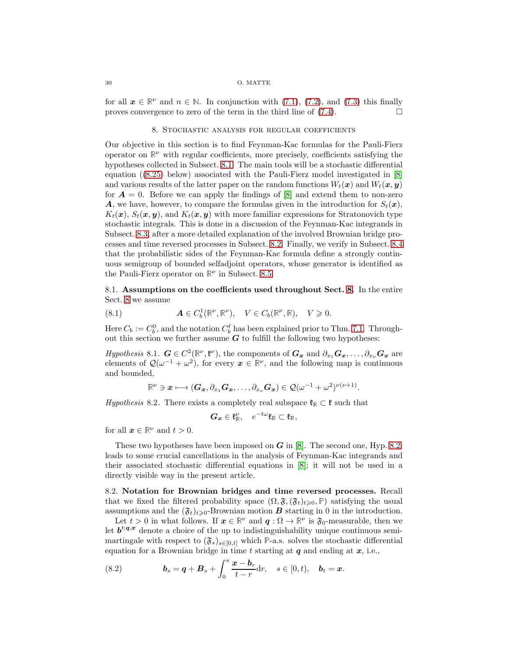#### 30 O. MATTE

<span id="page-29-1"></span>for all  $x \in \mathbb{R}^{\nu}$  and  $n \in \mathbb{N}$ . In conjunction with [\(7.1\)](#page-27-2), [\(7.2\)](#page-27-1), and [\(7.3\)](#page-27-3) this finally proves convergence to zero of the term in the third line of  $(7.4)$ .

## 8. Stochastic analysis for regular coefficients

Our objective in this section is to find Feynman-Kac formulas for the Pauli-Fierz operator on  $\mathbb{R}^{\nu}$  with regular coefficients, more precisely, coefficients satisfying the hypotheses collected in Subsect. [8.1.](#page-29-2) The main tools will be a stochastic differential equation ([\(8.25\)](#page-34-0) below) associated with the Pauli-Fierz model investigated in [\[8\]](#page-45-2) and various results of the latter paper on the random functions  $W_t(x)$  and  $W_t(x, y)$ for  $A = 0$ . Before we can apply the findings of [\[8\]](#page-45-2) and extend them to non-zero **A**, we have, however, to compare the formulas given in the introduction for  $S_t(\mathbf{x})$ ,  $K_t(\mathbf{x}), S_t(\mathbf{x}, \mathbf{y})$ , and  $K_t(\mathbf{x}, \mathbf{y})$  with more familiar expressions for Stratonovich type stochastic integrals. This is done in a discussion of the Feynman-Kac integrands in Subsect. [8.3,](#page-30-0) after a more detailed explanation of the involved Brownian bridge processes and time reversed processes in Subsect. [8.2.](#page-29-0) Finally, we verify in Subsect. [8.4](#page-32-0) that the probabilistic sides of the Feynman-Kac formula define a strongly continuous semigroup of bounded selfadjoint operators, whose generator is identified as the Pauli-Fierz operator on  $\mathbb{R}^{\nu}$  in Subsect. [8.5.](#page-33-0)

<span id="page-29-2"></span>8.1. Assumptions on the coefficients used throughout Sect. [8.](#page-29-1) In the entire Sect. [8](#page-29-1) we assume

<span id="page-29-4"></span>(8.1) 
$$
\mathbf{A} \in C_b^1(\mathbb{R}^{\nu}, \mathbb{R}^{\nu}), \quad V \in C_b(\mathbb{R}^{\nu}, \mathbb{R}), \quad V \geq 0.
$$

Here  $C_b := C_b^0$ , and the notation  $C_b^{\ell}$  has been explained prior to Thm. [7.1.](#page-27-0) Throughout this section we further assume  $G$  to fulfill the following two hypotheses:

<span id="page-29-5"></span>Hypothesis 8.1.  $G \in C^2(\mathbb{R}^{\nu}, \mathfrak{k}^{\nu})$ , the components of  $G_x$  and  $\partial_{x_1} G_x, \ldots, \partial_{x_{\nu}} G_x$  are elements of  $\mathcal{Q}(\omega^{-1} + \omega^2)$ , for every  $x \in \mathbb{R}^{\nu}$ , and the following map is continuous and bounded,

$$
\mathbb{R}^{\nu}\ni\boldsymbol{x}\longmapsto (\boldsymbol{G}_{\boldsymbol{x}},\partial_{x_1}\boldsymbol{G}_{\boldsymbol{x}},\dots,\partial_{x_{\nu}}\boldsymbol{G}_{\boldsymbol{x}})\in\mathcal{Q}(\omega^{-1}+\omega^2)^{\nu(\nu+1)}.
$$

<span id="page-29-3"></span>*Hypothesis* 8.2. There exists a completely real subspace  $\mathfrak{k}_\mathbb{R} \subset \mathfrak{k}$  such that

$$
G_x \in \mathfrak{k}_{\mathbb{R}}^{\nu}, \quad e^{-t\omega}\mathfrak{k}_{\mathbb{R}} \subset \mathfrak{k}_{\mathbb{R}},
$$

for all  $x \in \mathbb{R}^{\nu}$  and  $t > 0$ .

These two hypotheses have been imposed on  $G$  in [\[8\]](#page-45-2). The second one, Hyp. [8.2,](#page-29-3) leads to some crucial cancellations in the analysis of Feynman-Kac integrands and their associated stochastic differential equations in [\[8\]](#page-45-2); it will not be used in a directly visible way in the present article.

<span id="page-29-0"></span>8.2. Notation for Brownian bridges and time reversed processes. Recall that we fixed the filtered probability space  $(\Omega, \mathfrak{F}, (\mathfrak{F}_t)_{t\geqslant0}, \mathbb{P})$  satisfying the usual assumptions and the  $(\mathfrak{F}_t)_{t\geq0}$ -Brownian motion **B** starting in 0 in the introduction.

Let  $t > 0$  in what follows. If  $x \in \mathbb{R}^{\nu}$  and  $q: \Omega \to \mathbb{R}^{\nu}$  is  $\mathfrak{F}_0$ -measurable, then we let  $b^{t;q,x}$  denote a choice of the up to indistinguishability unique continuous semimartingale with respect to  $(\mathfrak{F}_s)_{s\in[0,t]}$  which **P**-a.s. solves the stochastic differential equation for a Brownian bridge in time t starting at  $q$  and ending at  $x$ , i.e.,

(8.2) 
$$
\boldsymbol{b}_s = \boldsymbol{q} + \boldsymbol{B}_s + \int_0^s \frac{\boldsymbol{x} - \boldsymbol{b}_r}{t - r} dr, \quad s \in [0, t), \quad \boldsymbol{b}_t = \boldsymbol{x}.
$$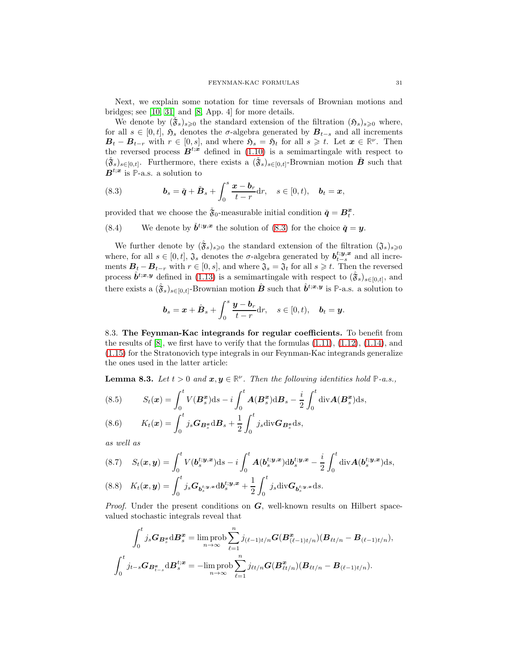Next, we explain some notation for time reversals of Brownian motions and bridges; see [\[10,](#page-46-2) [31\]](#page-46-3) and [\[8,](#page-45-2) App. 4] for more details.

We denote by  $(\tilde{\check{\mathfrak{g}}}_s)_{s\geqslant0}$  the standard extension of the filtration  $(\mathfrak{H}_s)_{s\geqslant0}$  where, for all  $s \in [0, t]$ ,  $\mathfrak{H}_s$  denotes the  $\sigma$ -algebra generated by  $B_{t-s}$  and all increments  $B_t - B_{t-r}$  with  $r \in [0, s]$ , and where  $\mathfrak{H}_s = \mathfrak{H}_t$  for all  $s \geq t$ . Let  $x \in \mathbb{R}^{\nu}$ . Then the reversed process  $B^{t;\dot{x}}$  defined in [\(1.10\)](#page-2-5) is a semimartingale with respect to  $(\check{\mathfrak{F}}_s)_{s\in[0,t]}$ . Furthermore, there exists a  $(\check{\mathfrak{F}}_s)_{s\in[0,t]}$ -Brownian motion  $\check{B}$  such that  $B^{t,x}$  is P-a.s. a solution to

<span id="page-30-1"></span>(8.3) 
$$
\boldsymbol{b}_s = \check{\boldsymbol{q}} + \check{\boldsymbol{B}}_s + \int_0^s \frac{\boldsymbol{x} - \boldsymbol{b}_r}{t - r} dr, \quad s \in [0, t), \quad \boldsymbol{b}_t = \boldsymbol{x},
$$

provided that we choose the  $\tilde{\mathfrak{F}}_0$ -measurable initial condition  $\check{\boldsymbol{q}} = \boldsymbol{B}_t^{\boldsymbol{x}}$ .

<span id="page-30-6"></span>(8.4) We denote by  $\check{b}^{t;y,x}$  the solution of [\(8.3\)](#page-30-1) for the choice  $\check{q} = y$ .

We further denote by  $(\hat{\mathfrak{F}}_s)_{s\geqslant0}$  the standard extension of the filtration  $(\mathfrak{J}_s)_{s\geqslant0}$ where, for all  $s \in [0, t]$ ,  $\mathfrak{J}_s$  denotes the  $\sigma$ -algebra generated by  $b_{t-s}^{t,y,x}$  and all increments  $B_t - B_{t-r}$  with  $r \in [0, s]$ , and where  $\mathfrak{J}_s = \mathfrak{J}_t$  for all  $s \geq t$ . Then the reversed process  $\hat{\boldsymbol{b}}^{t;\boldsymbol{x},\boldsymbol{y}}$  defined in [\(1.13\)](#page-3-5) is a semimartingale with respect to  $(\hat{\mathbf{\hat{y}}}_s)_{s\in[0,t]}$ , and there exists a  $(\hat{\mathfrak{F}}_s)_{s \in [0,t]}$ -Brownian motion  $\hat{B}$  such that  $\hat{b}^{t;x,y}$  is P-a.s. a solution to

$$
\boldsymbol{b}_s = \boldsymbol{x} + \hat{\boldsymbol{B}}_s + \int_0^s \frac{\boldsymbol{y} - \boldsymbol{b}_r}{t - r} dr, \quad s \in [0, t), \quad \boldsymbol{b}_t = \boldsymbol{y}.
$$

<span id="page-30-0"></span>8.3. The Feynman-Kac integrands for regular coefficients. To benefit from the results of  $[8]$ , we first have to verify that the formulas  $(1.11)$ ,  $(1.12)$ ,  $(1.14)$ , and [\(1.15\)](#page-3-3) for the Stratonovich type integrals in our Feynman-Kac integrands generalize the ones used in the latter article:

**Lemma 8.3.** Let  $t > 0$  and  $x, y \in \mathbb{R}^{\nu}$ . Then the following identities hold  $\mathbb{P}\text{-}a.s.,$ 

<span id="page-30-3"></span>(8.5) 
$$
S_t(\boldsymbol{x}) = \int_0^t V(\boldsymbol{B}_s^{\boldsymbol{x}})ds - i \int_0^t \boldsymbol{A}(\boldsymbol{B}_s^{\boldsymbol{x}})dB_s - \frac{i}{2} \int_0^t \text{div}\boldsymbol{A}(\boldsymbol{B}_s^{\boldsymbol{x}})ds,
$$

<span id="page-30-2"></span>(8.6) 
$$
K_t(\boldsymbol{x}) = \int_0^t j_s \boldsymbol{G}_{\boldsymbol{B}_s^{\boldsymbol{x}}} \mathrm{d} \boldsymbol{B}_s + \frac{1}{2} \int_0^t j_s \mathrm{div} \boldsymbol{G}_{\boldsymbol{B}_s^{\boldsymbol{x}}} \mathrm{d} s,
$$

as well as

<span id="page-30-4"></span>(8.7) 
$$
S_t(\mathbf{x}, \mathbf{y}) = \int_0^t V(\mathbf{b}_s^{t; \mathbf{y}, \mathbf{x}}) ds - i \int_0^t \mathbf{A}(\mathbf{b}_s^{t; \mathbf{y}, \mathbf{x}}) d\mathbf{b}_s^{t; \mathbf{y}, \mathbf{x}} - \frac{i}{2} \int_0^t \text{div} \mathbf{A}(\mathbf{b}_s^{t; \mathbf{y}, \mathbf{x}}) ds,
$$
  
(8.8) 
$$
K_t(\mathbf{x}, \mathbf{y}) = \int_0^t j_s \mathbf{G}_{\mathbf{b}_s^{t; \mathbf{y}, \mathbf{x}}} d\mathbf{b}_s^{t; \mathbf{y}, \mathbf{x}} + \frac{1}{2} \int_0^t j_s \text{div} \mathbf{G}_{\mathbf{b}_s^{t; \mathbf{y}, \mathbf{x}}} ds.
$$

<span id="page-30-5"></span>*Proof.* Under the present conditions on  $G$ , well-known results on Hilbert spacevalued stochastic integrals reveal that

$$
\int_0^t j_s \mathbf{G}_{\mathbf{B}_s^{\mathbf{x}}} d\mathbf{B}_s^{\mathbf{x}} = \limsup_{n \to \infty} \sum_{\ell=1}^n j_{(\ell-1)t/n} \mathbf{G}(\mathbf{B}_{(\ell-1)t/n}^{\mathbf{x}})(\mathbf{B}_{\ell t/n} - \mathbf{B}_{(\ell-1)t/n}),
$$

$$
\int_0^t j_{t-s} \mathbf{G}_{\mathbf{B}_{t-s}^{\mathbf{x}}} d\mathbf{B}_s^{t;\mathbf{x}} = -\limsup_{n \to \infty} \sum_{\ell=1}^n j_{\ell t/n} \mathbf{G}(\mathbf{B}_{\ell t/n}^{\mathbf{x}})(\mathbf{B}_{\ell t/n} - \mathbf{B}_{(\ell-1)t/n}).
$$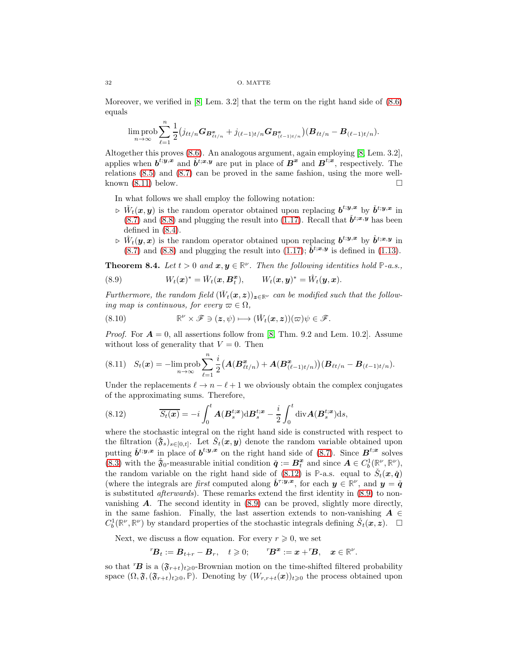Moreover, we verified in [\[8,](#page-45-2) Lem. 3.2] that the term on the right hand side of [\(8.6\)](#page-30-2) equals

$$
\limsup_{n\to\infty}\sum_{\ell=1}^n\frac{1}{2}\big(j_{\ell t/n}G_{\bm{B}_{\ell t/n}^{\bm{x}}}+j_{(\ell-1)t/n}G_{\bm{B}_{(\ell-1)t/n}^{\bm{x}}}\big)(\bm{B}_{\ell t/n}-\bm{B}_{(\ell-1)t/n}).
$$

Altogether this proves [\(8.6\)](#page-30-2). An analogous argument, again employing [\[8,](#page-45-2) Lem. 3.2], applies when  $b^{t,y,x}$  and  $\hat{b}^{t,x,y}$  are put in place of  $B^x$  and  $B^{t,x}$ , respectively. The relations [\(8.5\)](#page-30-3) and [\(8.7\)](#page-30-4) can be proved in the same fashion, using the more wellknown  $(8.11)$  below.

In what follows we shall employ the following notation:

- $\phi \nightharpoonup \check{W}_t(x, y)$  is the random operator obtained upon replacing  $b^{t; y, x}$  by  $\check{b}^{t; y, x}$  in [\(8.7\)](#page-30-4) and [\(8.8\)](#page-30-5) and plugging the result into [\(1.17\)](#page-3-6). Recall that  $\check{b}^{t;x,y}$  has been defined in [\(8.4\)](#page-30-6).
- $\rhd \hat{W}_t(y,x)$  is the random operator obtained upon replacing  $b^{t;y,x}$  by  $\hat{b}^{t;x,y}$  in  $(8.7)$  and  $(8.8)$  and plugging the result into  $(1.17)$ ;  $\hat{b}^{t;x,y}$  is defined in  $(1.13)$ .

<span id="page-31-3"></span>**Theorem 8.4.** Let  $t > 0$  and  $x, y \in \mathbb{R}^{\nu}$ . Then the following identities hold  $\mathbb{P}\text{-}a.s.,$ 

<span id="page-31-2"></span>(8.9) 
$$
W_t(\boldsymbol{x})^* = \check{W}_t(\boldsymbol{x}, \boldsymbol{B}_t^{\boldsymbol{x}}), \qquad W_t(\boldsymbol{x}, \boldsymbol{y})^* = \hat{W}_t(\boldsymbol{y}, \boldsymbol{x}).
$$

Furthermore, the random field  $(\check{W}_t(\mathbf{x}, \mathbf{z}))_{\mathbf{z} \in \mathbb{R}^{\nu}}$  can be modified such that the following map is continuous, for every  $\varpi \in \Omega$ ,

(8.10) 
$$
\mathbb{R}^{\nu} \times \mathscr{F} \ni (z, \psi) \longmapsto (\check{W}_t(x, z))(\varpi) \psi \in \mathscr{F}.
$$

*Proof.* For  $A = 0$ , all assertions follow from [\[8,](#page-45-2) Thm. 9.2 and Lem. 10.2]. Assume without loss of generality that  $V = 0$ . Then

<span id="page-31-0"></span>
$$
(8.11) \quad S_t(\boldsymbol{x}) = -\lim_{n \to \infty} \text{prob} \sum_{\ell=1}^n \frac{i}{2} \big( \boldsymbol{A} (\boldsymbol{B}_{\ell t/n}^{\boldsymbol{x}}) + \boldsymbol{A} (\boldsymbol{B}_{(\ell-1)t/n}^{\boldsymbol{x}}) \big) \big( \boldsymbol{B}_{\ell t/n} - \boldsymbol{B}_{(\ell-1)t/n} \big).
$$

Under the replacements  $\ell \to n - \ell + 1$  we obviously obtain the complex conjugates of the approximating sums. Therefore,

<span id="page-31-1"></span>(8.12) 
$$
\overline{S_t(\boldsymbol{x})} = -i \int_0^t \boldsymbol{A}(\boldsymbol{B}_s^{t;\boldsymbol{x}}) d\boldsymbol{B}_s^{t;\boldsymbol{x}} - \frac{i}{2} \int_0^t \text{div}\boldsymbol{A}(\boldsymbol{B}_s^{t;\boldsymbol{x}}) ds,
$$

where the stochastic integral on the right hand side is constructed with respect to the filtration  $(\tilde{\mathbf{\check{y}}}_s)_{s\in[0,t]}$ . Let  $\check{S}_t(\mathbf{x}, \mathbf{y})$  denote the random variable obtained upon putting  $\check{b}^{t;y,x}$  in place of  $b^{t;y,x}$  on the right hand side of [\(8.7\)](#page-30-4). Since  $B^{t;x}$  solves [\(8.3\)](#page-30-1) with the  $\tilde{\mathfrak{F}}_0$ -measurable initial condition  $\tilde{\boldsymbol{q}} := \boldsymbol{B}_t^{\boldsymbol{x}}$  and since  $\boldsymbol{A} \in C_b^1(\mathbb{R}^{\nu}, \mathbb{R}^{\nu})$ , the random variable on the right hand side of  $(8.12)$  is P-a.s. equal to  $\check{S}_t(\mathbf{x}, \check{q})$ (where the integrals are *first* computed along  $\check{b}^{\tau,y,x}$ , for each  $y \in \mathbb{R}^{\nu}$ , and  $y = \check{q}$ is substituted afterwards). These remarks extend the first identity in [\(8.9\)](#page-31-2) to nonvanishing  $\boldsymbol{A}$ . The second identity in [\(8.9\)](#page-31-2) can be proved, slightly more directly, in the same fashion. Finally, the last assertion extends to non-vanishing  $A \in$  $C_b^1(\mathbb{R}^{\nu}, \mathbb{R}^{\nu})$  by standard properties of the stochastic integrals defining  $\check{S}_t(\mathbf{x}, \mathbf{z})$ .  $\Box$ 

Next, we discuss a flow equation. For every  $r \geq 0$ , we set

$$
{}^r\!B_t := B_{t+r} - B_r, \quad t \geqslant 0; \qquad {}^r\!B^x := x + {}^r\!B, \quad x \in \mathbb{R}^\nu.
$$

so that  ${}^{r}B$  is a  $(\mathfrak{F}_{r+t})_{t\geq0}$ -Brownian motion on the time-shifted filtered probability space  $(\Omega, \mathfrak{F},(\mathfrak{F}_{r+t})_{t\geqslant0}, \mathbb{P})$ . Denoting by  $(W_{r,r+t}(\boldsymbol{x}))_{t\geqslant0}$  the process obtained upon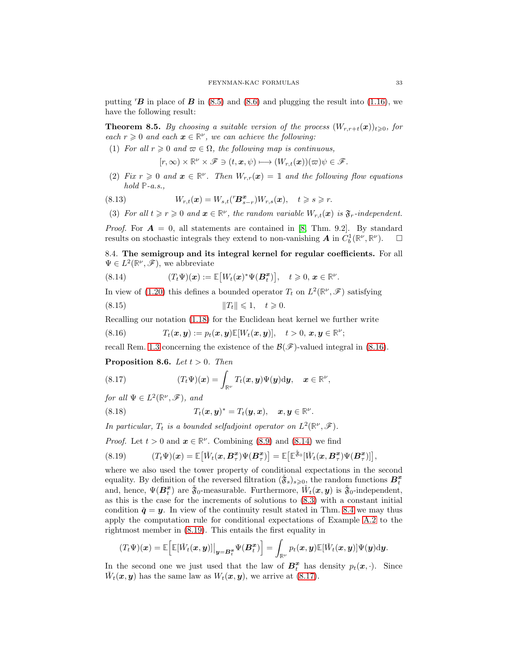putting  ${}^{r}B$  in place of B in [\(8.5\)](#page-30-3) and [\(8.6\)](#page-30-2) and plugging the result into [\(1.16\)](#page-3-0), we have the following result:

<span id="page-32-6"></span>**Theorem 8.5.** By choosing a suitable version of the process  $(W_{r,r+t}(x))_{t\geqslant0}$ , for each  $r \geq 0$  and each  $x \in \mathbb{R}^{\nu}$ , we can achieve the following:

(1) For all  $r \geq 0$  and  $\varpi \in \Omega$ , the following map is continuous,

$$
[r,\infty)\times\mathbb{R}^{\nu}\times\mathscr{F}\ni(t,\boldsymbol{x},\psi)\longmapsto(W_{r,t}(\boldsymbol{x}))(\varpi)\psi\in\mathscr{F}.
$$

(2) Fix  $r \geq 0$  and  $x \in \mathbb{R}^{\nu}$ . Then  $W_{r,r}(x) = 1$  and the following flow equations hold **P**-a.s.,

(8.13) 
$$
W_{r,t}(\boldsymbol{x}) = W_{s,t}(^r \boldsymbol{B}_{s-r}^{\boldsymbol{x}}) W_{r,s}(\boldsymbol{x}), \quad t \geq s \geq r.
$$

(3) For all  $t \ge r \ge 0$  and  $x \in \mathbb{R}^{\nu}$ , the random variable  $W_{r,t}(x)$  is  $\mathfrak{F}_r$ -independent.

*Proof.* For  $A = 0$ , all statements are contained in [\[8,](#page-45-2) Thm. 9.2]. By standard results on stochastic integrals they extend to non-vanishing  $A$  in  $\tilde{C}_b^1(\mathbb{R}^\nu, \mathbb{R}^\nu)$ .  $\Box$ 

<span id="page-32-0"></span>8.4. The semigroup and its integral kernel for regular coefficients. For all  $\Psi \in L^2(\mathbb{R}^{\nu}, \mathscr{F})$ , we abbreviate

<span id="page-32-2"></span>(8.14) 
$$
(T_t\Psi)(\boldsymbol{x}) := \mathbb{E}\big[W_t(\boldsymbol{x})^*\Psi(\boldsymbol{B}_{t}^{\boldsymbol{x}})\big], \quad t \geqslant 0, \, \boldsymbol{x} \in \mathbb{R}^{\nu}.
$$

In view of [\(1.20\)](#page-4-5) this defines a bounded operator  $T_t$  on  $L^2(\mathbb{R}^{\nu}, \mathscr{F})$  satisfying

<span id="page-32-7"></span>
$$
(8.15) \t\t\t  $||T_t|| \leq 1, \quad t \geq 0.$
$$

Recalling our notation [\(1.18\)](#page-3-7) for the Euclidean heat kernel we further write

<span id="page-32-1"></span>(8.16) 
$$
T_t(\boldsymbol{x}, \boldsymbol{y}) := p_t(\boldsymbol{x}, \boldsymbol{y}) \mathbb{E}[W_t(\boldsymbol{x}, \boldsymbol{y})], \quad t > 0, \, \boldsymbol{x}, \boldsymbol{y} \in \mathbb{R}^{\nu};
$$

recall Rem. [1.3](#page-4-4) concerning the existence of the  $\mathcal{B}(\mathcal{F})$ -valued integral in [\(8.16\)](#page-32-1).

<span id="page-32-8"></span>**Proposition 8.6.** Let  $t > 0$ . Then

<span id="page-32-4"></span>(8.17) 
$$
(T_t \Psi)(\boldsymbol{x}) = \int_{\mathbb{R}^{\nu}} T_t(\boldsymbol{x}, \boldsymbol{y}) \Psi(\boldsymbol{y}) \mathrm{d} \boldsymbol{y}, \quad \boldsymbol{x} \in \mathbb{R}^{\nu},
$$

for all  $\Psi \in L^2(\mathbb{R}^{\nu}, \mathscr{F})$ , and

<span id="page-32-5"></span>(8.18) 
$$
T_t(\boldsymbol{x}, \boldsymbol{y})^* = T_t(\boldsymbol{y}, \boldsymbol{x}), \quad \boldsymbol{x}, \boldsymbol{y} \in \mathbb{R}^{\nu}.
$$

In particular,  $T_t$  is a bounded selfadjoint operator on  $L^2(\mathbb{R}^{\nu}, \mathscr{F})$ .

*Proof.* Let  $t > 0$  and  $x \in \mathbb{R}^{\nu}$ . Combining [\(8.9\)](#page-31-2) and [\(8.14\)](#page-32-2) we find

<span id="page-32-3"></span>(8.19) 
$$
(T_t \Psi)(\boldsymbol{x}) = \mathbb{E}\big[\check{W}_t(\boldsymbol{x}, \boldsymbol{B}_{\tau}^{\boldsymbol{x}})\Psi(\boldsymbol{B}_{\tau}^{\boldsymbol{x}})\big] = \mathbb{E}\big[\mathbb{E}^{\check{\mathfrak{F}}_0}[\check{W}_t(\boldsymbol{x}, \boldsymbol{B}_{\tau}^{\boldsymbol{x}})\Psi(\boldsymbol{B}_{\tau}^{\boldsymbol{x}})]\big],
$$

where we also used the tower property of conditional expectations in the second equality. By definition of the reversed filtration  $(\check{\mathfrak{F}}_s)_{s\geqslant 0}$ , the random functions  $B_t^x$ and, hence,  $\Psi(B_t^x)$  are  $\tilde{\mathfrak{F}}_0$ -measurable. Furthermore,  $\check{W}_t(x,y)$  is  $\tilde{\mathfrak{F}}_0$ -independent, as this is the case for the increments of solutions to [\(8.3\)](#page-30-1) with a constant initial condition  $\check{\mathbf{q}} = \mathbf{y}$ . In view of the continuity result stated in Thm. [8.4](#page-31-3) we may thus apply the computation rule for conditional expectations of Example [A.2](#page-45-6) to the rightmost member in [\(8.19\)](#page-32-3). This entails the first equality in

$$
(T_t\Psi)(\boldsymbol{x})=\mathbb{E}\Big[\mathbb{E}[\check{W}_t(\boldsymbol{x},\boldsymbol{y})]\big|_{\boldsymbol{y}=\boldsymbol{B}_t^{\boldsymbol{x}}}\Psi(\boldsymbol{B}_t^{\boldsymbol{x}})\Big]=\int_{\mathbb{R}^\nu}p_t(\boldsymbol{x},\boldsymbol{y})\mathbb{E}[\check{W}_t(\boldsymbol{x},\boldsymbol{y})]\Psi(\boldsymbol{y})\mathrm{d}\boldsymbol{y}.
$$

In the second one we just used that the law of  $B_t^x$  has density  $p_t(x, \cdot)$ . Since  $\check{W}_t(\boldsymbol{x}, \boldsymbol{y})$  has the same law as  $W_t(\boldsymbol{x}, \boldsymbol{y})$ , we arrive at [\(8.17\)](#page-32-4).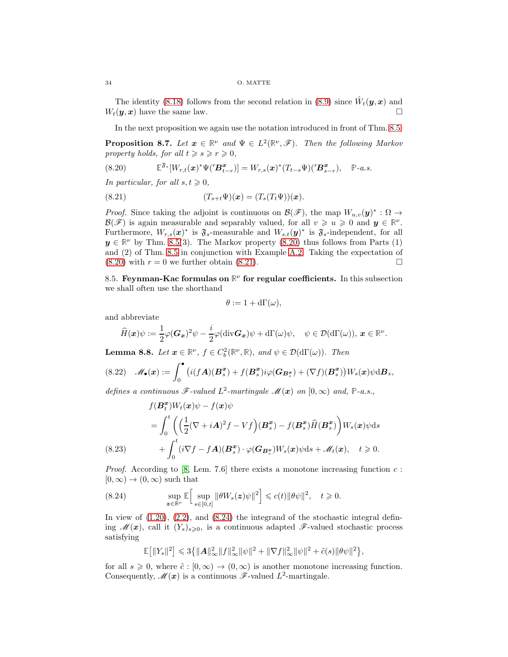The identity [\(8.18\)](#page-32-5) follows from the second relation in [\(8.9\)](#page-31-2) since  $\hat{W}_t(\mathbf{y}, \mathbf{x})$  and  $W_t(\bm{y}, \bm{x})$  have the same law.

In the next proposition we again use the notation introduced in front of Thm. [8.5:](#page-32-6)

**Proposition 8.7.** Let  $x \in \mathbb{R}^{\nu}$  and  $\Psi \in L^2(\mathbb{R}^{\nu}, \mathscr{F})$ . Then the following Markov property holds, for all  $t \geq s \geq r \geq 0$ ,

<span id="page-33-1"></span>(8.20) 
$$
\mathbb{E}^{\mathfrak{F}_s}[W_{r,t}(\boldsymbol{x})^*\Psi(T\boldsymbol{B}_{t-r}^{\boldsymbol{x}})] = W_{r,s}(\boldsymbol{x})^*(T_{t-s}\Psi)(T\boldsymbol{B}_{s-r}^{\boldsymbol{x}}), \quad \mathbb{P}\text{-}a.s.
$$

In particular, for all  $s, t \geq 0$ ,

<span id="page-33-2"></span>(8.21) 
$$
(T_{s+t}\Psi)(x) = (T_s(T_t\Psi))(x).
$$

*Proof.* Since taking the adjoint is continuous on  $\mathcal{B}(\mathscr{F})$ , the map  $W_{u,v}(\mathbf{y})^* : \Omega \to$  $\mathcal{B}(\mathscr{F})$  is again measurable and separably valued, for all  $v \geq u \geq 0$  and  $y \in \mathbb{R}^{\nu}$ . Furthermore,  $W_{r,s}(x)^*$  is  $\mathfrak{F}_s$ -measurable and  $W_{s,t}(y)^*$  is  $\mathfrak{F}_s$ -independent, for all  $y \in \mathbb{R}^{\nu}$  by Thm. [8.5\(](#page-32-6)3). The Markov property [\(8.20\)](#page-33-1) thus follows from Parts (1) and (2) of Thm. [8.5](#page-32-6) in conjunction with Example [A.2.](#page-45-6) Taking the expectation of  $(8.20)$  with  $r = 0$  we further obtain  $(8.21)$ .

<span id="page-33-0"></span>8.5. Feynman-Kac formulas on  $\mathbb{R}^{\nu}$  for regular coefficients. In this subsection we shall often use the shorthand

$$
\theta := 1 + d\Gamma(\omega),
$$

and abbreviate

$$
\widehat{H}(\boldsymbol{x})\psi := \frac{1}{2}\varphi(\boldsymbol{G}_{\boldsymbol{x}})^2\psi - \frac{i}{2}\varphi(\mathrm{div}\boldsymbol{G}_{\boldsymbol{x}})\psi + d\Gamma(\omega)\psi, \quad \psi \in \mathcal{D}(d\Gamma(\omega)), \, \boldsymbol{x} \in \mathbb{R}^{\nu}.
$$

**Lemma 8.8.** Let  $x \in \mathbb{R}^{\nu}$ ,  $f \in C_b^2(\mathbb{R}^{\nu}, \mathbb{R})$ , and  $\psi \in \mathcal{D}(d\Gamma(\omega))$ . Then

$$
(8.22)\quad \mathscr{M}_{\bullet}(\boldsymbol{x}) := \int_0^{\bullet} \big( i(f\boldsymbol{A})(\boldsymbol{B}_s^{\boldsymbol{x}}) + f(\boldsymbol{B}_s^{\boldsymbol{x}}) i\varphi(\boldsymbol{G}_{\boldsymbol{B}_s^{\boldsymbol{x}}}) + (\nabla f)(\boldsymbol{B}_s^{\boldsymbol{x}}) \big) W_s(\boldsymbol{x}) \psi \mathrm{d} \boldsymbol{B}_s,
$$

defines a continuous  $\mathscr{F}\text{-valued } L^2\text{-martingale } \mathscr{M}(x)$  on  $[0,\infty)$  and,  $\mathbb{P}\text{-}a.s.,$ 

(8.23)  
\n
$$
f(\mathbf{B}_{t}^{x})W_{t}(\mathbf{x})\psi - f(\mathbf{x})\psi
$$
\n
$$
= \int_{0}^{t} \left( \left( \frac{1}{2} (\nabla + i\mathbf{A})^{2} f - V f \right) (\mathbf{B}_{s}^{x}) - f(\mathbf{B}_{s}^{x}) \hat{H}(\mathbf{B}_{s}^{x}) \right) W_{s}(\mathbf{x}) \psi ds
$$
\n
$$
+ \int_{0}^{t} (i \nabla f - f\mathbf{A})(\mathbf{B}_{s}^{x}) \cdot \varphi(\mathbf{G}_{\mathbf{B}_{s}^{x}}) W_{s}(\mathbf{x}) \psi ds + \mathcal{M}_{t}(\mathbf{x}), \quad t \geq 0.
$$

<span id="page-33-4"></span>*Proof.* According to [\[8,](#page-45-2) Lem. 7.6] there exists a monotone increasing function  $c$ :  $[0, \infty) \rightarrow (0, \infty)$  such that

<span id="page-33-3"></span>(8.24) 
$$
\sup_{\mathbf{z}\in\mathbb{R}^{\nu}}\mathbb{E}\Big[\sup_{s\in[0,t]}\|\theta W_s(\mathbf{z})\psi\|^2\Big]\leqslant c(t)\|\theta\psi\|^2,\quad t\geqslant 0.
$$

In view of  $(1.20)$ ,  $(2.2)$ , and  $(8.24)$  the integrand of the stochastic integral defining  $\mathcal{M}(x)$ , call it  $(Y_s)_{s\geqslant0}$ , is a continuous adapted  $\mathcal{F}\text{-valued stochastic process}$ satisfying

$$
\mathbb{E}[||Y_s||^2] \leq 3\{||A||^2_{\infty}||f||^2_{\infty}||\psi||^2 + ||\nabla f||^2_{\infty}||\psi||^2 + \tilde{c}(s)||\theta\psi||^2\},\
$$

for all  $s \geq 0$ , where  $\tilde{c} : [0, \infty) \to (0, \infty)$  is another monotone increasing function. Consequently,  $\mathscr{M}(x)$  is a continuous  $\mathscr{F}\text{-valued } L^2\text{-martingale}.$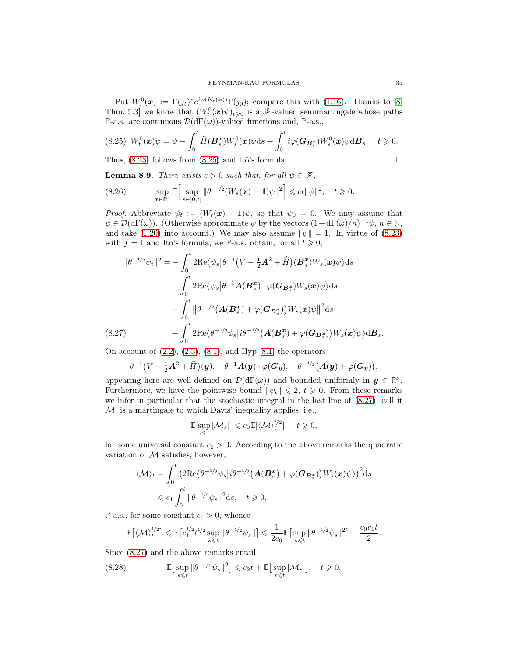Put  $W_t^0(x) := \Gamma(j_t)^* e^{i\varphi(K_t(x))} \Gamma(j_0)$ ; compare this with [\(1.16\)](#page-3-0). Thanks to [\[8,](#page-45-2) Thm. 5.3] we know that  $(W_t^0(x)\psi)_{t\geqslant0}$  is a  $\mathscr{F}\text{-valued semimartale whose paths}$ **P**-a.s. are continuous  $\mathcal{D}(\mathrm{d}\Gamma(\omega))$ -valued functions and, **P**-a.s.,

<span id="page-34-0"></span>
$$
(8.25) W_t^0(\boldsymbol{x})\psi = \psi - \int_0^t \widehat{H}(\boldsymbol{B}_s^{\boldsymbol{x}})W_s^0(\boldsymbol{x})\psi ds + \int_0^t i\varphi(\boldsymbol{G}_{\boldsymbol{B}_s^{\boldsymbol{x}}})W_s^0(\boldsymbol{x})\psi d\boldsymbol{B}_s, \quad t \geqslant 0.
$$

Thus,  $(8.23)$  follows from  $(8.25)$  and Itô's formula.

<span id="page-34-3"></span>**Lemma 8.9.** There exists  $c > 0$  such that, for all  $\psi \in \mathcal{F}$ ,

$$
(8.26) \qquad \sup_{\boldsymbol{x}\in\mathbb{R}^\nu}\mathbb{E}\Big[\sup_{s\in[0,t]} \|\theta^{-1/2}(W_s(\boldsymbol{x})-1)\psi\|^2\Big]\leqslant ct\|\psi\|^2,\quad t\geqslant 0.
$$

*Proof.* Abbreviate  $\psi_t := (W_t(\mathbf{x}) - \mathbb{1})\psi$ , so that  $\psi_0 = 0$ . We may assume that  $\psi \in \mathcal{D}(\mathrm{d}\Gamma(\omega))$ . (Otherwise approximate  $\psi$  by the vectors  $(1 + \mathrm{d}\Gamma(\omega)/n)^{-1}\psi$ ,  $n \in \mathbb{N}$ , and take [\(1.20\)](#page-4-5) into account.) We may also assume  $\|\psi\| = 1$ . In virtue of [\(8.23\)](#page-33-4) with  $f = 1$  and Itô's formula, we P-a.s. obtain, for all  $t \ge 0$ ,

$$
\|\theta^{-1/2}\psi_t\|^2 = -\int_0^t 2\text{Re}\langle\psi_s|\theta^{-1}(V-\frac{1}{2}A^2+\widehat{H})(\mathbf{B}_s^{\mathbf{x}})W_s(\mathbf{x})\psi\rangle ds -\int_0^t 2\text{Re}\langle\psi_s|\theta^{-1}\mathbf{A}(\mathbf{B}_s^{\mathbf{x}})\cdot\varphi(\mathbf{G}_{\mathbf{B}_s^{\mathbf{x}}})W_s(\mathbf{x})\psi\rangle ds +\int_0^t \|\theta^{-1/2}(\mathbf{A}(\mathbf{B}_s^{\mathbf{x}})+\varphi(\mathbf{G}_{\mathbf{B}_s^{\mathbf{x}}}))W_s(\mathbf{x})\psi\|^2 ds + \int_0^t 2\text{Re}\langle\theta^{-1/2}\psi_s|i\theta^{-1/2}(\mathbf{A}(\mathbf{B}_s^{\mathbf{x}})+\varphi(\mathbf{G}_{\mathbf{B}_s^{\mathbf{x}}}))W_s(\mathbf{x})\psi\rangle d\mathbf{B}_s.
$$

<span id="page-34-1"></span>On account of  $(2.2)$ ,  $(2.3)$ ,  $(8.1)$ , and Hyp. [8.1,](#page-29-5) the operators

$$
\theta^{-1}(V-\tfrac{1}{2}A^2+\widehat{H})(y),\quad \theta^{-1}A(y)\cdot\varphi(\boldsymbol{G}_y),\quad \theta^{-1/2}\big(A(y)+\varphi(\boldsymbol{G}_y)\big),
$$

appearing here are well-defined on  $\mathcal{D}(\mathrm{d}\Gamma(\omega))$  and bounded uniformly in  $y \in \mathbb{R}^{\nu}$ . Furthermore, we have the pointwise bound  $\|\psi_t\| \leq 2$ ,  $t \geq 0$ . From these remarks we infer in particular that the stochastic integral in the last line of [\(8.27\)](#page-34-1), call it M, is a martingale to which Davis' inequality applies, i.e.,

$$
\mathbb{E}[\sup_{s\leq t}|\mathcal{M}_s|]\leqslant c_0\mathbb{E}[\langle \mathcal{M}\rangle_t^{1/2}],\quad t\geqslant 0,
$$

for some universal constant  $c_0 > 0$ . According to the above remarks the quadratic variation of  $M$  satisfies, however,

$$
\langle \mathcal{M} \rangle_t = \int_0^t \left( 2\text{Re}\langle \theta^{-1/2} \psi_s | i\theta^{-1/2} \left( \mathbf{A}(\mathbf{B}_s^{\mathbf{x}}) + \varphi(\mathbf{G}_{\mathbf{B}_s^{\mathbf{x}}}) \right) W_s(\mathbf{x}) \psi \rangle \right)^2 ds
$$
  
\$\leqslant c\_1 \int\_0^t ||\theta^{-1/2} \psi\_s||^2 ds\$, \$t \geqslant 0\$,

**P**-a.s., for some constant  $c_1 > 0$ , whence

$$
\mathbb{E}\big[\langle \mathcal{M}\rangle^{1/2}_t\big] \leqslant \mathbb{E}\big[c_1^{1/2}t^{1/2}\sup_{s\leqslant t}\|\theta^{-1/2}\psi_s\|\big] \leqslant \frac{1}{2c_0}\mathbb{E}\big[\sup_{s\leqslant t}\|\theta^{-1/2}\psi_s\|^2\big]+\frac{c_0c_1t}{2}.
$$

Since [\(8.27\)](#page-34-1) and the above remarks entail

<span id="page-34-2"></span>(8.28) 
$$
\mathbb{E}\big[\sup_{s\leqslant t}\|\theta^{-1/2}\psi_s\|^2\big]\leqslant c_2 t+\mathbb{E}\big[\sup_{s\leqslant t}\left|\mathcal{M}_s\right|\big],\quad t\geqslant 0,
$$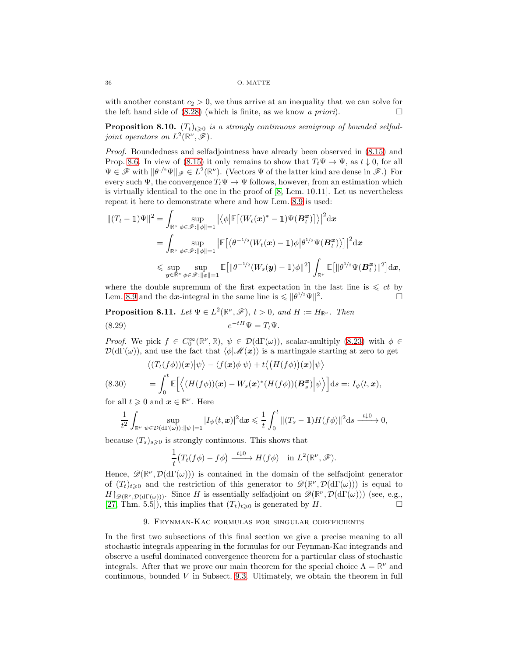with another constant  $c_2 > 0$ , we thus arrive at an inequality that we can solve for the left hand side of  $(8.28)$  (which is finite, as we know a priori).

**Proposition 8.10.**  $(T_t)_{t\geqslant0}$  is a strongly continuous semigroup of bounded selfadjoint operators on  $L^2(\mathbb{R}^{\nu},\mathscr{F})$ .

Proof. Boundedness and selfadjointness have already been observed in [\(8.15\)](#page-32-7) and Prop. [8.6.](#page-32-8) In view of [\(8.15\)](#page-32-7) it only remains to show that  $T_t\Psi \to \Psi$ , as  $t \downarrow 0$ , for all  $\Psi \in \mathscr{F}$  with  $\|\theta^{1/2}\Psi\|_{\mathscr{F}} \in L^2(\mathbb{R}^{\nu})$ . (Vectors  $\Psi$  of the latter kind are dense in  $\mathscr{F}$ .) For every such  $\Psi$ , the convergence  $T_t\Psi \to \Psi$  follows, however, from an estimation which is virtually identical to the one in the proof of [\[8,](#page-45-2) Lem. 10.11]. Let us nevertheless repeat it here to demonstrate where and how Lem. [8.9](#page-34-3) is used:

$$
\begin{split} \|(T_t-\mathbb{1})\Psi\|^2&=\int_{\mathbb{R}^\nu}\sup_{\phi\in\mathscr{F}:\|\phi\|=1}\left|\left\langle\phi\middle|\mathbb{E}\big[(W_t(\boldsymbol{x})^*-\mathbb{1})\Psi(\boldsymbol{B}_t^{\boldsymbol{x}})\big]\right\rangle\right|^2\mathrm{d}\boldsymbol{x}\\ &=\int_{\mathbb{R}^\nu}\sup_{\phi\in\mathscr{F}:\|\phi\|=1}\left|\mathbb{E}\big[\left\langle\theta^{-1/2}(W_t(\boldsymbol{x})-\mathbb{1})\phi\middle|\theta^{1/2}\Psi(\boldsymbol{B}_t^{\boldsymbol{x}})\right\rangle\big]\right|^2\mathrm{d}\boldsymbol{x}\\ &\leqslant \sup_{\boldsymbol{y}\in\mathbb{R}^\nu}\sup_{\phi\in\mathscr{F}:\|\phi\|=1}\mathbb{E}\big[\|\theta^{-1/2}(W_s(\boldsymbol{y})-\mathbb{1})\phi\|^2\big]\int_{\mathbb{R}^\nu}\mathbb{E}\big[\|\theta^{1/2}\Psi(\boldsymbol{B}_t^{\boldsymbol{x}})\|^2\big]\mathrm{d}\boldsymbol{x}, \end{split}
$$

where the double supremum of the first expectation in the last line is  $\leqslant ct$  by Lem. [8.9](#page-34-3) and the dx-integral in the same line is  $\leq \|\theta^{1/2}\Psi\|^2$ . — Первый процесс в постановки программа в серверном професс в серверном производительно при простановка и пр<br>В серверном производительно производительно производительно производительно производительно производительно пр

**Proposition 8.11.** Let  $\Psi \in L^2(\mathbb{R}^{\nu}, \mathscr{F})$ ,  $t > 0$ , and  $H := H_{\mathbb{R}^{\nu}}$ . Then (8.29)  $e^{-tH}\Psi = T_t\Psi.$ 

*Proof.* We pick  $f \in C_0^{\infty}(\mathbb{R}^{\nu}, \mathbb{R}), \psi \in \mathcal{D}(d\Gamma(\omega))$ , scalar-multiply [\(8.23\)](#page-33-4) with  $\phi \in$  $\mathcal{D}(\mathrm{d}\Gamma(\omega))$ , and use the fact that  $\langle \phi | \mathcal{M}(x) \rangle$  is a martingale starting at zero to get

(8.30) 
$$
\langle (T_t(f\phi))(x)|\psi\rangle - \langle f(x)\phi|\psi\rangle + t\langle (H(f\phi))(x)|\psi\rangle
$$

$$
= \int_0^t \mathbb{E}\Big[\Big\langle (H(f\phi))(x) - W_s(x)^*(H(f\phi))(B_s^x)|\psi\rangle\Big]ds =: I_{\psi}(t, x),
$$

for all  $t \geqslant 0$  and  $\boldsymbol{x} \in \mathbb{R}^{\nu}$ . Here

$$
\frac{1}{t^2} \int_{\mathbb{R}^{\nu}} \sup_{\psi \in \mathcal{D}(\mathrm{d}\Gamma(\omega)) : ||\psi|| = 1} |I_{\psi}(t,x)|^2 \mathrm{d}x \leq \frac{1}{t} \int_0^t ||(T_s - \mathbb{1})H(f\phi)||^2 \mathrm{d}s \xrightarrow{t \downarrow 0} 0,
$$

because  $(T_s)_{s\geq 0}$  is strongly continuous. This shows that

$$
\frac{1}{t}\big(T_t(f\phi)-f\phi\big)\xrightarrow{t\downarrow 0} H(f\phi)\quad\text{in }L^2(\mathbb{R}^\nu,\mathscr{F}).
$$

Hence,  $\mathscr{D}(\mathbb{R}^{\nu},\mathcal{D}(d\Gamma(\omega)))$  is contained in the domain of the selfadjoint generator of  $(T_t)_{t\geqslant0}$  and the restriction of this generator to  $\mathscr{D}(\mathbb{R}^{\nu},\mathcal{D}(\mathrm{d}\Gamma(\omega)))$  is equal to  $H\upharpoonright_{\mathscr{D}(\mathbb{R}^{\nu},\mathcal{D}(\mathrm{d}\Gamma(\omega)))}$ . Since H is essentially selfadjoint on  $\mathscr{D}(\mathbb{R}^{\nu},\mathcal{D}(\mathrm{d}\Gamma(\omega)))$  (see, e.g., [\[27,](#page-46-0) Thm. 5.5]), this implies that  $(T_t)_{t\geqslant0}$  is generated by H.

## 9. Feynman-Kac formulas for singular coefficients

<span id="page-35-0"></span>In the first two subsections of this final section we give a precise meaning to all stochastic integrals appearing in the formulas for our Feynman-Kac integrands and observe a useful dominated convergence theorem for a particular class of stochastic integrals. After that we prove our main theorem for the special choice  $\Lambda = \mathbb{R}^{\nu}$  and continuous, bounded  $V$  in Subsect. [9.3.](#page-40-0) Ultimately, we obtain the theorem in full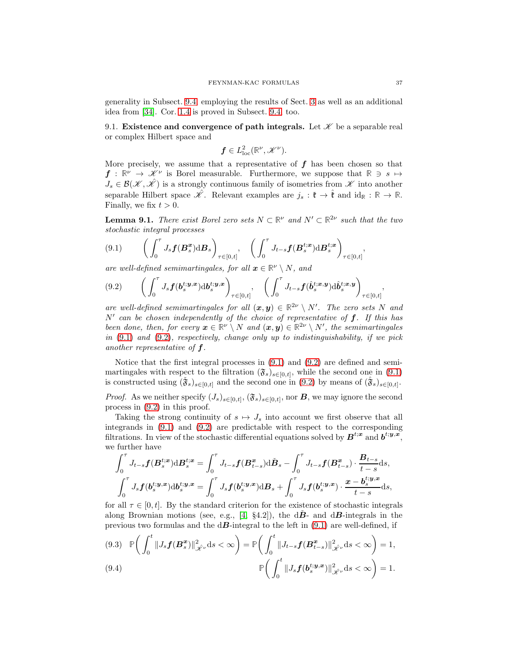generality in Subsect. [9.4,](#page-42-0) employing the results of Sect. [3](#page-9-0) as well as an additional idea from [\[34\]](#page-46-19). Cor. [1.4](#page-4-0) is proved in Subsect. [9.4,](#page-42-0) too.

<span id="page-36-0"></span>9.1. Existence and convergence of path integrals. Let  $\mathscr K$  be a separable real or complex Hilbert space and

$$
\boldsymbol{f} \in L^2_{\rm loc}(\mathbb{R}^\nu, \mathscr{K}^\nu).
$$

More precisely, we assume that a representative of  $f$  has been chosen so that  $f: \mathbb{R}^{\nu} \to \mathscr{K}^{\nu}$  is Borel measurable. Furthermore, we suppose that  $\mathbb{R} \ni s \mapsto$  $J_s \in \mathcal{B}(\mathcal{K}, \hat{\mathcal{K}})$  is a strongly continuous family of isometries from  $\mathcal K$  into another separable Hilbert space  $\mathcal{N}$ . Relevant examples are  $j_s : \mathfrak{k} \to \hat{\mathfrak{k}}$  and  $\mathrm{id}_{\mathbb{R}} : \mathbb{R} \to \mathbb{R}$ . Finally, we fix  $t > 0$ .

<span id="page-36-5"></span>**Lemma 9.1.** There exist Borel zero sets  $N \subset \mathbb{R}^{\nu}$  and  $N' \subset \mathbb{R}^{2\nu}$  such that the two stochastic integral processes

<span id="page-36-1"></span>
$$
(9.1) \qquad \bigg(\int_0^{\tau} J_s \boldsymbol{f}(\boldsymbol{B}_s^{\boldsymbol{x}}) \mathrm{d} \boldsymbol{B}_s\bigg)_{\tau \in [0,t]}, \quad \bigg(\int_0^{\tau} J_{t-s} \boldsymbol{f}(\boldsymbol{B}_s^{t;\boldsymbol{x}}) \mathrm{d} \boldsymbol{B}_s^{t;\boldsymbol{x}}\bigg)_{\tau \in [0,t]},
$$

are well-defined semimartingales, for all  $x \in \mathbb{R}^{\nu} \setminus N$ , and

<span id="page-36-2"></span>
$$
(9.2) \qquad \left(\int_0^{\tau} J_s \boldsymbol{f}(\boldsymbol{b}_s^{t; \boldsymbol{y}, \boldsymbol{x}}) \mathrm{d} \boldsymbol{b}_s^{t; \boldsymbol{y}, \boldsymbol{x}}\right)_{\tau \in [0, t]}, \quad \left(\int_0^{\tau} J_{t-s} \boldsymbol{f}(\hat{\boldsymbol{b}}_s^{t; \boldsymbol{x}, \boldsymbol{y}}) \mathrm{d} \hat{\boldsymbol{b}}_s^{t; \boldsymbol{x}, \boldsymbol{y}}\right)_{\tau \in [0, t]},
$$

are well-defined semimartingales for all  $(x, y) \in \mathbb{R}^{2\nu} \setminus N'$ . The zero sets N and  $N'$  can be chosen independently of the choice of representative of  $f$ . If this has been done, then, for every  $x \in \mathbb{R}^{\nu} \setminus N$  and  $(x, y) \in \mathbb{R}^{2\nu} \setminus N'$ , the semimartingales in [\(9.1\)](#page-36-1) and [\(9.2\)](#page-36-2), respectively, change only up to indistinguishability, if we pick another representative of f.

Notice that the first integral processes in [\(9.1\)](#page-36-1) and [\(9.2\)](#page-36-2) are defined and semimartingales with respect to the filtration  $(\mathfrak{F}_s)_{s\in[0,t]}$ , while the second one in [\(9.1\)](#page-36-1) is constructed using  $(\tilde{\mathbf{\tilde{y}}}_s)_{s\in[0,t]}$  and the second one in [\(9.2\)](#page-36-2) by means of  $(\hat{\mathbf{\tilde{y}}}_s)_{s\in[0,t]}$ .

*Proof.* As we neither specify  $(J_s)_{s \in [0,t]}, (\mathfrak{F}_s)_{s \in [0,t]},$  nor **B**, we may ignore the second process in [\(9.2\)](#page-36-2) in this proof.

Taking the strong continuity of  $s \mapsto J_s$  into account we first observe that all integrands in [\(9.1\)](#page-36-1) and [\(9.2\)](#page-36-2) are predictable with respect to the corresponding filtrations. In view of the stochastic differential equations solved by  $B^{t;x}$  and  $b^{t;y,x}$ , we further have

$$
\int_0^{\tau} J_{t-s} f(B_s^{t;x}) \mathrm{d}B_s^{t;x} = \int_0^{\tau} J_{t-s} f(B_{t-s}^x) \mathrm{d}B_s - \int_0^{\tau} J_{t-s} f(B_{t-s}^x) \cdot \frac{B_{t-s}}{t-s} \mathrm{d}s,
$$
  

$$
\int_0^{\tau} J_s f(b_s^{t;y,x}) \mathrm{d}b_s^{t;y,x} = \int_0^{\tau} J_s f(b_s^{t;y,x}) \mathrm{d}B_s + \int_0^{\tau} J_s f(b_s^{t;y,x}) \cdot \frac{x - b_s^{t;y,x}}{t-s} \mathrm{d}s,
$$

for all  $\tau \in [0, t]$ . By the standard criterion for the existence of stochastic integrals along Brownian motions (see, e.g., [\[4,](#page-45-7) §4.2]), the  $d\vec{B}$ - and  $d\vec{B}$ -integrals in the previous two formulas and the  $d\mathbf{B}$ -integral to the left in  $(9.1)$  are well-defined, if

<span id="page-36-4"></span><span id="page-36-3"></span>
$$
(9.3) \quad \mathbb{P}\bigg(\int_0^t \|J_s\boldsymbol{f}(\boldsymbol{B}_s^{\boldsymbol{x}})\|_{\hat{\mathscr{K}}^{\nu}}^2 ds < \infty\bigg) = \mathbb{P}\bigg(\int_0^t \|J_{t-s}\boldsymbol{f}(\boldsymbol{B}_{t-s}^{\boldsymbol{x}})\|_{\hat{\mathscr{K}}^{\nu}}^2 ds < \infty\bigg) = 1,
$$
\n
$$
(9.4) \qquad \qquad \mathbb{P}\bigg(\int_0^t \|J_s\boldsymbol{f}(\boldsymbol{b}_s^{t;y,x})\|_{\hat{\mathscr{K}}^{\nu}}^2 ds < \infty\bigg) = 1.
$$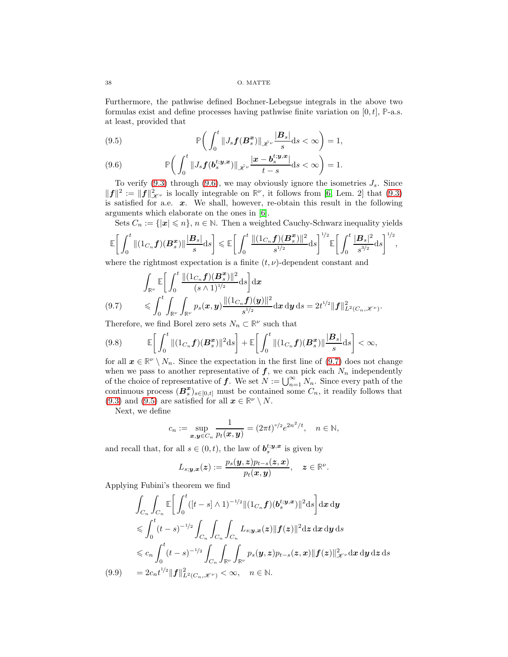Furthermore, the pathwise defined Bochner-Lebegsue integrals in the above two formulas exist and define processes having pathwise finite variation on  $[0, t]$ ,  $\mathbb{P}\text{-a.s.}$ at least, provided that

<span id="page-37-2"></span>(9.5) 
$$
\mathbb{P}\bigg(\int_0^t \|J_s\boldsymbol{f}(\boldsymbol{B}_s^{\boldsymbol{x}})\|_{\mathscr{X}^\nu}\frac{|\boldsymbol{B}_s|}{s}ds < \infty\bigg)=1,
$$

<span id="page-37-0"></span>(9.6) 
$$
\mathbb{P}\bigg(\int_0^t \|J_s f(b_s^{t;y,x})\|_{\mathscr{L}^\nu}\frac{|x-b_s^{t;y,x}|}{t-s}\mathrm{d} s < \infty\bigg)=1.
$$

To verify [\(9.3\)](#page-36-3) through [\(9.6\)](#page-37-0), we may obviously ignore the isometries  $J_s$ . Since  $||f||^2 := ||f||^2_{\mathscr{X}^{\nu}}$  is locally integrable on  $\mathbb{R}^{\nu}$ , it follows from [\[6,](#page-45-8) Lem. 2] that [\(9.3\)](#page-36-3) is satisfied for a.e.  $x$ . We shall, however, re-obtain this result in the following arguments which elaborate on the ones in [\[6\]](#page-45-8).

Sets  $C_n := \{|\mathbf{x}| \leq n\}, n \in \mathbb{N}$ . Then a weighted Cauchy-Schwarz inequality yields

$$
\mathbb{E}\bigg[\int_0^t \|(1_{C_n}f)(B_s^x)\|\frac{|B_s|}{s}\mathrm{d}s\bigg] \leqslant \mathbb{E}\bigg[\int_0^t \frac{\|(1_{C_n}f)(B_s^x)\|^2}{s^{1/2}}\mathrm{d}s\bigg]^{1/2}\mathbb{E}\bigg[\int_0^t \frac{|B_s|^2}{s^{3/2}}\mathrm{d}s\bigg]^{1/2},
$$
 where the rightmost expectation is a finite  $(t, u)$  dependent constant and

where the rightmost expectation is a finite  $(t, \nu)$ -dependent constant and

$$
\int_{\mathbb{R}^{\nu}} \mathbb{E}\bigg[\int_0^t \frac{\|(1_{C_n}f)(\boldsymbol{B}_s^{\boldsymbol{x}})\|^2}{(s\wedge 1)^{1/2}} ds\bigg] dx
$$
\n
$$
(9.7) \leqslant \int_0^t \int_{\mathbb{R}^{\nu}} \int_{\mathbb{R}^{\nu}} p_s(\boldsymbol{x}, \boldsymbol{y}) \frac{\|(1_{C_n}f)(\boldsymbol{y})\|^2}{s^{1/2}} d\boldsymbol{x} d\boldsymbol{y} ds = 2t^{1/2} \|f\|_{L^2(C_n, \mathcal{K}^{\nu})}^2.
$$

<span id="page-37-1"></span>Therefore, we find Borel zero sets  $N_n \subset \mathbb{R}^{\nu}$  such that

$$
(9.8) \qquad \mathbb{E}\bigg[\int_0^t \|(1_{C_n}f)(\boldsymbol{B}_s^{\boldsymbol{x}})\|^2\mathrm{d}s\bigg] + \mathbb{E}\bigg[\int_0^t \|(1_{C_n}f)(\boldsymbol{B}_s^{\boldsymbol{x}})\|\frac{|\boldsymbol{B}_s|}{s}\mathrm{d}s\bigg] < \infty,
$$

for all  $x \in \mathbb{R}^{\nu} \setminus N_n$ . Since the expectation in the first line of [\(9.7\)](#page-37-1) does not change when we pass to another representative of  $f$ , we can pick each  $N_n$  independently of the choice of representative of **f**. We set  $N := \bigcup_{n=1}^{\infty} N_n$ . Since every path of the continuous process  $(B_s^x)_{s\in[0,t]}$  must be contained some  $C_n$ , it readily follows that [\(9.3\)](#page-36-3) and [\(9.5\)](#page-37-2) are satisfied for all  $x \in \mathbb{R}^{\nu} \setminus N$ .

Next, we define

$$
c_n := \sup_{\mathbf{x}, \mathbf{y} \in C_n} \frac{1}{p_t(\mathbf{x}, \mathbf{y})} = (2\pi t)^{\nu/2} e^{2n^2/t}, \quad n \in \mathbb{N},
$$

and recall that, for all  $s \in (0, t)$ , the law of  $b_s^{t; y, x}$  is given by

$$
L_{s;\boldsymbol{y},\boldsymbol{x}}(\boldsymbol{z}):=\frac{p_s(\boldsymbol{y},\boldsymbol{z})p_{t-s}(\boldsymbol{z},\boldsymbol{x})}{p_t(\boldsymbol{x},\boldsymbol{y})},\quad \boldsymbol{z}\in\mathbb{R}^{\nu}.
$$

Applying Fubini's theorem we find

<span id="page-37-3"></span>
$$
\int_{C_n} \int_{C_n} \mathbb{E} \Big[ \int_0^t ([t-s] \wedge 1)^{-1/2} \| (1_{C_n} f)(b_s^{t; \mathbf{y}, \mathbf{x}}) \|^2 ds \Big] dx dy
$$
\n
$$
\leqslant \int_0^t (t-s)^{-1/2} \int_{C_n} \int_{C_n} \int_{C_n} L_{s; \mathbf{y}, \mathbf{x}}(\mathbf{z}) \| f(\mathbf{z}) \|^2 d\mathbf{z} d\mathbf{x} d\mathbf{y} ds
$$
\n
$$
\leqslant c_n \int_0^t (t-s)^{-1/2} \int_{C_n} \int_{\mathbb{R}^\nu} \int_{\mathbb{R}^\nu} p_s(\mathbf{y}, \mathbf{z}) p_{t-s}(\mathbf{z}, \mathbf{x}) \| f(\mathbf{z}) \|^2_{\mathcal{K}^\nu} d\mathbf{x} d\mathbf{y} d\mathbf{z} ds
$$
\n
$$
(9.9) \qquad = 2c_n t^{1/2} \| f \|_{L^2(C_n, \mathcal{K}^\nu)}^2 < \infty, \quad n \in \mathbb{N}.
$$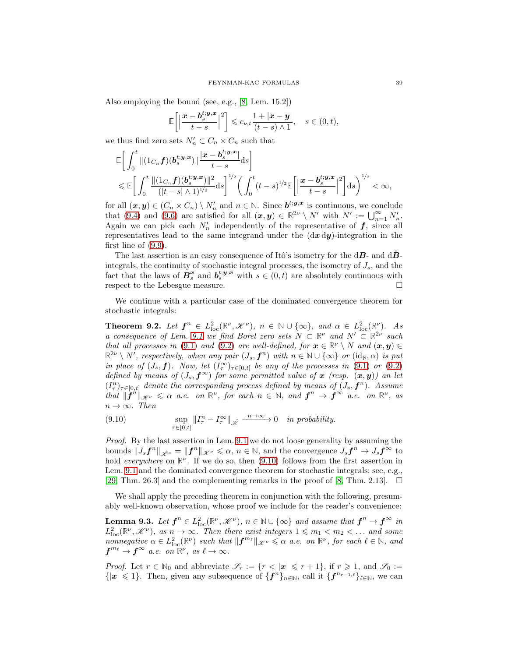Also employing the bound (see, e.g., [\[8,](#page-45-2) Lem. 15.2])

$$
\mathbb{E}\bigg[\bigg|\frac{\boldsymbol{x}-\boldsymbol{b}_s^{t;\boldsymbol{y},\boldsymbol{x}}}{t-s}\bigg|^2\bigg] \leqslant c_{\nu,t}\frac{1+|\boldsymbol{x}-\boldsymbol{y}|}{(t-s)\wedge 1}, \quad s\in(0,t),
$$

we thus find zero sets  $N'_n \subset C_n \times C_n$  such that

$$
\label{eq:21} \begin{split} &\mathbb{E}\bigg[\int_0^t\|(1_{C_n}f)(\pmb{b}^{t;\pmb{y},\pmb{x}}_s)\|\frac{|\pmb{x}-\pmb{b}^{t;\pmb{y},\pmb{x}}_s|}{t-s}\mathrm{d}s\bigg] \\ &\quad\leqslant \mathbb{E}\bigg[\int_0^t\frac{\|(1_{C_n}f)(\pmb{b}^{t;\pmb{y},\pmb{x}}_s)\|^2}{([t-s]\wedge 1)^{1/2}}\mathrm{d}s\bigg]^{1/2}\bigg(\int_0^t(t-s)^{1/2}\mathbb{E}\bigg[\Big|\frac{\pmb{x}-\pmb{b}^{t;\pmb{y},\pmb{x}}_s}{t-s}\Big|^2\bigg]\mathrm{d}s\bigg)^{1/2}<\infty, \end{split}
$$

for all  $(x, y) \in (C_n \times C_n) \setminus N'_n$  and  $n \in \mathbb{N}$ . Since  $b^{t_i y, x}$  is continuous, we conclude that [\(9.4\)](#page-36-4) and [\(9.6\)](#page-37-0) are satisfied for all  $(x, y) \in \mathbb{R}^{2\nu} \setminus N'$  with  $N' := \bigcup_{n=1}^{\infty} N'_n$ . Again we can pick each  $N'_n$  independently of the representative of  $f$ , since all representatives lead to the same integrand under the  $(\mathrm{d} x \, \mathrm{d} y)$ -integration in the first line of [\(9.9\)](#page-37-3).

The last assertion is an easy consequence of Itô's isometry for the  $\mathrm{d}B$ - and  $\mathrm{d}B$ integrals, the continuity of stochastic integral processes, the isometry of  $J_s$ , and the fact that the laws of  $B_s^x$  and  $b_s^{t,y,x}$  with  $s \in (0,t)$  are absolutely continuous with respect to the Lebesgue measure.

We continue with a particular case of the dominated convergence theorem for stochastic integrals:

<span id="page-38-1"></span>**Theorem 9.2.** Let  $f^n \in L^2_{loc}(\mathbb{R}^{\nu}, \mathcal{K}^{\nu})$ ,  $n \in \mathbb{N} \cup \{\infty\}$ , and  $\alpha \in L^2_{loc}(\mathbb{R}^{\nu})$ . As a consequence of Lem. [9.1](#page-36-5) we find Borel zero sets  $N \subset \mathbb{R}^{\nu}$  and  $N' \subset \mathbb{R}^{2\nu}$  such that all processes in [\(9.1\)](#page-36-1) and [\(9.2\)](#page-36-2) are well-defined, for  $x \in \mathbb{R}^{\nu} \setminus N$  and  $(x, y) \in$  $\mathbb{R}^{2\nu} \setminus N'$ , respectively, when any pair  $(J_s, \mathbf{f}^n)$  with  $n \in \mathbb{N} \cup \{\infty\}$  or  $(\mathrm{id}_{\mathbb{R}}, \alpha)$  is put in place of  $(J_s, f)$ . Now, let  $(I_\tau^{\infty})_{\tau \in [0,t]}$  be any of the processes in [\(9.1\)](#page-36-1) or [\(9.2\)](#page-36-2) defined by means of  $(J_s, f^{\infty})$  for some permitted value of x (resp.  $(x, y)$ ) an let  $(I_{\tau}^n)_{\tau \in [0,t]}$  denote the corresponding process defined by means of  $(J_s, \boldsymbol{f}^n)$ . Assume that  $\|\mathbf{f}^n\|_{\mathscr{K}^{\nu}} \leq \alpha$  a.e. on  $\mathbb{R}^{\nu}$ , for each  $n \in \mathbb{N}$ , and  $\mathbf{f}^n \to \mathbf{f}^{\infty}$  a.e. on  $\mathbb{R}^{\nu}$ , as  $n \to \infty$ . Then

<span id="page-38-0"></span>(9.10) 
$$
\sup_{\tau \in [0,t]} \|I_{\tau}^n - I_{\tau}^{\infty}\|_{\hat{\mathscr{K}}} \xrightarrow{n \to \infty} 0 \text{ in probability.}
$$

Proof. By the last assertion in Lem. [9.1](#page-36-5) we do not loose generality by assuming the bounds  $||J_s f^n||_{\hat{\mathcal{X}}^{\nu}} = ||f^n||_{\mathcal{X}^{\nu}} \leq \alpha, n \in \mathbb{N}$ , and the convergence  $J_s f^n \to J_s f^{\infty}$  to hold everywhere on  $\mathbb{R}^{\nu}$ . If we do so, then [\(9.10\)](#page-38-0) follows from the first assertion in Lem. [9.1](#page-36-5) and the dominated convergence theorem for stochastic integrals; see, e.g., [\[29,](#page-46-27) Thm. 26.3] and the complementing remarks in the proof of [\[8,](#page-45-2) Thm. 2.13].  $\square$ 

We shall apply the preceding theorem in conjunction with the following, presumably well-known observation, whose proof we include for the reader's convenience:

<span id="page-38-2"></span>**Lemma 9.3.** Let  $f^n \in L^2_{loc}(\mathbb{R}^{\nu}, \mathcal{K}^{\nu})$ ,  $n \in \mathbb{N} \cup \{\infty\}$  and assume that  $f^n \to f^{\infty}$  in  $L^2_{\text{loc}}(\mathbb{R}^{\nu},\mathscr{K}^{\nu})$ , as  $n\to\infty$ . Then there exist integers  $1\leqslant m_1 < m_2 < \dots$  and some nonnegative  $\alpha \in L^2_{\text{loc}}(\mathbb{R}^{\nu})$  such that  $||\mathbf{f}^{m_{\ell}}||_{\mathcal{K}^{\nu}} \leq \alpha$  a.e. on  $\mathbb{R}^{\nu}$ , for each  $\ell \in \mathbb{N}$ , and  $f^{m_{\ell}} \to f^{\infty}$  a.e. on  $\mathbb{R}^{\nu}$ , as  $\ell \to \infty$ .

*Proof.* Let  $r \in \mathbb{N}_0$  and abbreviate  $\mathscr{S}_r := \{r < |\mathbf{x}| \leqslant r + 1\}$ , if  $r \geqslant 1$ , and  $\mathscr{S}_0 :=$  $\{|x| \leq 1\}$ . Then, given any subsequence of  $\{f^n\}_{n\in\mathbb{N}}$ , call it  $\{f^{n_{r-1,\ell}}\}_{\ell\in\mathbb{N}}$ , we can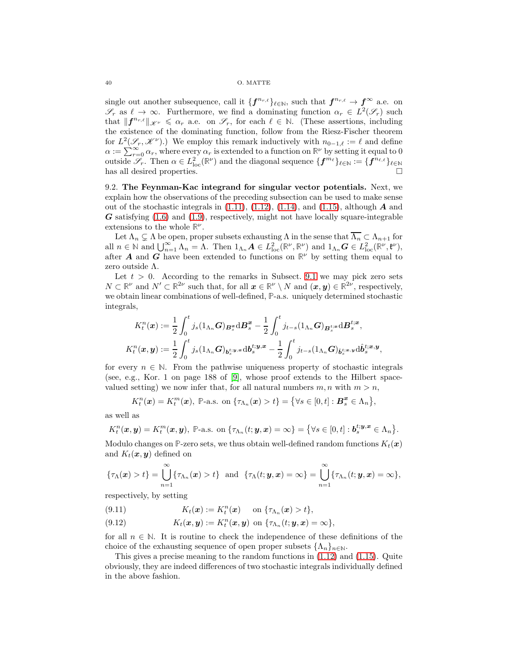single out another subsequence, call it  $\{f^{n_{r,\ell}}\}_{\ell \in \mathbb{N}}$ , such that  $f^{n_{r,\ell}} \to f^{\infty}$  a.e. on  $\mathscr{S}_r$  as  $\ell \to \infty$ . Furthermore, we find a dominating function  $\alpha_r \in L^2(\mathscr{S}_r)$  such that  $||f^{n_{r,\ell}}||_{\mathscr{K}^{\nu}} \leq \alpha_r$  a.e. on  $\mathscr{S}_r$ , for each  $\ell \in \mathbb{N}$ . (These assertions, including the existence of the dominating function, follow from the Riesz-Fischer theorem for  $L^2(\mathscr{S}_r, \mathscr{K}^\nu)$ .) We employ this remark inductively with  $n_{0-1,\ell} := \ell$  and define  $\alpha := \sum_{r=0}^{\infty} \alpha_r$ , where every  $\alpha_r$  is extended to a function on  $\mathbb{R}^{\nu}$  by setting it equal to 0 outside  $\mathscr{S}_r$ . Then  $\alpha \in L^2_{\text{loc}}(\mathbb{R}^{\nu})$  and the diagonal sequence  $\{\boldsymbol{f}^{m_{\ell}}\}_{\ell \in \mathbb{N}} := \{\boldsymbol{f}^{n_{\ell,\ell}}\}_{\ell \in \mathbb{N}}$ has all desired properties.

<span id="page-39-0"></span>9.2. The Feynman-Kac integrand for singular vector potentials. Next, we explain how the observations of the preceding subsection can be used to make sense out of the stochastic integrals in  $(1.11)$ ,  $(1.12)$ ,  $(1.14)$ , and  $(1.15)$ , although A and  $\boldsymbol{G}$  satisfying [\(1.6\)](#page-1-2) and [\(1.9\)](#page-2-0), respectively, might not have locally square-integrable extensions to the whole  $\mathbb{R}^{\nu}$ .

Let  $\Lambda_n \subsetneq \Lambda$  be open, proper subsets exhausting  $\Lambda$  in the sense that  $\overline{\Lambda_n} \subset \Lambda_{n+1}$  for all  $n \in \mathbb{N}$  and  $\bigcup_{n=1}^{\infty} \Lambda_n = \Lambda$ . Then  $1_{\Lambda_n}A \in L^2_{\text{loc}}(\mathbb{R}^{\nu}, \mathbb{R}^{\nu})$  and  $1_{\Lambda_n}G \in L^2_{\text{loc}}(\mathbb{R}^{\nu}, \mathfrak{k}^{\nu})$ , after **A** and **G** have been extended to functions on  $\mathbb{R}^{\nu}$  by setting them equal to zero outside Λ.

Let  $t > 0$ . According to the remarks in Subsect. [9.1](#page-36-0) we may pick zero sets  $N \subset \mathbb{R}^{\nu}$  and  $N' \subset \mathbb{R}^{2\nu}$  such that, for all  $\boldsymbol{x} \in \mathbb{R}^{\nu} \setminus N$  and  $(\boldsymbol{x}, \boldsymbol{y}) \in \mathbb{R}^{2\nu}$ , respectively, we obtain linear combinations of well-defined, **P**-a.s. uniquely determined stochastic integrals,

$$
K_t^n(\boldsymbol{x}) := \frac{1}{2} \int_0^t j_s(1_{\Lambda_n} \boldsymbol{G})_{\boldsymbol{B}_s^{\boldsymbol{x}}} d\boldsymbol{B}_s^{\boldsymbol{x}} - \frac{1}{2} \int_0^t j_{t-s}(1_{\Lambda_n} \boldsymbol{G})_{\boldsymbol{B}_s^{t;\boldsymbol{x}}} d\boldsymbol{B}_s^{t;\boldsymbol{x}},
$$
  

$$
K_t^n(\boldsymbol{x}, \boldsymbol{y}) := \frac{1}{2} \int_0^t j_s(1_{\Lambda_n} \boldsymbol{G})_{\boldsymbol{b}_s^{t;\boldsymbol{y},\boldsymbol{x}}} d\boldsymbol{b}_s^{t;\boldsymbol{y},\boldsymbol{x}} - \frac{1}{2} \int_0^t j_{t-s}(1_{\Lambda_n} \boldsymbol{G})_{\hat{\boldsymbol{b}}_s^{t;\boldsymbol{x},\boldsymbol{y}}} d\hat{\boldsymbol{b}}_s^{t;\boldsymbol{x},\boldsymbol{y}},
$$

for every  $n \in \mathbb{N}$ . From the pathwise uniqueness property of stochastic integrals (see, e.g., Kor. 1 on page 188 of [\[9\]](#page-46-28), whose proof extends to the Hilbert spacevalued setting) we now infer that, for all natural numbers  $m, n$  with  $m > n$ ,

$$
K_t^n(\boldsymbol{x}) = K_t^m(\boldsymbol{x}), \ \mathbb{P}\text{-a.s. on }\{\tau_{\Lambda_n}(\boldsymbol{x}) > t\} = \{\forall s \in [0, t] : \boldsymbol{B}_s^{\boldsymbol{x}} \in \Lambda_n\},
$$

as well as

$$
K_t^n(\boldsymbol{x},\boldsymbol{y})=K_t^m(\boldsymbol{x},\boldsymbol{y}),\ \mathbb{P}\text{-a.s. on }\{\tau_{\Lambda_n}(t;\boldsymbol{y},\boldsymbol{x})=\infty\}=\{\forall s\in[0,t]:\boldsymbol{b}_s^{t;\boldsymbol{y},\boldsymbol{x}}\in\Lambda_n\}.
$$

Modulo changes on P-zero sets, we thus obtain well-defined random functions  $K_t(\boldsymbol{x})$ and  $K_t(x, y)$  defined on

$$
\{\tau_{\Lambda}(\boldsymbol{x}) > t\} = \bigcup_{n=1}^{\infty} \{\tau_{\Lambda_n}(\boldsymbol{x}) > t\} \text{ and } \{\tau_{\Lambda}(t; \boldsymbol{y}, \boldsymbol{x}) = \infty\} = \bigcup_{n=1}^{\infty} \{\tau_{\Lambda_n}(t; \boldsymbol{y}, \boldsymbol{x}) = \infty\},
$$

respectively, by setting

<span id="page-39-1"></span>(9.11) 
$$
K_t(\boldsymbol{x}) := K_t^n(\boldsymbol{x}) \quad \text{on } \{\tau_{\Lambda_n}(\boldsymbol{x}) > t\},
$$

<span id="page-39-2"></span>(9.12) 
$$
K_t(\boldsymbol{x}, \boldsymbol{y}) := K_t^n(\boldsymbol{x}, \boldsymbol{y}) \text{ on } \{\tau_{\Lambda_n}(t; \boldsymbol{y}, \boldsymbol{x}) = \infty\},
$$

for all  $n \in \mathbb{N}$ . It is routine to check the independence of these definitions of the choice of the exhausting sequence of open proper subsets  $\{\Lambda_n\}_{n\in\mathbb{N}}$ .

This gives a precise meaning to the random functions in [\(1.12\)](#page-2-2) and [\(1.15\)](#page-3-3). Quite obviously, they are indeed differences of two stochastic integrals individually defined in the above fashion.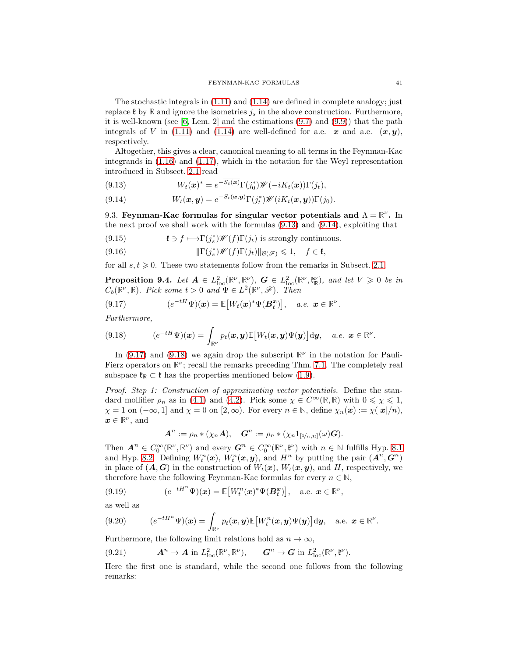The stochastic integrals in [\(1.11\)](#page-2-1) and [\(1.14\)](#page-3-2) are defined in complete analogy; just replace  $\mathfrak{k}$  by  $\mathbb R$  and ignore the isometries  $j_s$  in the above construction. Furthermore, it is well-known (see  $[6, \text{ Lem. 2}]$  and the estimations  $(9.7)$  and  $(9.9)$ ) that the path integrals of V in [\(1.11\)](#page-2-1) and [\(1.14\)](#page-3-2) are well-defined for a.e.  $x$  and a.e.  $(x, y)$ , respectively.

Altogether, this gives a clear, canonical meaning to all terms in the Feynman-Kac integrands in [\(1.16\)](#page-3-0) and [\(1.17\)](#page-3-6), which in the notation for the Weyl representation introduced in Subsect. [2.1](#page-7-1) read

<span id="page-40-1"></span>(9.13) 
$$
W_t(\boldsymbol{x})^* = e^{-S_t(\boldsymbol{x})} \Gamma(j_0^*) \mathscr{W}(-i K_t(\boldsymbol{x})) \Gamma(j_t),
$$

<span id="page-40-2"></span>(9.14) 
$$
W_t(\boldsymbol{x}, \boldsymbol{y}) = e^{-S_t(\boldsymbol{x}, \boldsymbol{y})} \Gamma(j_t^*) \mathscr{W}(i K_t(\boldsymbol{x}, \boldsymbol{y})) \Gamma(j_0).
$$

<span id="page-40-0"></span>9.3. Feynman-Kac formulas for singular vector potentials and  $\Lambda = \mathbb{R}^{\nu}$ . In the next proof we shall work with the formulas [\(9.13\)](#page-40-1) and [\(9.14\)](#page-40-2), exploiting that

<span id="page-40-7"></span>(9.15) 
$$
\mathfrak{k} \ni f \longmapsto \Gamma(j_s^*) \mathscr{W}(f) \Gamma(j_t) \text{ is strongly continuous.}
$$

<span id="page-40-8"></span>(9.16) 
$$
\|\Gamma(j_s^*)\mathscr{W}(f)\Gamma(j_t)\|_{\mathcal{B}(\mathscr{F})} \leq 1, \quad f \in \mathfrak{k}
$$

for all  $s, t \geq 0$ . These two statements follow from the remarks in Subsect. [2.1.](#page-7-1)

<span id="page-40-10"></span>**Proposition 9.4.** Let  $A \in L^2_{loc}(\mathbb{R}^{\nu}, \mathbb{R}^{\nu})$ ,  $G \in L^2_{loc}(\mathbb{R}^{\nu}, \mathfrak{k}_{\mathbb{R}}^{\nu})$ , and let  $V \geq 0$  be in  $C_b(\mathbb{R}^{\nu},\mathbb{R})$ . Pick some  $t > 0$  and  $\Psi \in L^2(\mathbb{R}^{\nu},\mathscr{F})$ . Then

<span id="page-40-3"></span>(9.17) 
$$
(e^{-tH}\Psi)(\boldsymbol{x}) = \mathbb{E}[W_t(\boldsymbol{x})^*\Psi(\boldsymbol{B}_t^{\boldsymbol{x}})], \quad a.e. \ \boldsymbol{x} \in \mathbb{R}^{\nu}.
$$

Furthermore,

<span id="page-40-4"></span>(9.18) 
$$
(e^{-tH}\Psi)(\boldsymbol{x})=\int_{\mathbb{R}^{\nu}}p_t(\boldsymbol{x},\boldsymbol{y})\mathbb{E}\big[W_t(\boldsymbol{x},\boldsymbol{y})\Psi(\boldsymbol{y})\big]\mathrm{d}\boldsymbol{y},\quad a.e.\ \boldsymbol{x}\in\mathbb{R}^{\nu}.
$$

In  $(9.17)$  and  $(9.18)$  we again drop the subscript  $\mathbb{R}^{\nu}$  in the notation for Pauli-Fierz operators on  $\mathbb{R}^{\nu}$ ; recall the remarks preceding Thm. [7.1.](#page-27-0) The completely real subspace  $\mathfrak{k}_{\mathbb{R}} \subset \mathfrak{k}$  has the properties mentioned below [\(1.9\)](#page-2-0).

Proof. Step 1: Construction of approximating vector potentials. Define the standard mollifier  $\rho_n$  as in [\(4.1\)](#page-14-6) and [\(4.2\)](#page-14-7). Pick some  $\chi \in C^{\infty}(\mathbb{R}, \mathbb{R})$  with  $0 \le \chi \le 1$ ,  $\chi = 1$  on  $(-\infty, 1]$  and  $\chi = 0$  on  $[2, \infty)$ . For every  $n \in \mathbb{N}$ , define  $\chi_n(\boldsymbol{x}) := \chi(|\boldsymbol{x}|/n)$ ,  $x \in \mathbb{R}^{\nu}$ , and

$$
\mathbf{A}^n := \rho_n * (\chi_n \mathbf{A}), \quad \mathbf{G}^n := \rho_n * (\chi_n \mathbf{1}_{[\frac{1}{n}, n]}(\omega) \mathbf{G}).
$$

Then  $A^n \in C_0^{\infty}(\mathbb{R}^{\nu}, \mathbb{R}^{\nu})$  and every  $G^n \in C_0^{\infty}(\mathbb{R}^{\nu}, \mathfrak{k}^{\nu})$  with  $n \in \mathbb{N}$  fulfills Hyp. [8.1](#page-29-5) and Hyp. [8.2.](#page-29-3) Defining  $W_t^n(x)$ ,  $W_t^n(x, y)$ , and  $H^n$  by putting the pair  $(A^n, G^n)$ in place of  $(A, G)$  in the construction of  $W_t(x)$ ,  $W_t(x, y)$ , and H, respectively, we therefore have the following Feynman-Kac formulas for every  $n \in \mathbb{N}$ ,

<span id="page-40-6"></span>(9.19) 
$$
(e^{-tH^n}\Psi)(\boldsymbol{x}) = \mathbb{E}[W_t^n(\boldsymbol{x})^*\Psi(\boldsymbol{B}_t^{\boldsymbol{x}})], \text{ a.e. } \boldsymbol{x} \in \mathbb{R}^{\nu},
$$

as well as

<span id="page-40-9"></span>(9.20) 
$$
(e^{-tH^n}\Psi)(\boldsymbol{x})=\int_{\mathbb{R}^{\nu}}p_t(\boldsymbol{x},\boldsymbol{y})\mathbb{E}\big[W_t^n(\boldsymbol{x},\boldsymbol{y})\Psi(\boldsymbol{y})\big]\mathrm{d}\boldsymbol{y},\quad\text{a.e. }\boldsymbol{x}\in\mathbb{R}^{\nu}.
$$

Furthermore, the following limit relations hold as  $n \to \infty$ ,

<span id="page-40-5"></span>(9.21) 
$$
\mathbf{A}^n \to \mathbf{A} \text{ in } L^2_{\text{loc}}(\mathbb{R}^\nu, \mathbb{R}^\nu), \qquad \mathbf{G}^n \to \mathbf{G} \text{ in } L^2_{\text{loc}}(\mathbb{R}^\nu, \mathfrak{k}^\nu).
$$

Here the first one is standard, while the second one follows from the following remarks: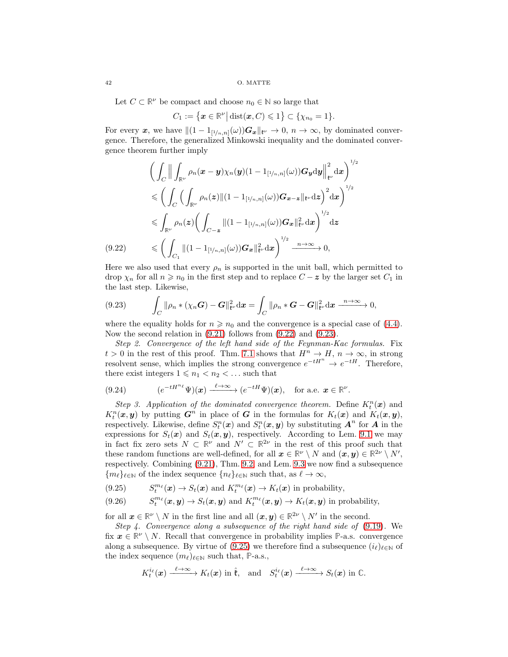Let  $C \subset \mathbb{R}^{\nu}$  be compact and choose  $n_0 \in \mathbb{N}$  so large that

$$
C_1:=\big\{\boldsymbol{x}\in\mathbb{R}^{\nu}\big|\operatorname{dist}(\boldsymbol{x},C)\leqslant 1\big\}\subset\{\chi_{n_0}=1\}.
$$

For every x, we have  $\|(1 - 1_{[1/n,n]}(\omega))\mathbf{G_x}\|_{\mathfrak{k}^\nu} \to 0$ ,  $n \to \infty$ , by dominated convergence. Therefore, the generalized Minkowski inequality and the dominated convergence theorem further imply

$$
\left(\int_C \Big\|\int_{\mathbb{R}^{\nu}} \rho_n(\mathbf{x}-\mathbf{y})\chi_n(\mathbf{y})(1-1_{[1/n,n]}(\omega))\mathbf{G}_{\mathbf{y}}\mathrm{d}\mathbf{y}\Big\|_{\mathfrak{t}^{\nu}}^2 \mathrm{d}\mathbf{x}\right)^{1/2} \leq \left(\int_C \left(\int_{\mathbb{R}^{\nu}} \rho_n(\mathbf{z})\|(1-1_{[1/n,n]}(\omega))\mathbf{G}_{\mathbf{x}-\mathbf{z}}\|_{\mathfrak{t}^{\nu}}\mathrm{d}\mathbf{z}\right)^2 \mathrm{d}\mathbf{x}\right)^{1/2} \leq \int_{\mathbb{R}^{\nu}} \rho_n(\mathbf{z})\left(\int_{C-\mathbf{z}} \|(1-1_{[1/n,n]}(\omega))\mathbf{G}_{\mathbf{x}}\|_{\mathfrak{t}^{\nu}}^2 \mathrm{d}\mathbf{x}\right)^{1/2} \mathrm{d}\mathbf{z}
$$
\n(9.22) 
$$
\leqslant \left(\int_{C_1} \|(1-1_{[1/n,n]}(\omega))\mathbf{G}_{\mathbf{x}}\|_{\mathfrak{t}^{\nu}}^2 \mathrm{d}\mathbf{x}\right)^{1/2} \xrightarrow{n\to\infty} 0,
$$

<span id="page-41-0"></span>Here we also used that every  $\rho_n$  is supported in the unit ball, which permitted to drop  $\chi_n$  for all  $n \geq n_0$  in the first step and to replace  $C - z$  by the larger set  $C_1$  in the last step. Likewise,

<span id="page-41-1"></span>
$$
(9.23) \qquad \int_C \|\rho_n * (\chi_n \mathbf{G}) - \mathbf{G}\|_{\mathfrak{k}^\nu}^2 \mathrm{d} \mathbf{x} = \int_C \|\rho_n * \mathbf{G} - \mathbf{G}\|_{\mathfrak{k}^\nu}^2 \mathrm{d} \mathbf{x} \xrightarrow{n \to \infty} 0,
$$

where the equality holds for  $n \geq n_0$  and the convergence is a special case of [\(4.4\)](#page-14-8). Now the second relation in [\(9.21\)](#page-40-5) follows from [\(9.22\)](#page-41-0) and [\(9.23\)](#page-41-1).

Step 2. Convergence of the left hand side of the Feynman-Kac formulas. Fix  $t > 0$  in the rest of this proof. Thm. [7.1](#page-27-0) shows that  $H^n \to H$ ,  $n \to \infty$ , in strong resolvent sense, which implies the strong convergence  $e^{-tH^n} \rightarrow e^{-tH}$ . Therefore, there exist integers  $1 \leq n_1 < n_2 < \dots$  such that

<span id="page-41-3"></span>(9.24) 
$$
(e^{-tH^{n_{\ell}}}\Psi)(\boldsymbol{x}) \xrightarrow{\ell \to \infty} (e^{-tH}\Psi)(\boldsymbol{x}), \text{ for a.e. } \boldsymbol{x} \in \mathbb{R}^{\nu}.
$$

Step 3. Application of the dominated convergence theorem. Define  $K_t^n(\boldsymbol{x})$  and  $K_t^n(\bm{x}, \bm{y})$  by putting  $\bm{G}^n$  in place of  $\bm{G}$  in the formulas for  $K_t(\bm{x})$  and  $K_t(\bm{x}, \bm{y})$ , respectively. Likewise, define  $S_t^n(\mathbf{x})$  and  $S_t^n(\mathbf{x}, \mathbf{y})$  by substituting  $\mathbf{A}^n$  for  $\mathbf{A}$  in the expressions for  $S_t(x)$  and  $S_t(x, y)$ , respectively. According to Lem. [9.1](#page-36-5) we may in fact fix zero sets  $N \subset \mathbb{R}^{\nu}$  and  $N' \subset \mathbb{R}^{2\nu}$  in the rest of this proof such that these random functions are well-defined, for all  $x \in \mathbb{R}^{\nu} \setminus N$  and  $(x, y) \in \mathbb{R}^{2\nu} \setminus N'$ , respectively. Combining [\(9.21\)](#page-40-5), Thm. [9.2,](#page-38-1) and Lem. [9.3](#page-38-2) we now find a subsequence  ${m_\ell}_{\ell \in \mathbb{N}}$  of the index sequence  ${n_\ell}_{\ell \in \mathbb{N}}$  such that, as  $\ell \to \infty$ ,

<span id="page-41-2"></span>(9.25)  $S_t^{m_\ell}(\boldsymbol{x}) \to S_t(\boldsymbol{x})$  and  $K_t^{m_\ell}(\boldsymbol{x}) \to K_t(\boldsymbol{x})$  in probability,

<span id="page-41-4"></span>(9.26)  $S_t^{m_\ell}(\boldsymbol{x}, \boldsymbol{y}) \to S_t(\boldsymbol{x}, \boldsymbol{y})$  and  $K_t^{m_\ell}(\boldsymbol{x}, \boldsymbol{y}) \to K_t(\boldsymbol{x}, \boldsymbol{y})$  in probability,

for all  $x \in \mathbb{R}^{\nu} \setminus N$  in the first line and all  $(x, y) \in \mathbb{R}^{2\nu} \setminus N'$  in the second.

Step 4. Convergence along a subsequence of the right hand side of [\(9.19\)](#page-40-6). We fix  $x \in \mathbb{R}^{\nu} \setminus N$ . Recall that convergence in probability implies P-a.s. convergence along a subsequence. By virtue of [\(9.25\)](#page-41-2) we therefore find a subsequence  $(i_{\ell})_{\ell \in \mathbb{N}}$  of the index sequence  $(m_{\ell})_{\ell \in \mathbb{N}}$  such that, **P**-a.s.,

$$
K_t^{i_\ell}(\boldsymbol{x}) \xrightarrow{\ell \to \infty} K_t(\boldsymbol{x}) \text{ in } \hat{\mathfrak{k}}, \text{ and } S_t^{i_\ell}(\boldsymbol{x}) \xrightarrow{\ell \to \infty} S_t(\boldsymbol{x}) \text{ in } \mathbb{C}.
$$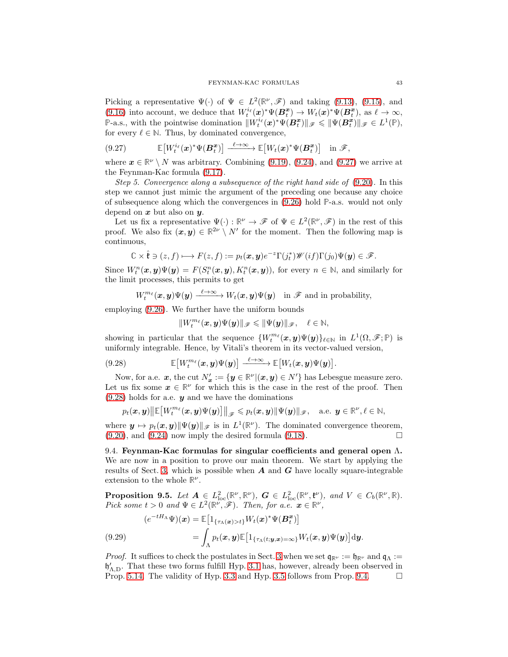Picking a representative  $\Psi(\cdot)$  of  $\Psi \in L^2(\mathbb{R}^{\nu}, \mathscr{F})$  and taking [\(9.13\)](#page-40-1), [\(9.15\)](#page-40-7), and [\(9.16\)](#page-40-8) into account, we deduce that  $W_t^{i_\ell}(\boldsymbol{x})^* \Psi(\boldsymbol{B}_t^{\boldsymbol{x}}) \to W_t(\boldsymbol{x})^* \Psi(\boldsymbol{B}_t^{\boldsymbol{x}})$ , as  $\ell \to \infty$ , **P**-a.s., with the pointwise domination  $||W_t^{i_\ell}(\boldsymbol{x})^* \Psi(B_t^{\boldsymbol{x}})||_{\mathscr{F}} \leq ||\Psi(B_t^{\boldsymbol{x}})||_{\mathscr{F}} \in L^1(\mathbb{P}),$ for every  $\ell \in \mathbb{N}$ . Thus, by dominated convergence,

<span id="page-42-1"></span>
$$
(9.27) \qquad \mathbb{E}\big[W_t^{i_\ell}(\boldsymbol{x})^* \Psi(\boldsymbol{B}_t^{\boldsymbol{x}})\big] \xrightarrow{\ell \to \infty} \mathbb{E}\big[W_t(\boldsymbol{x})^* \Psi(\boldsymbol{B}_t^{\boldsymbol{x}})\big] \quad \text{in } \mathscr{F},
$$

where  $x \in \mathbb{R}^{\nu} \setminus N$  was arbitrary. Combining [\(9.19\)](#page-40-6), [\(9.24\)](#page-41-3), and [\(9.27\)](#page-42-1) we arrive at the Feynman-Kac formula [\(9.17\)](#page-40-3).

Step 5. Convergence along a subsequence of the right hand side of [\(9.20\)](#page-40-9). In this step we cannot just mimic the argument of the preceding one because any choice of subsequence along which the convergences in [\(9.26\)](#page-41-4) hold **P**-a.s. would not only depend on  $x$  but also on  $y$ .

Let us fix a representative  $\Psi(\cdot): \mathbb{R}^{\nu} \to \mathscr{F}$  of  $\Psi \in L^2(\mathbb{R}^{\nu}, \mathscr{F})$  in the rest of this proof. We also fix  $(x, y) \in \mathbb{R}^{2\nu} \setminus N'$  for the moment. Then the following map is continuous,

$$
\mathbb{C} \times \hat{\mathfrak{k}} \ni (z, f) \longmapsto F(z, f) := p_t(\mathbf{x}, \mathbf{y}) e^{-z} \Gamma(j_t^*) \mathscr{W}(i f) \Gamma(j_0) \Psi(\mathbf{y}) \in \mathscr{F}.
$$

Since  $W_t^n(\bm{x}, \bm{y}) \Psi(\bm{y}) = F(S_t^n(\bm{x}, \bm{y}), K_t^n(\bm{x}, \bm{y}))$ , for every  $n \in \mathbb{N}$ , and similarly for the limit processes, this permits to get

$$
W_t^{m_{\ell}}(\boldsymbol{x},\boldsymbol{y})\Psi(\boldsymbol{y}) \xrightarrow{\ell \to \infty} W_t(\boldsymbol{x},\boldsymbol{y})\Psi(\boldsymbol{y}) \quad \text{in } \mathscr{F} \text{ and in probability,}
$$

employing [\(9.26\)](#page-41-4). We further have the uniform bounds

$$
\|W_t^{m_\ell}(\boldsymbol{x},\boldsymbol{y})\Psi(\boldsymbol{y})\|_{\mathscr{F}}\leqslant \|\Psi(\boldsymbol{y})\|_{\mathscr{F}},\quad \ell\in\mathbb{N},
$$

showing in particular that the sequence  $\{W_t^{m_\ell}(\bm{x},\bm{y})\Psi(\bm{y})\}_{\ell \in \mathbb{N}}$  in  $L^1(\Omega,\mathscr{F};\mathbb{P})$  is uniformly integrable. Hence, by Vitali's theorem in its vector-valued version,

<span id="page-42-2"></span>(9.28) 
$$
\mathbb{E}\big[W_t^{m_\ell}(\boldsymbol{x},\boldsymbol{y})\Psi(\boldsymbol{y})\big] \xrightarrow{\ell\to\infty} \mathbb{E}\big[W_t(\boldsymbol{x},\boldsymbol{y})\Psi(\boldsymbol{y})\big].
$$

Now, for a.e.  $x$ , the cut  $N'_x := \{y \in \mathbb{R}^{\nu} | (x, y) \in N' \}$  has Lebesgue measure zero. Let us fix some  $x \in \mathbb{R}^{\nu}$  for which this is the case in the rest of the proof. Then  $(9.28)$  holds for a.e.  $y$  and we have the dominations

$$
p_t(\mathbf{x}, \mathbf{y}) \|\mathbb{E}\big[W_t^{m_\ell}(\mathbf{x}, \mathbf{y})\Psi(\mathbf{y})\big]\|_{\mathscr{F}} \leq p_t(\mathbf{x}, \mathbf{y}) \|\Psi(\mathbf{y})\|_{\mathscr{F}}, \text{ a.e. } \mathbf{y} \in \mathbb{R}^{\nu}, \ell \in \mathbb{N},
$$

where  $y \mapsto p_t(x, y) ||\Psi(y)||_{\mathscr{F}}$  is in  $L^1(\mathbb{R}^{\nu})$ . The dominated convergence theorem,  $(9.20)$ , and  $(9.24)$  now imply the desired formula  $(9.18)$ .

<span id="page-42-0"></span>9.4. Feynman-Kac formulas for singular coefficients and general open  $\Lambda$ . We are now in a position to prove our main theorem. We start by applying the results of Sect. [3,](#page-9-0) which is possible when  $A$  and  $G$  have locally square-integrable extension to the whole  $\mathbb{R}^{\nu}$ .

<span id="page-42-3"></span>**Proposition 9.5.** Let  $A \in L^2_{loc}(\mathbb{R}^{\nu}, \mathbb{R}^{\nu})$ ,  $G \in L^2_{loc}(\mathbb{R}^{\nu}, \mathfrak{k}^{\nu})$ , and  $V \in C_b(\mathbb{R}^{\nu}, \mathbb{R})$ . Pick some  $t > 0$  and  $\Psi \in L^2(\mathbb{R}^{\nu}, \mathscr{F})$ . Then, for a.e.  $\mathbf{x} \in \mathbb{R}^{\nu}$ ,

<span id="page-42-4"></span>(9.29) 
$$
(e^{-tH_{\Lambda}}\Psi)(\boldsymbol{x}) = \mathbb{E}\big[\mathbb{1}_{\{\tau_{\Lambda}(\boldsymbol{x}) > t\}}W_t(\boldsymbol{x})^*\Psi(\boldsymbol{B}_t^{\boldsymbol{x}})\big] = \int_{\Lambda} p_t(\boldsymbol{x}, \boldsymbol{y})\mathbb{E}\big[\mathbb{1}_{\{\tau_{\Lambda}(t; \boldsymbol{y}, \boldsymbol{x}) = \infty\}}W_t(\boldsymbol{x}, \boldsymbol{y})\Psi(\boldsymbol{y})\big] \mathrm{d}\boldsymbol{y}.
$$

*Proof.* It suffices to check the postulates in Sect. [3](#page-9-0) when we set  $\mathfrak{q}_{\mathbb{R}^\nu} := \mathfrak{h}_{\mathbb{R}^\nu}$  and  $\mathfrak{q}_\Lambda :=$  $\mathfrak{h}'_{\Lambda,D}$ . That these two forms fulfill Hyp. [3.1](#page-10-4) has, however, already been observed in Prop. [5.14.](#page-23-0) The validity of Hyp. [3.3](#page-11-4) and Hyp. [3.5](#page-12-2) follows from Prop. [9.4.](#page-40-10)  $\Box$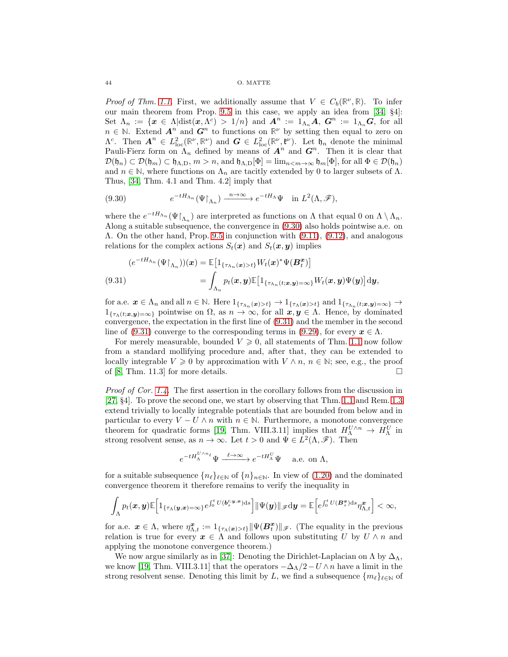#### 44 O. MATTE

*Proof of Thm. [1.1.](#page-3-4)* First, we additionally assume that  $V \in C_b(\mathbb{R}^{\nu}, \mathbb{R})$ . To infer our main theorem from Prop. [9.5](#page-42-3) in this case, we apply an idea from [\[34,](#page-46-19) §4]: Set  $\Lambda_n := \{x \in \Lambda | \text{dist}(x, \Lambda^c) > 1/n\}$  and  $A^n := 1_{\Lambda_n} A$ ,  $G^n := 1_{\Lambda_n} G$ , for all  $n \in \mathbb{N}$ . Extend  $\mathbf{A}^n$  and  $\mathbf{G}^n$  to functions on  $\mathbb{R}^{\nu}$  by setting then equal to zero on  $\Lambda^c$ . Then  $\mathbf{A}^n \in L^2_{\text{loc}}(\mathbb{R}^{\nu}, \mathbb{R}^{\nu})$  and  $\mathbf{G} \in L^2_{\text{loc}}(\mathbb{R}^{\nu}, \mathfrak{k}^{\nu})$ . Let  $\mathfrak{h}_n$  denote the minimal Pauli-Fierz form on  $\Lambda_n$  defined by means of  $A^n$  and  $G^n$ . Then it is clear that  $\mathcal{D}(\mathfrak{h}_n) \subset \mathcal{D}(\mathfrak{h}_m) \subset \mathfrak{h}_{\Lambda,D}, m > n$ , and  $\mathfrak{h}_{\Lambda,D}[\Phi] = \lim_{n \to \infty} \mathfrak{h}_m[\Phi]$ , for all  $\Phi \in \mathcal{D}(\mathfrak{h}_n)$ and  $n \in \mathbb{N}$ , where functions on  $\Lambda_n$  are tacitly extended by 0 to larger subsets of  $\Lambda$ . Thus, [\[34,](#page-46-19) Thm. 4.1 and Thm. 4.2] imply that

<span id="page-43-0"></span>(9.30) 
$$
e^{-tH_{\Lambda_n}}(\Psi\upharpoonright_{\Lambda_n}) \xrightarrow{n\to\infty} e^{-tH_{\Lambda}}\Psi \text{ in } L^2(\Lambda,\mathscr{F}),
$$

where the  $e^{-tH_{\Lambda_n}}(\Psi\upharpoonright_{\Lambda_n})$  are interpreted as functions on  $\Lambda$  that equal 0 on  $\Lambda\setminus\Lambda_n$ . Along a suitable subsequence, the convergence in [\(9.30\)](#page-43-0) also holds pointwise a.e. on Λ. On the other hand, Prop. [9.5](#page-42-3) in conjunction with [\(9.11\)](#page-39-1), [\(9.12\)](#page-39-2), and analogous relations for the complex actions  $S_t(\boldsymbol{x})$  and  $S_t(\boldsymbol{x}, \boldsymbol{y})$  implies

<span id="page-43-1"></span>(9.31)  
\n
$$
(e^{-tH_{\Lambda_n}}(\Psi|_{\Lambda_n}))(x) = \mathbb{E}\big[1_{\{\tau_{\Lambda_n}(x)>t\}}W_t(x)^*\Psi(B_t^x)\big]
$$
\n
$$
= \int_{\Lambda_n} p_t(x,y)\mathbb{E}\big[1_{\{\tau_{\Lambda_n}(t;x,y)=\infty\}}W_t(x,y)\Psi(y)\big] \mathrm{d}y,
$$

for a.e.  $x \in \Lambda_n$  and all  $n \in \mathbb{N}$ . Here  $1_{\{\tau_{\Lambda_n}(x)>t\}} \to 1_{\{\tau_{\Lambda}(x)>t\}}$  and  $1_{\{\tau_{\Lambda_n}(t;x,y)=\infty\}} \to$  $1_{\{\tau_{\Lambda}(t;x,y)=\infty\}}$  pointwise on  $\Omega$ , as  $n \to \infty$ , for all  $x,y \in \Lambda$ . Hence, by dominated convergence, the expectation in the first line of [\(9.31\)](#page-43-1) and the member in the second line of [\(9.31\)](#page-43-1) converge to the corresponding terms in [\(9.29\)](#page-42-4), for every  $x \in \Lambda$ .

For merely measurable, bounded  $V \geq 0$ , all statements of Thm. [1.1](#page-3-4) now follow from a standard mollifying procedure and, after that, they can be extended to locally integrable  $V \geq 0$  by approximation with  $V \wedge n$ ,  $n \in \mathbb{N}$ ; see, e.g., the proof of [\[8,](#page-45-2) Thm. 11.3] for more details.  $\square$ 

Proof of Cor. [1.4.](#page-4-0) The first assertion in the corollary follows from the discussion in [\[27,](#page-46-0) §4]. To prove the second one, we start by observing that Thm. [1.1](#page-3-4) and Rem. [1.3](#page-4-4) extend trivially to locally integrable potentials that are bounded from below and in particular to every  $V - U \wedge n$  with  $n \in \mathbb{N}$ . Furthermore, a monotone convergence theorem for quadratic forms [\[19,](#page-46-20) Thm. VIII.3.11] implies that  $H^{U\wedge n}_{\Lambda} \to H^{U}_{\Lambda}$  in strong resolvent sense, as  $n \to \infty$ . Let  $t > 0$  and  $\Psi \in L^2(\Lambda, \mathscr{F})$ . Then

$$
e^{-tH^{U\wedge n_\ell}_\Lambda}\Psi\xrightarrow{\ell\to\infty}e^{-tH^U_\Lambda}\Psi\quad\text{ a.e. on }\Lambda,
$$

for a suitable subsequence  $\{n_\ell\}_{\ell \in \mathbb{N}}$  of  $\{n\}_{n \in \mathbb{N}}$ . In view of  $(1.20)$  and the dominated convergence theorem it therefore remains to verify the inequality in

$$
\int_{\Lambda} p_t(\boldsymbol{x},\boldsymbol{y}) \mathbb{E}\Big[1_{\{\tau_{\Lambda}(\boldsymbol{y},\boldsymbol{x})=\infty\}} e^{\int_0^t U(\boldsymbol{b}^{t;\boldsymbol{y},\boldsymbol{x}}_s)\mathrm{d}s} \Big] \|\Psi(\boldsymbol{y})\|_{\mathscr{F}} \mathrm{d}\boldsymbol{y} = \mathbb{E}\Big[ e^{\int_0^t U(\boldsymbol{B}^{\boldsymbol{x}}_s)\mathrm{d}s} \eta^{\boldsymbol{x}}_{\Lambda,t}\Big] < \infty,
$$

for a.e.  $\boldsymbol{x} \in \Lambda$ , where  $\eta_{\Lambda,t}^{\boldsymbol{x}} := 1_{\{\tau_{\Lambda}(\boldsymbol{x}) > t\}} || \Psi(\boldsymbol{B}_t^{\boldsymbol{x}}) ||_{\mathscr{F}}$ . (The equality in the previous relation is true for every  $x \in \Lambda$  and follows upon substituting U by  $U \wedge n$  and applying the monotone convergence theorem.)

We now argue similarly as in [\[37\]](#page-46-6): Denoting the Dirichlet-Laplacian on  $\Lambda$  by  $\Delta_{\Lambda}$ , we know [\[19,](#page-46-20) Thm. VIII.3.11] that the operators  $-\Delta_{\Lambda}/2-U \wedge n$  have a limit in the strong resolvent sense. Denoting this limit by L, we find a subsequence  ${m_\ell}_{\ell \in \mathbb{N}}$  of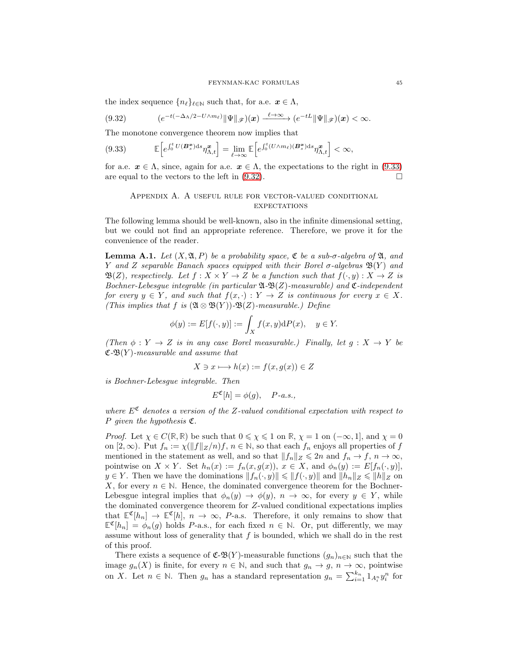the index sequence  $\{n_\ell\}_{\ell \in \mathbb{N}}$  such that, for a.e.  $x \in \Lambda$ ,

<span id="page-44-2"></span>
$$
(9.32) \qquad \qquad (e^{-t(-\Delta_{\Lambda}/2-U\wedge m_{\ell})}\|\Psi\|_{\mathscr{F}})(\boldsymbol{x}) \xrightarrow{\ell \to \infty} (e^{-tL}\|\Psi\|_{\mathscr{F}})(\boldsymbol{x}) < \infty.
$$

The monotone convergence theorem now implies that

<span id="page-44-1"></span>
$$
(9.33) \qquad \mathbb{E}\Big[e^{\int_0^t U(\mathbf{B}_s^{\mathbf{x}})\mathrm{d}s}\eta_{\Lambda,t}^{\mathbf{x}}\Big] = \lim_{\ell \to \infty} \mathbb{E}\Big[e^{\int_0^t (U \wedge m_\ell)(\mathbf{B}_s^{\mathbf{x}})\mathrm{d}s}\eta_{\Lambda,t}^{\mathbf{x}}\Big] < \infty,
$$

<span id="page-44-0"></span>for a.e.  $x \in \Lambda$ , since, again for a.e.  $x \in \Lambda$ , the expectations to the right in [\(9.33\)](#page-44-1) are equal to the vectors to the left in  $(9.32)$ .

## Appendix A. A useful rule for vector-valued conditional **EXPECTATIONS**

The following lemma should be well-known, also in the infinite dimensional setting, but we could not find an appropriate reference. Therefore, we prove it for the convenience of the reader.

<span id="page-44-3"></span>**Lemma A.1.** Let  $(X, \mathfrak{A}, P)$  be a probability space,  $\mathfrak{C}$  be a sub- $\sigma$ -algebra of  $\mathfrak{A}$ , and Y and Z separable Banach spaces equipped with their Borel  $\sigma$ -algebras  $\mathfrak{B}(Y)$  and  $\mathfrak{B}(Z)$ , respectively. Let  $f : X \times Y \to Z$  be a function such that  $f(\cdot, y) : X \to Z$  is Bochner-Lebesgue integrable (in particular  $\mathfrak{A}\text{-}\mathfrak{B}(Z)$ -measurable) and  $\mathfrak{C}\text{-}independent$ for every  $y \in Y$ , and such that  $f(x, \cdot) : Y \to Z$  is continuous for every  $x \in X$ . (This implies that f is  $(\mathfrak{A} \otimes \mathfrak{B}(Y))$ - $\mathfrak{B}(Z)$ -measurable.) Define

$$
\phi(y) := E[f(\cdot, y)] := \int_X f(x, y) \mathrm{d}P(x), \quad y \in Y.
$$

(Then  $\phi: Y \to Z$  is in any case Borel measurable.) Finally, let  $g: X \to Y$  be  $\mathfrak{C}\text{-}\mathfrak{B}(Y)$ -measurable and assume that

$$
X \ni x \longmapsto h(x) := f(x, g(x)) \in Z
$$

is Bochner-Lebesgue integrable. Then

$$
E^{\mathfrak{C}}[h] = \phi(g), \quad P\text{-}a.s.,
$$

where  $E^{\mathfrak{C}}$  denotes a version of the Z-valued conditional expectation with respect to P given the hypothesis  $\mathfrak{C}$ .

*Proof.* Let  $\chi \in C(\mathbb{R}, \mathbb{R})$  be such that  $0 \leq \chi \leq 1$  on  $\mathbb{R}, \chi = 1$  on  $(-\infty, 1]$ , and  $\chi = 0$ on  $[2,\infty)$ . Put  $f_n := \chi(\|f\|_Z/n) f, n \in \mathbb{N}$ , so that each  $f_n$  enjoys all properties of f mentioned in the statement as well, and so that  $||f_n||_Z \leq 2n$  and  $f_n \to f$ ,  $n \to \infty$ , pointwise on  $X \times Y$ . Set  $h_n(x) := f_n(x, g(x))$ ,  $x \in X$ , and  $\phi_n(y) := E[f_n(\cdot, y)]$ ,  $y \in Y$ . Then we have the dominations  $||f_n(\cdot, y)|| \le ||f(\cdot, y)||$  and  $||h_n||_Z \le ||h||_Z$  on X, for every  $n \in \mathbb{N}$ . Hence, the dominated convergence theorem for the Bochner-Lebesgue integral implies that  $\phi_n(y) \to \phi(y)$ ,  $n \to \infty$ , for every  $y \in Y$ , while the dominated convergence theorem for Z-valued conditional expectations implies that  $\mathbb{E}^{\mathfrak{C}}[h_n] \to \mathbb{E}^{\mathfrak{C}}[h], n \to \infty$ , P-a.s. Therefore, it only remains to show that  $\mathbb{E}^{\mathfrak{C}}[h_n] = \phi_n(g)$  holds P-a.s., for each fixed  $n \in \mathbb{N}$ . Or, put differently, we may assume without loss of generality that  $f$  is bounded, which we shall do in the rest of this proof.

There exists a sequence of  $\mathfrak{C}\text{-}\mathfrak{B}(Y)$ -measurable functions  $(g_n)_{n\in\mathbb{N}}$  such that the image  $g_n(X)$  is finite, for every  $n \in \mathbb{N}$ , and such that  $g_n \to g$ ,  $n \to \infty$ , pointwise on X. Let  $n \in \mathbb{N}$ . Then  $g_n$  has a standard representation  $g_n = \sum_{i=1}^{k_n} 1_{A_i^n} y_i^n$  for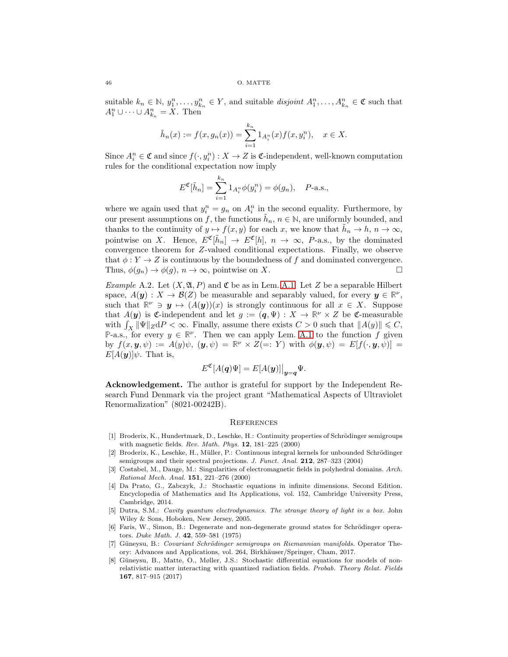suitable  $k_n \in \mathbb{N}, y_1^n, \ldots, y_{k_n}^n \in Y$ , and suitable *disjoint*  $A_1^n, \ldots, A_{k_n}^n \in \mathfrak{C}$  such that  $A_1^n \cup \cdots \cup A_{k_n}^n = X$ . Then

$$
\tilde{h}_n(x) := f(x, g_n(x)) = \sum_{i=1}^{k_n} 1_{A_i^n}(x) f(x, y_i^n), \quad x \in X.
$$

Since  $A_i^n \in \mathfrak{C}$  and since  $f(\cdot, y_i^n) : X \to Z$  is  $\mathfrak{C}$ -independent, well-known computation rules for the conditional expectation now imply

$$
E^{\mathfrak{C}}[\tilde{h}_n] = \sum_{i=1}^{k_n} 1_{A_i^n} \phi(y_i^n) = \phi(g_n), \quad P\text{-a.s.},
$$

where we again used that  $y_i^n = g_n$  on  $A_i^n$  in the second equality. Furthermore, by our present assumptions on f, the functions  $\tilde{h}_n$ ,  $n \in \mathbb{N}$ , are uniformly bounded, and thanks to the continuity of  $y \mapsto f(x, y)$  for each x, we know that  $\tilde{h}_n \to h$ ,  $n \to \infty$ , pointwise on X. Hence,  $E^{\mathfrak{C}}[\tilde{h}_n] \to E^{\mathfrak{C}}[h]$ ,  $n \to \infty$ , P-a.s., by the dominated convergence theorem for Z-valued conditional expectations. Finally, we observe that  $\phi: Y \to Z$  is continuous by the boundedness of f and dominated convergence. Thus,  $\phi(g_n) \to \phi(g), n \to \infty$ , pointwise on X.

<span id="page-45-6"></span>*Example* A.2. Let  $(X, \mathfrak{A}, P)$  and  $\mathfrak{C}$  be as in Lem. [A.1.](#page-44-3) Let Z be a separable Hilbert space,  $A(y)$ :  $X \to B(Z)$  be measurable and separably valued, for every  $y \in \mathbb{R}^{\nu}$ , such that  $\mathbb{R}^{\nu} \ni y \mapsto (A(y))(x)$  is strongly continuous for all  $x \in X$ . Suppose that  $A(\mathbf{y})$  is C-independent and let  $g := (\mathbf{q}, \Psi) : X \to \mathbb{R}^{\nu} \times Z$  be C-measurable with  $\int_X \|\Psi\|_Z dP < \infty$ . Finally, assume there exists  $C > 0$  such that  $||A(y)|| \leq C$ , **P-a.s., for every**  $y \in \mathbb{R}^{\nu}$ **. Then we can apply Lem. [A.1](#page-44-3) to the function f given** by  $f(x, y, \psi) := A(y)\psi$ ,  $(y, \psi) = \mathbb{R}^{\nu} \times Z (=: Y)$  with  $\phi(y, \psi) = E[f(\cdot, y, \psi)] =$  $E[A(\boldsymbol{y})]\psi$ . That is,

$$
E^{\mathfrak{C}}[A(\boldsymbol{q})\Psi] = E[A(\boldsymbol{y})]\big|_{\boldsymbol{y}=\boldsymbol{q}}\Psi.
$$

Acknowledgement. The author is grateful for support by the Independent Research Fund Denmark via the project grant "Mathematical Aspects of Ultraviolet Renormalization" (8021-00242B).

#### **REFERENCES**

- <span id="page-45-5"></span>[1] Broderix, K., Hundertmark, D., Leschke, H.: Continuity properties of Schrödinger semigroups with magnetic fields. *Rev. Math. Phys.* 12, 181–225 (2000)
- <span id="page-45-3"></span>[2] Broderix, K., Leschke, H., Müller, P.: Continuous integral kernels for unbounded Schrödinger semigroups and their spectral projections. *J. Funct. Anal.* 212, 287–323 (2004)
- <span id="page-45-1"></span>[3] Costabel, M., Dauge, M.: Singularities of electromagnetic fields in polyhedral domains. *Arch. Rational Mech. Anal.* 151, 221–276 (2000)
- <span id="page-45-7"></span>[4] Da Prato, G., Zabczyk, J.: Stochastic equations in infinite dimensions. Second Edition. Encyclopedia of Mathematics and Its Applications, vol. 152, Cambridge University Press, Cambridge, 2014.
- <span id="page-45-0"></span>[5] Dutra, S.M.: *Cavity quantum electrodynamics. The strange theory of light in a box.* John Wiley & Sons, Hoboken, New Jersey, 2005.
- <span id="page-45-8"></span>[6] Faris, W., Simon, B.: Degenerate and non-degenerate ground states for Schrödinger operators. *Duke Math. J.* 42, 559–581 (1975)
- <span id="page-45-4"></span>[7] Güneysu, B.: *Covariant Schrödinger semigroups on Riemannian manifolds*. Operator Theory: Advances and Applications, vol. 264, Birkhäuser/Springer, Cham, 2017.
- <span id="page-45-2"></span>Güneysu, B., Matte, O., Møller, J.S.: Stochastic differential equations for models of nonrelativistic matter interacting with quantized radiation fields. *Probab. Theory Relat. Fields* 167, 817–915 (2017)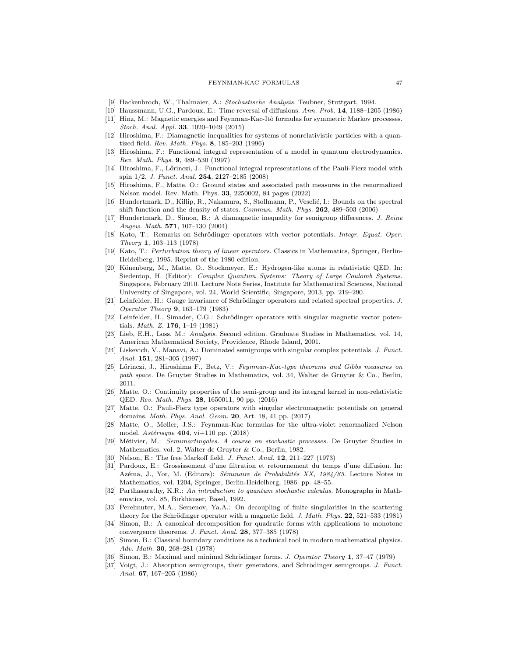#### FEYNMAN-KAC FORMULAS 47

- <span id="page-46-28"></span><span id="page-46-2"></span>[9] Hackenbroch, W., Thalmaier, A.: *Stochastische Analysis.* Teubner, Stuttgart, 1994.
- <span id="page-46-12"></span>[10] Haussmann, U.G., Pardoux, E.: Time reversal of diffusions. *Ann. Prob.* 14, 1188–1205 (1986)
- [11] Hinz, M.: Magnetic energies and Feynman-Kac-Itô formulas for symmetric Markov processes. *Stoch. Anal. Appl.* 33, 1020–1049 (2015)
- <span id="page-46-24"></span>[12] Hiroshima, F.: Diamagnetic inequalities for systems of nonrelativistic particles with a quantized field. *Rev. Math. Phys.* 8, 185–203 (1996)
- <span id="page-46-10"></span>[13] Hiroshima, F.: Functional integral representation of a model in quantum electrodynamics. *Rev. Math. Phys.* 9, 489–530 (1997)
- <span id="page-46-11"></span>[14] Hiroshima, F., Lőrinczi, J.: Functional integral representations of the Pauli-Fierz model with spin 1/2. *J. Funct. Anal.* 254, 2127–2185 (2008)
- <span id="page-46-9"></span>[15] Hiroshima, F., Matte, O.: Ground states and associated path measures in the renormalized Nelson model. Rev. Math. Phys. 33, 2250002, 84 pages (2022)
- <span id="page-46-16"></span>[16] Hundertmark, D., Killip, R., Nakamura, S., Stollmann, P., Veselić, I.: Bounds on the spectral shift function and the density of states. *Commun. Math. Phys.* 262, 489–503 (2006)
- <span id="page-46-21"></span>[17] Hundertmark, D., Simon, B.: A diamagnetic inequality for semigroup differences. *J. Reine Angew. Math.* 571, 107–130 (2004)
- <span id="page-46-26"></span>[18] Kato, T.: Remarks on Schrödinger operators with vector potentials. *Integr. Equat. Oper. Theory* 1, 103–113 (1978)
- <span id="page-46-20"></span>[19] Kato, T.: *Perturbation theory of linear operators.* Classics in Mathematics, Springer, Berlin-Heidelberg, 1995. Reprint of the 1980 edition.
- <span id="page-46-25"></span>[20] Könenberg, M., Matte, O., Stockmeyer, E.: Hydrogen-like atoms in relativistic QED. In: Siedentop, H. (Editor): *Complex Quantum Systems: Theory of Large Coulomb Systems.* Singapore, February 2010. Lecture Note Series, Institute for Mathematical Sciences, National University of Singapore, vol. 24, World Scientific, Singapore, 2013, pp. 219–290.
- <span id="page-46-15"></span>[21] Leinfelder, H.: Gauge invariance of Schrödinger operators and related spectral properties. *J. Operator Theory* 9, 163–179 (1983)
- <span id="page-46-22"></span>[22] Leinfelder, H., Simader, C.G.: Schrödinger operators with singular magnetic vector potentials. *Math. Z.* 176, 1–19 (1981)
- <span id="page-46-23"></span>[23] Lieb, E.H., Loss, M.: *Analysis.* Second edition. Graduate Studies in Mathematics, vol. 14, American Mathematical Society, Providence, Rhode Island, 2001.
- <span id="page-46-1"></span>[24] Liskevich, V., Manavi, A.: Dominated semigroups with singular complex potentials. *J. Funct. Anal.* 151, 281–305 (1997)
- <span id="page-46-13"></span>[25] L˝orinczi, J., Hiroshima F., Betz, V.: *Feynman-Kac-type theorems and Gibbs measures on path space.* De Gruyter Studies in Mathematics, vol. 34, Walter de Gruyter & Co., Berlin, 2011.
- <span id="page-46-7"></span>[26] Matte, O.: Continuity properties of the semi-group and its integral kernel in non-relativistic QED. *Rev. Math. Phys.* 28, 1650011, 90 pp. (2016)
- <span id="page-46-0"></span>[27] Matte, O.: Pauli-Fierz type operators with singular electromagnetic potentials on general domains. *Math. Phys. Anal. Geom.* 20, Art. 18, 41 pp. (2017)
- <span id="page-46-8"></span>[28] Matte, O., Møller, J.S.: Feynman-Kac formulas for the ultra-violet renormalized Nelson model. *Astérisque* **404**, vi+110 pp. (2018)
- <span id="page-46-27"></span>[29] M´etivier, M.: *Semimartingales. A course on stochastic processes.* De Gruyter Studies in Mathematics, vol. 2, Walter de Gruyter & Co., Berlin, 1982.
- <span id="page-46-4"></span><span id="page-46-3"></span>[30] Nelson, E.: The free Markoff field. *J. Funct. Anal.* 12, 211–227 (1973)
- [31] Pardoux, E.: Grossissement d'une filtration et retournement du temps d'une diffusion. In: Azéma, J., Yor, M. (Editors): *Séminaire de Probabilités XX, 1984/85*. Lecture Notes in Mathematics, vol. 1204, Springer, Berlin-Heidelberg, 1986. pp. 48–55.
- <span id="page-46-5"></span>[32] Parthasarathy, K.R.: *An introduction to quantum stochastic calculus.* Monographs in Mathematics, vol. 85, Birkhäuser, Basel, 1992.
- <span id="page-46-14"></span>[33] Perelmuter, M.A., Semenov, Ya.A.: On decoupling of finite singularities in the scattering theory for the Schrödinger operator with a magnetic field. *J. Math. Phys.* **22**, 521–533 (1981)
- <span id="page-46-19"></span>[34] Simon, B.: A canonical decomposition for quadratic forms with applications to monotone convergence theorems. *J. Funct. Anal.* 28, 377–385 (1978)
- <span id="page-46-17"></span>[35] Simon, B.: Classical boundary conditions as a technical tool in modern mathematical physics. *Adv. Math.* 30, 268–281 (1978)
- <span id="page-46-18"></span><span id="page-46-6"></span>[36] Simon, B.: Maximal and minimal Schr¨odinger forms. *J. Operator Theory* 1, 37–47 (1979)
- [37] Voigt, J.: Absorption semigroups, their generators, and Schrödinger semigroups. *J. Funct. Anal.* 67, 167–205 (1986)